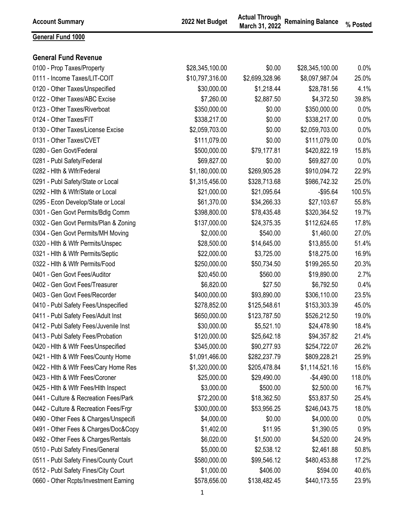| <b>Account Summary</b>                | 2022 Net Budget | <b>Actual Through</b><br>March 31, 2022 | <b>Remaining Balance</b> | % Posted |
|---------------------------------------|-----------------|-----------------------------------------|--------------------------|----------|
| <b>General Fund 1000</b>              |                 |                                         |                          |          |
| <b>General Fund Revenue</b>           |                 |                                         |                          |          |
| 0100 - Prop Taxes/Property            | \$28,345,100.00 | \$0.00                                  | \$28,345,100.00          | $0.0\%$  |
| 0111 - Income Taxes/LIT-COIT          | \$10,797,316.00 | \$2,699,328.96                          | \$8,097,987.04           | 25.0%    |
| 0120 - Other Taxes/Unspecified        | \$30,000.00     | \$1,218.44                              | \$28,781.56              | 4.1%     |
| 0122 - Other Taxes/ABC Excise         | \$7,260.00      | \$2,887.50                              | \$4,372.50               | 39.8%    |
| 0123 - Other Taxes/Riverboat          | \$350,000.00    | \$0.00                                  | \$350,000.00             | 0.0%     |
| 0124 - Other Taxes/FIT                | \$338,217.00    | \$0.00                                  | \$338,217.00             | 0.0%     |
| 0130 - Other Taxes/License Excise     | \$2,059,703.00  | \$0.00                                  | \$2,059,703.00           | 0.0%     |
| 0131 - Other Taxes/CVET               | \$111,079.00    | \$0.00                                  | \$111,079.00             | 0.0%     |
| 0280 - Gen Govt/Federal               | \$500,000.00    | \$79,177.81                             | \$420,822.19             | 15.8%    |
| 0281 - Publ Safety/Federal            | \$69,827.00     | \$0.00                                  | \$69,827.00              | 0.0%     |
| 0282 - Hith & Wifr/Federal            | \$1,180,000.00  | \$269,905.28                            | \$910,094.72             | 22.9%    |
| 0291 - Publ Safety/State or Local     | \$1,315,456.00  | \$328,713.68                            | \$986,742.32             | 25.0%    |
| 0292 - Hlth & Wlfr/State or Local     | \$21,000.00     | \$21,095.64                             | $-$95.64$                | 100.5%   |
| 0295 - Econ Develop/State or Local    | \$61,370.00     | \$34,266.33                             | \$27,103.67              | 55.8%    |
| 0301 - Gen Govt Permits/Bdlg Comm     | \$398,800.00    | \$78,435.48                             | \$320,364.52             | 19.7%    |
| 0302 - Gen Govt Permits/Plan & Zoning | \$137,000.00    | \$24,375.35                             | \$112,624.65             | 17.8%    |
| 0304 - Gen Govt Permits/MH Moving     | \$2,000.00      | \$540.00                                | \$1,460.00               | 27.0%    |
| 0320 - Hith & Wifr Permits/Unspec     | \$28,500.00     | \$14,645.00                             | \$13,855.00              | 51.4%    |
| 0321 - Hith & Wifr Permits/Septic     | \$22,000.00     | \$3,725.00                              | \$18,275.00              | 16.9%    |
| 0322 - Hlth & Wlfr Permits/Food       | \$250,000.00    | \$50,734.50                             | \$199,265.50             | 20.3%    |
| 0401 - Gen Govt Fees/Auditor          | \$20,450.00     | \$560.00                                | \$19,890.00              | 2.7%     |
| 0402 - Gen Govt Fees/Treasurer        | \$6,820.00      | \$27.50                                 | \$6,792.50               | 0.4%     |
| 0403 - Gen Govt Fees/Recorder         | \$400,000.00    | \$93,890.00                             | \$306,110.00             | 23.5%    |
| 0410 - Publ Safety Fees/Unspecified   | \$278,852.00    | \$125,548.61                            | \$153,303.39             | 45.0%    |
| 0411 - Publ Safety Fees/Adult Inst    | \$650,000.00    | \$123,787.50                            | \$526,212.50             | 19.0%    |
| 0412 - Publ Safety Fees/Juvenile Inst | \$30,000.00     | \$5,521.10                              | \$24,478.90              | 18.4%    |
| 0413 - Publ Safety Fees/Probation     | \$120,000.00    | \$25,642.18                             | \$94,357.82              | 21.4%    |
| 0420 - Hith & Wifr Fees/Unspecified   | \$345,000.00    | \$90,277.93                             | \$254,722.07             | 26.2%    |
| 0421 - Hith & Wifr Fees/County Home   | \$1,091,466.00  | \$282,237.79                            | \$809,228.21             | 25.9%    |
| 0422 - Hith & Wifr Fees/Cary Home Res | \$1,320,000.00  | \$205,478.84                            | \$1,114,521.16           | 15.6%    |
| 0423 - Hith & Wifr Fees/Coroner       | \$25,000.00     | \$29,490.00                             | $-$4,490.00$             | 118.0%   |
| 0425 - Hith & Wifr Fees/Hith Inspect  | \$3,000.00      | \$500.00                                | \$2,500.00               | 16.7%    |
| 0441 - Culture & Recreation Fees/Park | \$72,200.00     | \$18,362.50                             | \$53,837.50              | 25.4%    |
| 0442 - Culture & Recreation Fees/Frgr | \$300,000.00    | \$53,956.25                             | \$246,043.75             | 18.0%    |
| 0490 - Other Fees & Charges/Unspecifi | \$4,000.00      | \$0.00                                  | \$4,000.00               | 0.0%     |
| 0491 - Other Fees & Charges/Doc&Copy  | \$1,402.00      | \$11.95                                 | \$1,390.05               | 0.9%     |
| 0492 - Other Fees & Charges/Rentals   | \$6,020.00      | \$1,500.00                              | \$4,520.00               | 24.9%    |
| 0510 - Publ Safety Fines/General      | \$5,000.00      | \$2,538.12                              | \$2,461.88               | 50.8%    |
| 0511 - Publ Safety Fines/County Court | \$580,000.00    | \$99,546.12                             | \$480,453.88             | 17.2%    |
| 0512 - Publ Safety Fines/City Court   | \$1,000.00      | \$406.00                                | \$594.00                 | 40.6%    |
| 0660 - Other Rcpts/Investment Earning | \$578,656.00    | \$138,482.45                            | \$440,173.55             | 23.9%    |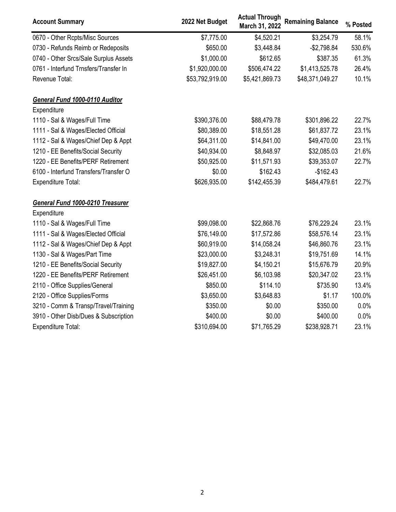| <b>Account Summary</b>                | 2022 Net Budget | <b>Actual Through</b><br>March 31, 2022 | <b>Remaining Balance</b> | % Posted |
|---------------------------------------|-----------------|-----------------------------------------|--------------------------|----------|
| 0670 - Other Rcpts/Misc Sources       | \$7,775.00      | \$4,520.21                              | \$3,254.79               | 58.1%    |
| 0730 - Refunds Reimb or Redeposits    | \$650.00        | \$3,448.84                              | $-$2,798.84$             | 530.6%   |
| 0740 - Other Srcs/Sale Surplus Assets | \$1,000.00      | \$612.65                                | \$387.35                 | 61.3%    |
| 0761 - Interfund Trnsfers/Transfer In | \$1,920,000.00  | \$506,474.22                            | \$1,413,525.78           | 26.4%    |
| Revenue Total:                        | \$53,792,919.00 | \$5,421,869.73                          | \$48,371,049.27          | 10.1%    |
| General Fund 1000-0110 Auditor        |                 |                                         |                          |          |
| Expenditure                           |                 |                                         |                          |          |
| 1110 - Sal & Wages/Full Time          | \$390,376.00    | \$88,479.78                             | \$301,896.22             | 22.7%    |
| 1111 - Sal & Wages/Elected Official   | \$80,389.00     | \$18,551.28                             | \$61,837.72              | 23.1%    |
| 1112 - Sal & Wages/Chief Dep & Appt   | \$64,311.00     | \$14,841.00                             | \$49,470.00              | 23.1%    |
| 1210 - EE Benefits/Social Security    | \$40,934.00     | \$8,848.97                              | \$32,085.03              | 21.6%    |
| 1220 - EE Benefits/PERF Retirement    | \$50,925.00     | \$11,571.93                             | \$39,353.07              | 22.7%    |
| 6100 - Interfund Transfers/Transfer O | \$0.00          | \$162.43                                | $-$162.43$               |          |
| Expenditure Total:                    | \$626,935.00    | \$142,455.39                            | \$484,479.61             | 22.7%    |
| General Fund 1000-0210 Treasurer      |                 |                                         |                          |          |
| Expenditure                           |                 |                                         |                          |          |
| 1110 - Sal & Wages/Full Time          | \$99,098.00     | \$22,868.76                             | \$76,229.24              | 23.1%    |
| 1111 - Sal & Wages/Elected Official   | \$76,149.00     | \$17,572.86                             | \$58,576.14              | 23.1%    |
| 1112 - Sal & Wages/Chief Dep & Appt   | \$60,919.00     | \$14,058.24                             | \$46,860.76              | 23.1%    |
| 1130 - Sal & Wages/Part Time          | \$23,000.00     | \$3,248.31                              | \$19,751.69              | 14.1%    |
| 1210 - EE Benefits/Social Security    | \$19,827.00     | \$4,150.21                              | \$15,676.79              | 20.9%    |
| 1220 - EE Benefits/PERF Retirement    | \$26,451.00     | \$6,103.98                              | \$20,347.02              | 23.1%    |
| 2110 - Office Supplies/General        | \$850.00        | \$114.10                                | \$735.90                 | 13.4%    |
| 2120 - Office Supplies/Forms          | \$3,650.00      | \$3,648.83                              | \$1.17                   | 100.0%   |
| 3210 - Comm & Transp/Travel/Training  | \$350.00        | \$0.00                                  | \$350.00                 | 0.0%     |
| 3910 - Other Disb/Dues & Subscription | \$400.00        | \$0.00                                  | \$400.00                 | 0.0%     |
| Expenditure Total:                    | \$310,694.00    | \$71,765.29                             | \$238,928.71             | 23.1%    |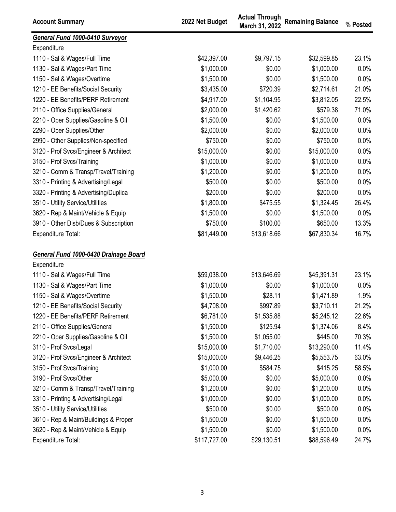| <b>Account Summary</b>                | 2022 Net Budget | <b>Actual Through</b><br>March 31, 2022 | <b>Remaining Balance</b> | % Posted |
|---------------------------------------|-----------------|-----------------------------------------|--------------------------|----------|
| General Fund 1000-0410 Surveyor       |                 |                                         |                          |          |
| Expenditure                           |                 |                                         |                          |          |
| 1110 - Sal & Wages/Full Time          | \$42,397.00     | \$9,797.15                              | \$32,599.85              | 23.1%    |
| 1130 - Sal & Wages/Part Time          | \$1,000.00      | \$0.00                                  | \$1,000.00               | 0.0%     |
| 1150 - Sal & Wages/Overtime           | \$1,500.00      | \$0.00                                  | \$1,500.00               | 0.0%     |
| 1210 - EE Benefits/Social Security    | \$3,435.00      | \$720.39                                | \$2,714.61               | 21.0%    |
| 1220 - EE Benefits/PERF Retirement    | \$4,917.00      | \$1,104.95                              | \$3,812.05               | 22.5%    |
| 2110 - Office Supplies/General        | \$2,000.00      | \$1,420.62                              | \$579.38                 | 71.0%    |
| 2210 - Oper Supplies/Gasoline & Oil   | \$1,500.00      | \$0.00                                  | \$1,500.00               | 0.0%     |
| 2290 - Oper Supplies/Other            | \$2,000.00      | \$0.00                                  | \$2,000.00               | 0.0%     |
| 2990 - Other Supplies/Non-specified   | \$750.00        | \$0.00                                  | \$750.00                 | 0.0%     |
| 3120 - Prof Svcs/Engineer & Architect | \$15,000.00     | \$0.00                                  | \$15,000.00              | 0.0%     |
| 3150 - Prof Svcs/Training             | \$1,000.00      | \$0.00                                  | \$1,000.00               | 0.0%     |
| 3210 - Comm & Transp/Travel/Training  | \$1,200.00      | \$0.00                                  | \$1,200.00               | 0.0%     |
| 3310 - Printing & Advertising/Legal   | \$500.00        | \$0.00                                  | \$500.00                 | 0.0%     |
| 3320 - Printing & Advertising/Duplica | \$200.00        | \$0.00                                  | \$200.00                 | 0.0%     |
| 3510 - Utility Service/Utilities      | \$1,800.00      | \$475.55                                | \$1,324.45               | 26.4%    |
| 3620 - Rep & Maint/Vehicle & Equip    | \$1,500.00      | \$0.00                                  | \$1,500.00               | 0.0%     |
| 3910 - Other Disb/Dues & Subscription | \$750.00        | \$100.00                                | \$650.00                 | 13.3%    |
| <b>Expenditure Total:</b>             | \$81,449.00     | \$13,618.66                             | \$67,830.34              | 16.7%    |
| General Fund 1000-0430 Drainage Board |                 |                                         |                          |          |
| Expenditure                           |                 |                                         |                          |          |
| 1110 - Sal & Wages/Full Time          | \$59,038.00     | \$13,646.69                             | \$45,391.31              | 23.1%    |
| 1130 - Sal & Wages/Part Time          | \$1,000.00      | \$0.00                                  | \$1,000.00               | 0.0%     |
| 1150 - Sal & Wages/Overtime           | \$1,500.00      | \$28.11                                 | \$1,471.89               | 1.9%     |
| 1210 - EE Benefits/Social Security    | \$4,708.00      | \$997.89                                | \$3,710.11               | 21.2%    |
| 1220 - EE Benefits/PERF Retirement    | \$6,781.00      | \$1,535.88                              | \$5,245.12               | 22.6%    |
| 2110 - Office Supplies/General        | \$1,500.00      | \$125.94                                | \$1,374.06               | 8.4%     |
| 2210 - Oper Supplies/Gasoline & Oil   | \$1,500.00      | \$1,055.00                              | \$445.00                 | 70.3%    |
| 3110 - Prof Svcs/Legal                | \$15,000.00     | \$1,710.00                              | \$13,290.00              | 11.4%    |
| 3120 - Prof Svcs/Engineer & Architect | \$15,000.00     | \$9,446.25                              | \$5,553.75               | 63.0%    |
| 3150 - Prof Svcs/Training             | \$1,000.00      | \$584.75                                | \$415.25                 | 58.5%    |
| 3190 - Prof Svcs/Other                | \$5,000.00      | \$0.00                                  | \$5,000.00               | 0.0%     |
| 3210 - Comm & Transp/Travel/Training  | \$1,200.00      | \$0.00                                  | \$1,200.00               | 0.0%     |
| 3310 - Printing & Advertising/Legal   | \$1,000.00      | \$0.00                                  | \$1,000.00               | 0.0%     |
| 3510 - Utility Service/Utilities      | \$500.00        | \$0.00                                  | \$500.00                 | 0.0%     |
| 3610 - Rep & Maint/Buildings & Proper | \$1,500.00      | \$0.00                                  | \$1,500.00               | 0.0%     |
| 3620 - Rep & Maint/Vehicle & Equip    | \$1,500.00      | \$0.00                                  | \$1,500.00               | 0.0%     |
| <b>Expenditure Total:</b>             | \$117,727.00    | \$29,130.51                             | \$88,596.49              | 24.7%    |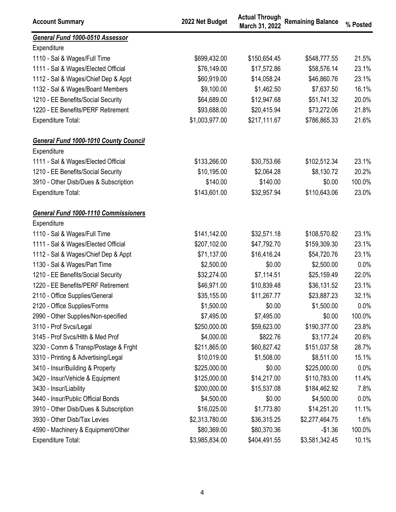| <b>Account Summary</b>                       | 2022 Net Budget | <b>Actual Through</b><br>March 31, 2022 | <b>Remaining Balance</b> | % Posted |
|----------------------------------------------|-----------------|-----------------------------------------|--------------------------|----------|
| General Fund 1000-0510 Assessor              |                 |                                         |                          |          |
| Expenditure                                  |                 |                                         |                          |          |
| 1110 - Sal & Wages/Full Time                 | \$699,432.00    | \$150,654.45                            | \$548,777.55             | 21.5%    |
| 1111 - Sal & Wages/Elected Official          | \$76,149.00     | \$17,572.86                             | \$58,576.14              | 23.1%    |
| 1112 - Sal & Wages/Chief Dep & Appt          | \$60,919.00     | \$14,058.24                             | \$46,860.76              | 23.1%    |
| 1132 - Sal & Wages/Board Members             | \$9,100.00      | \$1,462.50                              | \$7,637.50               | 16.1%    |
| 1210 - EE Benefits/Social Security           | \$64,689.00     | \$12,947.68                             | \$51,741.32              | 20.0%    |
| 1220 - EE Benefits/PERF Retirement           | \$93,688.00     | \$20,415.94                             | \$73,272.06              | 21.8%    |
| Expenditure Total:                           | \$1,003,977.00  | \$217,111.67                            | \$786,865.33             | 21.6%    |
| <b>General Fund 1000-1010 County Council</b> |                 |                                         |                          |          |
| Expenditure                                  |                 |                                         |                          |          |
| 1111 - Sal & Wages/Elected Official          | \$133,266.00    | \$30,753.66                             | \$102,512.34             | 23.1%    |
| 1210 - EE Benefits/Social Security           | \$10,195.00     | \$2,064.28                              | \$8,130.72               | 20.2%    |
| 3910 - Other Disb/Dues & Subscription        | \$140.00        | \$140.00                                | \$0.00                   | 100.0%   |
| Expenditure Total:                           | \$143,601.00    | \$32,957.94                             | \$110,643.06             | 23.0%    |
| <b>General Fund 1000-1110 Commissioners</b>  |                 |                                         |                          |          |
| Expenditure                                  |                 |                                         |                          |          |
| 1110 - Sal & Wages/Full Time                 | \$141,142.00    | \$32,571.18                             | \$108,570.82             | 23.1%    |
| 1111 - Sal & Wages/Elected Official          | \$207,102.00    | \$47,792.70                             | \$159,309.30             | 23.1%    |
| 1112 - Sal & Wages/Chief Dep & Appt          | \$71,137.00     | \$16,416.24                             | \$54,720.76              | 23.1%    |
| 1130 - Sal & Wages/Part Time                 | \$2,500.00      | \$0.00                                  | \$2,500.00               | 0.0%     |
| 1210 - EE Benefits/Social Security           | \$32,274.00     | \$7,114.51                              | \$25,159.49              | 22.0%    |
| 1220 - EE Benefits/PERF Retirement           | \$46,971.00     | \$10,839.48                             | \$36,131.52              | 23.1%    |
| 2110 - Office Supplies/General               | \$35,155.00     | \$11,267.77                             | \$23,887.23              | 32.1%    |
| 2120 - Office Supplies/Forms                 | \$1,500.00      | \$0.00                                  | \$1,500.00               | 0.0%     |
| 2990 - Other Supplies/Non-specified          | \$7,495.00      | \$7,495.00                              | \$0.00                   | 100.0%   |
| 3110 - Prof Svcs/Legal                       | \$250,000.00    | \$59,623.00                             | \$190,377.00             | 23.8%    |
| 3145 - Prof Svcs/Hlth & Med Prof             | \$4,000.00      | \$822.76                                | \$3,177.24               | 20.6%    |
| 3230 - Comm & Transp/Postage & Frght         | \$211,865.00    | \$60,827.42                             | \$151,037.58             | 28.7%    |
| 3310 - Printing & Advertising/Legal          | \$10,019.00     | \$1,508.00                              | \$8,511.00               | 15.1%    |
| 3410 - Insur/Building & Property             | \$225,000.00    | \$0.00                                  | \$225,000.00             | 0.0%     |
| 3420 - Insur/Vehicle & Equipment             | \$125,000.00    | \$14,217.00                             | \$110,783.00             | 11.4%    |
| 3430 - Insur/Liability                       | \$200,000.00    | \$15,537.08                             | \$184,462.92             | 7.8%     |
| 3440 - Insur/Public Official Bonds           | \$4,500.00      | \$0.00                                  | \$4,500.00               | 0.0%     |
| 3910 - Other Disb/Dues & Subscription        | \$16,025.00     | \$1,773.80                              | \$14,251.20              | 11.1%    |
| 3930 - Other Disb/Tax Levies                 | \$2,313,780.00  | \$36,315.25                             | \$2,277,464.75           | 1.6%     |
| 4590 - Machinery & Equipment/Other           | \$80,369.00     | \$80,370.36                             | $-$1.36$                 | 100.0%   |
| Expenditure Total:                           | \$3,985,834.00  | \$404,491.55                            | \$3,581,342.45           | 10.1%    |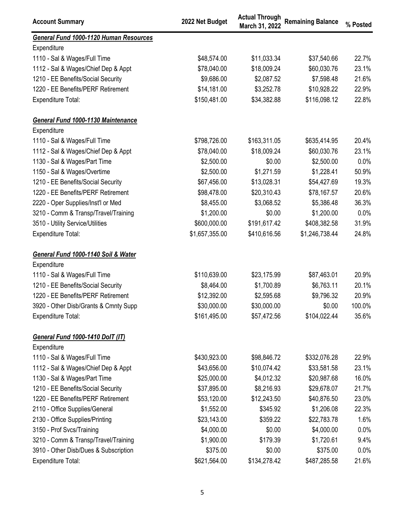| <b>Account Summary</b>                  | 2022 Net Budget | <b>Actual Through</b><br>March 31, 2022 | <b>Remaining Balance</b> | % Posted |
|-----------------------------------------|-----------------|-----------------------------------------|--------------------------|----------|
| General Fund 1000-1120 Human Resources  |                 |                                         |                          |          |
| Expenditure                             |                 |                                         |                          |          |
| 1110 - Sal & Wages/Full Time            | \$48,574.00     | \$11,033.34                             | \$37,540.66              | 22.7%    |
| 1112 - Sal & Wages/Chief Dep & Appt     | \$78,040.00     | \$18,009.24                             | \$60,030.76              | 23.1%    |
| 1210 - EE Benefits/Social Security      | \$9,686.00      | \$2,087.52                              | \$7,598.48               | 21.6%    |
| 1220 - EE Benefits/PERF Retirement      | \$14,181.00     | \$3,252.78                              | \$10,928.22              | 22.9%    |
| <b>Expenditure Total:</b>               | \$150,481.00    | \$34,382.88                             | \$116,098.12             | 22.8%    |
| General Fund 1000-1130 Maintenance      |                 |                                         |                          |          |
| Expenditure                             |                 |                                         |                          |          |
| 1110 - Sal & Wages/Full Time            | \$798,726.00    | \$163,311.05                            | \$635,414.95             | 20.4%    |
| 1112 - Sal & Wages/Chief Dep & Appt     | \$78,040.00     | \$18,009.24                             | \$60,030.76              | 23.1%    |
| 1130 - Sal & Wages/Part Time            | \$2,500.00      | \$0.00                                  | \$2,500.00               | 0.0%     |
| 1150 - Sal & Wages/Overtime             | \$2,500.00      | \$1,271.59                              | \$1,228.41               | 50.9%    |
| 1210 - EE Benefits/Social Security      | \$67,456.00     | \$13,028.31                             | \$54,427.69              | 19.3%    |
| 1220 - EE Benefits/PERF Retirement      | \$98,478.00     | \$20,310.43                             | \$78,167.57              | 20.6%    |
| 2220 - Oper Supplies/Inst'l or Med      | \$8,455.00      | \$3,068.52                              | \$5,386.48               | 36.3%    |
| 3210 - Comm & Transp/Travel/Training    | \$1,200.00      | \$0.00                                  | \$1,200.00               | 0.0%     |
| 3510 - Utility Service/Utilities        | \$600,000.00    | \$191,617.42                            | \$408,382.58             | 31.9%    |
| Expenditure Total:                      | \$1,657,355.00  | \$410,616.56                            | \$1,246,738.44           | 24.8%    |
| General Fund 1000-1140 Soil & Water     |                 |                                         |                          |          |
| Expenditure                             |                 |                                         |                          |          |
| 1110 - Sal & Wages/Full Time            | \$110,639.00    | \$23,175.99                             | \$87,463.01              | 20.9%    |
| 1210 - EE Benefits/Social Security      | \$8,464.00      | \$1,700.89                              | \$6,763.11               | 20.1%    |
| 1220 - EE Benefits/PERF Retirement      | \$12,392.00     | \$2,595.68                              | \$9,796.32               | 20.9%    |
| 3920 - Other Disb/Grants & Cmnty Supp   | \$30,000.00     | \$30,000.00                             | \$0.00                   | 100.0%   |
| Expenditure Total:                      | \$161,495.00    | \$57,472.56                             | \$104,022.44             | 35.6%    |
| <b>General Fund 1000-1410 DolT (IT)</b> |                 |                                         |                          |          |
| Expenditure                             |                 |                                         |                          |          |
| 1110 - Sal & Wages/Full Time            | \$430,923.00    | \$98,846.72                             | \$332,076.28             | 22.9%    |
| 1112 - Sal & Wages/Chief Dep & Appt     | \$43,656.00     | \$10,074.42                             | \$33,581.58              | 23.1%    |
| 1130 - Sal & Wages/Part Time            | \$25,000.00     | \$4,012.32                              | \$20,987.68              | 16.0%    |
| 1210 - EE Benefits/Social Security      | \$37,895.00     | \$8,216.93                              | \$29,678.07              | 21.7%    |
| 1220 - EE Benefits/PERF Retirement      | \$53,120.00     | \$12,243.50                             | \$40,876.50              | 23.0%    |
| 2110 - Office Supplies/General          | \$1,552.00      | \$345.92                                | \$1,206.08               | 22.3%    |
| 2130 - Office Supplies/Printing         | \$23,143.00     | \$359.22                                | \$22,783.78              | 1.6%     |
| 3150 - Prof Svcs/Training               | \$4,000.00      | \$0.00                                  | \$4,000.00               | 0.0%     |
| 3210 - Comm & Transp/Travel/Training    | \$1,900.00      | \$179.39                                | \$1,720.61               | 9.4%     |
| 3910 - Other Disb/Dues & Subscription   | \$375.00        | \$0.00                                  | \$375.00                 | 0.0%     |
| Expenditure Total:                      | \$621,564.00    | \$134,278.42                            | \$487,285.58             | 21.6%    |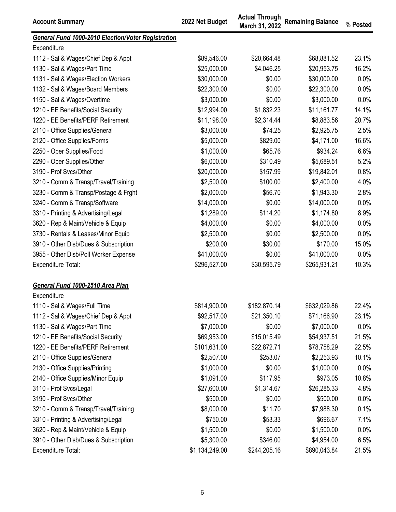| <b>Account Summary</b>                                    | 2022 Net Budget | <b>Actual Through</b><br>March 31, 2022 | <b>Remaining Balance</b> | % Posted |
|-----------------------------------------------------------|-----------------|-----------------------------------------|--------------------------|----------|
| <b>General Fund 1000-2010 Election/Voter Registration</b> |                 |                                         |                          |          |
| Expenditure                                               |                 |                                         |                          |          |
| 1112 - Sal & Wages/Chief Dep & Appt                       | \$89,546.00     | \$20,664.48                             | \$68,881.52              | 23.1%    |
| 1130 - Sal & Wages/Part Time                              | \$25,000.00     | \$4,046.25                              | \$20,953.75              | 16.2%    |
| 1131 - Sal & Wages/Election Workers                       | \$30,000.00     | \$0.00                                  | \$30,000.00              | 0.0%     |
| 1132 - Sal & Wages/Board Members                          | \$22,300.00     | \$0.00                                  | \$22,300.00              | 0.0%     |
| 1150 - Sal & Wages/Overtime                               | \$3,000.00      | \$0.00                                  | \$3,000.00               | 0.0%     |
| 1210 - EE Benefits/Social Security                        | \$12,994.00     | \$1,832.23                              | \$11,161.77              | 14.1%    |
| 1220 - EE Benefits/PERF Retirement                        | \$11,198.00     | \$2,314.44                              | \$8,883.56               | 20.7%    |
| 2110 - Office Supplies/General                            | \$3,000.00      | \$74.25                                 | \$2,925.75               | 2.5%     |
| 2120 - Office Supplies/Forms                              | \$5,000.00      | \$829.00                                | \$4,171.00               | 16.6%    |
| 2250 - Oper Supplies/Food                                 | \$1,000.00      | \$65.76                                 | \$934.24                 | 6.6%     |
| 2290 - Oper Supplies/Other                                | \$6,000.00      | \$310.49                                | \$5,689.51               | 5.2%     |
| 3190 - Prof Svcs/Other                                    | \$20,000.00     | \$157.99                                | \$19,842.01              | 0.8%     |
| 3210 - Comm & Transp/Travel/Training                      | \$2,500.00      | \$100.00                                | \$2,400.00               | 4.0%     |
| 3230 - Comm & Transp/Postage & Frght                      | \$2,000.00      | \$56.70                                 | \$1,943.30               | 2.8%     |
| 3240 - Comm & Transp/Software                             | \$14,000.00     | \$0.00                                  | \$14,000.00              | 0.0%     |
| 3310 - Printing & Advertising/Legal                       | \$1,289.00      | \$114.20                                | \$1,174.80               | 8.9%     |
| 3620 - Rep & Maint/Vehicle & Equip                        | \$4,000.00      | \$0.00                                  | \$4,000.00               | 0.0%     |
| 3730 - Rentals & Leases/Minor Equip                       | \$2,500.00      | \$0.00                                  | \$2,500.00               | 0.0%     |
| 3910 - Other Disb/Dues & Subscription                     | \$200.00        | \$30.00                                 | \$170.00                 | 15.0%    |
| 3955 - Other Disb/Poll Worker Expense                     | \$41,000.00     | \$0.00                                  | \$41,000.00              | 0.0%     |
| Expenditure Total:                                        | \$296,527.00    | \$30,595.79                             | \$265,931.21             | 10.3%    |
|                                                           |                 |                                         |                          |          |
| General Fund 1000-2510 Area Plan                          |                 |                                         |                          |          |
| Expenditure                                               |                 |                                         |                          |          |
| 1110 - Sal & Wages/Full Time                              | \$814,900.00    | \$182,870.14                            | \$632,029.86             | 22.4%    |
| 1112 - Sal & Wages/Chief Dep & Appt                       | \$92,517.00     | \$21,350.10                             | \$71,166.90              | 23.1%    |
| 1130 - Sal & Wages/Part Time                              | \$7,000.00      | \$0.00                                  | \$7,000.00               | 0.0%     |
| 1210 - EE Benefits/Social Security                        | \$69,953.00     | \$15,015.49                             | \$54,937.51              | 21.5%    |
| 1220 - EE Benefits/PERF Retirement                        | \$101,631.00    | \$22,872.71                             | \$78,758.29              | 22.5%    |
| 2110 - Office Supplies/General                            | \$2,507.00      | \$253.07                                | \$2,253.93               | 10.1%    |
| 2130 - Office Supplies/Printing                           | \$1,000.00      | \$0.00                                  | \$1,000.00               | $0.0\%$  |
| 2140 - Office Supplies/Minor Equip                        | \$1,091.00      | \$117.95                                | \$973.05                 | 10.8%    |
| 3110 - Prof Svcs/Legal                                    | \$27,600.00     | \$1,314.67                              | \$26,285.33              | 4.8%     |
| 3190 - Prof Svcs/Other                                    | \$500.00        | \$0.00                                  | \$500.00                 | 0.0%     |
| 3210 - Comm & Transp/Travel/Training                      | \$8,000.00      | \$11.70                                 | \$7,988.30               | 0.1%     |
| 3310 - Printing & Advertising/Legal                       | \$750.00        | \$53.33                                 | \$696.67                 | 7.1%     |
| 3620 - Rep & Maint/Vehicle & Equip                        | \$1,500.00      | \$0.00                                  | \$1,500.00               | 0.0%     |
| 3910 - Other Disb/Dues & Subscription                     | \$5,300.00      | \$346.00                                | \$4,954.00               | 6.5%     |
| <b>Expenditure Total:</b>                                 | \$1,134,249.00  | \$244,205.16                            | \$890,043.84             | 21.5%    |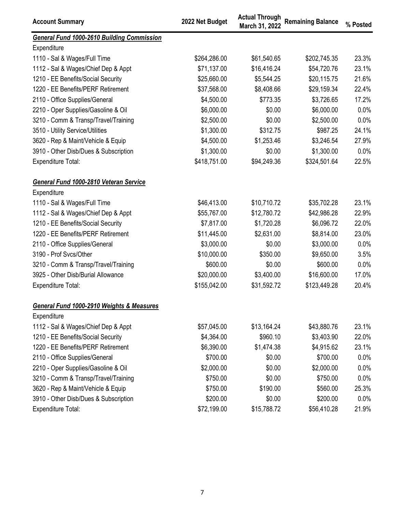| <b>Account Summary</b>                            | 2022 Net Budget | <b>Actual Through</b><br>March 31, 2022 | <b>Remaining Balance</b> | % Posted |
|---------------------------------------------------|-----------------|-----------------------------------------|--------------------------|----------|
| <b>General Fund 1000-2610 Building Commission</b> |                 |                                         |                          |          |
| Expenditure                                       |                 |                                         |                          |          |
| 1110 - Sal & Wages/Full Time                      | \$264,286.00    | \$61,540.65                             | \$202,745.35             | 23.3%    |
| 1112 - Sal & Wages/Chief Dep & Appt               | \$71,137.00     | \$16,416.24                             | \$54,720.76              | 23.1%    |
| 1210 - EE Benefits/Social Security                | \$25,660.00     | \$5,544.25                              | \$20,115.75              | 21.6%    |
| 1220 - EE Benefits/PERF Retirement                | \$37,568.00     | \$8,408.66                              | \$29,159.34              | 22.4%    |
| 2110 - Office Supplies/General                    | \$4,500.00      | \$773.35                                | \$3,726.65               | 17.2%    |
| 2210 - Oper Supplies/Gasoline & Oil               | \$6,000.00      | \$0.00                                  | \$6,000.00               | 0.0%     |
| 3210 - Comm & Transp/Travel/Training              | \$2,500.00      | \$0.00                                  | \$2,500.00               | 0.0%     |
| 3510 - Utility Service/Utilities                  | \$1,300.00      | \$312.75                                | \$987.25                 | 24.1%    |
| 3620 - Rep & Maint/Vehicle & Equip                | \$4,500.00      | \$1,253.46                              | \$3,246.54               | 27.9%    |
| 3910 - Other Disb/Dues & Subscription             | \$1,300.00      | \$0.00                                  | \$1,300.00               | 0.0%     |
| Expenditure Total:                                | \$418,751.00    | \$94,249.36                             | \$324,501.64             | 22.5%    |
| General Fund 1000-2810 Veteran Service            |                 |                                         |                          |          |
| Expenditure                                       |                 |                                         |                          |          |
| 1110 - Sal & Wages/Full Time                      | \$46,413.00     | \$10,710.72                             | \$35,702.28              | 23.1%    |
| 1112 - Sal & Wages/Chief Dep & Appt               | \$55,767.00     | \$12,780.72                             | \$42,986.28              | 22.9%    |
| 1210 - EE Benefits/Social Security                | \$7,817.00      | \$1,720.28                              | \$6,096.72               | 22.0%    |
| 1220 - EE Benefits/PERF Retirement                | \$11,445.00     | \$2,631.00                              | \$8,814.00               | 23.0%    |
| 2110 - Office Supplies/General                    | \$3,000.00      | \$0.00                                  | \$3,000.00               | 0.0%     |
| 3190 - Prof Svcs/Other                            | \$10,000.00     | \$350.00                                | \$9,650.00               | 3.5%     |
| 3210 - Comm & Transp/Travel/Training              | \$600.00        | \$0.00                                  | \$600.00                 | 0.0%     |
| 3925 - Other Disb/Burial Allowance                | \$20,000.00     | \$3,400.00                              | \$16,600.00              | 17.0%    |
| Expenditure Total:                                | \$155,042.00    | \$31,592.72                             | \$123,449.28             | 20.4%    |
| General Fund 1000-2910 Weights & Measures         |                 |                                         |                          |          |
| Expenditure                                       |                 |                                         |                          |          |
| 1112 - Sal & Wages/Chief Dep & Appt               | \$57,045.00     | \$13,164.24                             | \$43,880.76              | 23.1%    |
| 1210 - EE Benefits/Social Security                | \$4,364.00      | \$960.10                                | \$3,403.90               | 22.0%    |
| 1220 - EE Benefits/PERF Retirement                | \$6,390.00      | \$1,474.38                              | \$4,915.62               | 23.1%    |
| 2110 - Office Supplies/General                    | \$700.00        | \$0.00                                  | \$700.00                 | 0.0%     |
| 2210 - Oper Supplies/Gasoline & Oil               | \$2,000.00      | \$0.00                                  | \$2,000.00               | 0.0%     |
| 3210 - Comm & Transp/Travel/Training              | \$750.00        | \$0.00                                  | \$750.00                 | 0.0%     |
| 3620 - Rep & Maint/Vehicle & Equip                | \$750.00        | \$190.00                                | \$560.00                 | 25.3%    |
| 3910 - Other Disb/Dues & Subscription             | \$200.00        | \$0.00                                  | \$200.00                 | 0.0%     |
| Expenditure Total:                                | \$72,199.00     | \$15,788.72                             | \$56,410.28              | 21.9%    |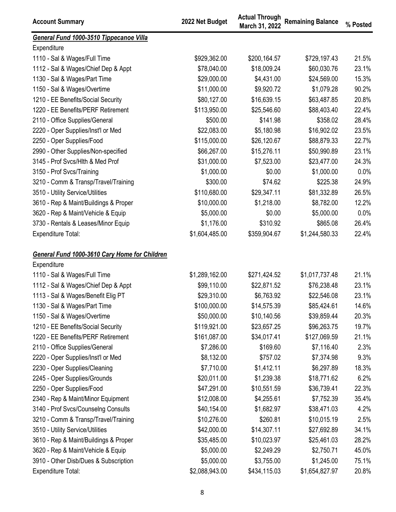| <b>Account Summary</b>                        | 2022 Net Budget | <b>Actual Through</b><br>March 31, 2022 | <b>Remaining Balance</b> | % Posted |
|-----------------------------------------------|-----------------|-----------------------------------------|--------------------------|----------|
| General Fund 1000-3510 Tippecanoe Villa       |                 |                                         |                          |          |
| Expenditure                                   |                 |                                         |                          |          |
| 1110 - Sal & Wages/Full Time                  | \$929,362.00    | \$200,164.57                            | \$729,197.43             | 21.5%    |
| 1112 - Sal & Wages/Chief Dep & Appt           | \$78,040.00     | \$18,009.24                             | \$60,030.76              | 23.1%    |
| 1130 - Sal & Wages/Part Time                  | \$29,000.00     | \$4,431.00                              | \$24,569.00              | 15.3%    |
| 1150 - Sal & Wages/Overtime                   | \$11,000.00     | \$9,920.72                              | \$1,079.28               | 90.2%    |
| 1210 - EE Benefits/Social Security            | \$80,127.00     | \$16,639.15                             | \$63,487.85              | 20.8%    |
| 1220 - EE Benefits/PERF Retirement            | \$113,950.00    | \$25,546.60                             | \$88,403.40              | 22.4%    |
| 2110 - Office Supplies/General                | \$500.00        | \$141.98                                | \$358.02                 | 28.4%    |
| 2220 - Oper Supplies/Inst'l or Med            | \$22,083.00     | \$5,180.98                              | \$16,902.02              | 23.5%    |
| 2250 - Oper Supplies/Food                     | \$115,000.00    | \$26,120.67                             | \$88,879.33              | 22.7%    |
| 2990 - Other Supplies/Non-specified           | \$66,267.00     | \$15,276.11                             | \$50,990.89              | 23.1%    |
| 3145 - Prof Svcs/Hlth & Med Prof              | \$31,000.00     | \$7,523.00                              | \$23,477.00              | 24.3%    |
| 3150 - Prof Svcs/Training                     | \$1,000.00      | \$0.00                                  | \$1,000.00               | 0.0%     |
| 3210 - Comm & Transp/Travel/Training          | \$300.00        | \$74.62                                 | \$225.38                 | 24.9%    |
| 3510 - Utility Service/Utilities              | \$110,680.00    | \$29,347.11                             | \$81,332.89              | 26.5%    |
| 3610 - Rep & Maint/Buildings & Proper         | \$10,000.00     | \$1,218.00                              | \$8,782.00               | 12.2%    |
| 3620 - Rep & Maint/Vehicle & Equip            | \$5,000.00      | \$0.00                                  | \$5,000.00               | 0.0%     |
| 3730 - Rentals & Leases/Minor Equip           | \$1,176.00      | \$310.92                                | \$865.08                 | 26.4%    |
| Expenditure Total:                            | \$1,604,485.00  | \$359,904.67                            | \$1,244,580.33           | 22.4%    |
| General Fund 1000-3610 Cary Home for Children |                 |                                         |                          |          |
| Expenditure                                   |                 |                                         |                          |          |
| 1110 - Sal & Wages/Full Time                  | \$1,289,162.00  | \$271,424.52                            | \$1,017,737.48           | 21.1%    |
| 1112 - Sal & Wages/Chief Dep & Appt           | \$99,110.00     | \$22,871.52                             | \$76,238.48              | 23.1%    |
| 1113 - Sal & Wages/Benefit Elig PT            | \$29,310.00     | \$6,763.92                              | \$22,546.08              | 23.1%    |
| 1130 - Sal & Wages/Part Time                  | \$100,000.00    | \$14,575.39                             | \$85,424.61              | 14.6%    |
| 1150 - Sal & Wages/Overtime                   | \$50,000.00     | \$10,140.56                             | \$39,859.44              | 20.3%    |
| 1210 - EE Benefits/Social Security            | \$119,921.00    | \$23,657.25                             | \$96,263.75              | 19.7%    |
| 1220 - EE Benefits/PERF Retirement            | \$161,087.00    | \$34,017.41                             | \$127,069.59             | 21.1%    |
| 2110 - Office Supplies/General                | \$7,286.00      | \$169.60                                | \$7,116.40               | 2.3%     |
| 2220 - Oper Supplies/Inst'l or Med            | \$8,132.00      | \$757.02                                | \$7,374.98               | 9.3%     |
| 2230 - Oper Supplies/Cleaning                 | \$7,710.00      | \$1,412.11                              | \$6,297.89               | 18.3%    |
| 2245 - Oper Supplies/Grounds                  | \$20,011.00     | \$1,239.38                              | \$18,771.62              | 6.2%     |
| 2250 - Oper Supplies/Food                     | \$47,291.00     | \$10,551.59                             | \$36,739.41              | 22.3%    |
| 2340 - Rep & Maint/Minor Equipment            | \$12,008.00     | \$4,255.61                              | \$7,752.39               | 35.4%    |
| 3140 - Prof Svcs/Counselng Consults           | \$40,154.00     | \$1,682.97                              | \$38,471.03              | 4.2%     |
| 3210 - Comm & Transp/Travel/Training          | \$10,276.00     | \$260.81                                | \$10,015.19              | 2.5%     |
| 3510 - Utility Service/Utilities              | \$42,000.00     | \$14,307.11                             | \$27,692.89              | 34.1%    |
| 3610 - Rep & Maint/Buildings & Proper         | \$35,485.00     | \$10,023.97                             | \$25,461.03              | 28.2%    |
| 3620 - Rep & Maint/Vehicle & Equip            | \$5,000.00      | \$2,249.29                              | \$2,750.71               | 45.0%    |
| 3910 - Other Disb/Dues & Subscription         | \$5,000.00      | \$3,755.00                              | \$1,245.00               | 75.1%    |
| Expenditure Total:                            | \$2,088,943.00  | \$434,115.03                            | \$1,654,827.97           | 20.8%    |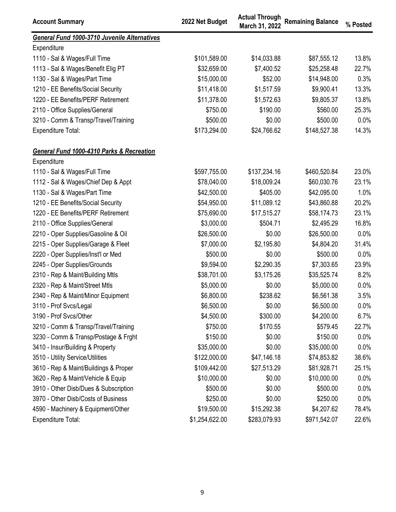| <b>Account Summary</b>                               | 2022 Net Budget | <b>Actual Through</b><br>March 31, 2022 | <b>Remaining Balance</b> | % Posted |
|------------------------------------------------------|-----------------|-----------------------------------------|--------------------------|----------|
| <b>General Fund 1000-3710 Juvenile Alternatives</b>  |                 |                                         |                          |          |
| Expenditure                                          |                 |                                         |                          |          |
| 1110 - Sal & Wages/Full Time                         | \$101,589.00    | \$14,033.88                             | \$87,555.12              | 13.8%    |
| 1113 - Sal & Wages/Benefit Elig PT                   | \$32,659.00     | \$7,400.52                              | \$25,258.48              | 22.7%    |
| 1130 - Sal & Wages/Part Time                         | \$15,000.00     | \$52.00                                 | \$14,948.00              | 0.3%     |
| 1210 - EE Benefits/Social Security                   | \$11,418.00     | \$1,517.59                              | \$9,900.41               | 13.3%    |
| 1220 - EE Benefits/PERF Retirement                   | \$11,378.00     | \$1,572.63                              | \$9,805.37               | 13.8%    |
| 2110 - Office Supplies/General                       | \$750.00        | \$190.00                                | \$560.00                 | 25.3%    |
| 3210 - Comm & Transp/Travel/Training                 | \$500.00        | \$0.00                                  | \$500.00                 | 0.0%     |
| Expenditure Total:                                   | \$173,294.00    | \$24,766.62                             | \$148,527.38             | 14.3%    |
| <b>General Fund 1000-4310 Parks &amp; Recreation</b> |                 |                                         |                          |          |
| Expenditure                                          |                 |                                         |                          |          |
| 1110 - Sal & Wages/Full Time                         | \$597,755.00    | \$137,234.16                            | \$460,520.84             | 23.0%    |
| 1112 - Sal & Wages/Chief Dep & Appt                  | \$78,040.00     | \$18,009.24                             | \$60,030.76              | 23.1%    |
| 1130 - Sal & Wages/Part Time                         | \$42,500.00     | \$405.00                                | \$42,095.00              | 1.0%     |
| 1210 - EE Benefits/Social Security                   | \$54,950.00     | \$11,089.12                             | \$43,860.88              | 20.2%    |
| 1220 - EE Benefits/PERF Retirement                   | \$75,690.00     | \$17,515.27                             | \$58,174.73              | 23.1%    |
| 2110 - Office Supplies/General                       | \$3,000.00      | \$504.71                                | \$2,495.29               | 16.8%    |
| 2210 - Oper Supplies/Gasoline & Oil                  | \$26,500.00     | \$0.00                                  | \$26,500.00              | 0.0%     |
| 2215 - Oper Supplies/Garage & Fleet                  | \$7,000.00      | \$2,195.80                              | \$4,804.20               | 31.4%    |
| 2220 - Oper Supplies/Inst'l or Med                   | \$500.00        | \$0.00                                  | \$500.00                 | 0.0%     |
| 2245 - Oper Supplies/Grounds                         | \$9,594.00      | \$2,290.35                              | \$7,303.65               | 23.9%    |
| 2310 - Rep & Maint/Building Mtls                     | \$38,701.00     | \$3,175.26                              | \$35,525.74              | 8.2%     |
| 2320 - Rep & Maint/Street Mtls                       | \$5,000.00      | \$0.00                                  | \$5,000.00               | 0.0%     |
| 2340 - Rep & Maint/Minor Equipment                   | \$6,800.00      | \$238.62                                | \$6,561.38               | 3.5%     |
| 3110 - Prof Svcs/Legal                               | \$6,500.00      | \$0.00                                  | \$6,500.00               | $0.0\%$  |
| 3190 - Prof Svcs/Other                               | \$4,500.00      | \$300.00                                | \$4,200.00               | 6.7%     |
| 3210 - Comm & Transp/Travel/Training                 | \$750.00        | \$170.55                                | \$579.45                 | 22.7%    |
| 3230 - Comm & Transp/Postage & Frght                 | \$150.00        | \$0.00                                  | \$150.00                 | 0.0%     |
| 3410 - Insur/Building & Property                     | \$35,000.00     | \$0.00                                  | \$35,000.00              | 0.0%     |
| 3510 - Utility Service/Utilities                     | \$122,000.00    | \$47,146.18                             | \$74,853.82              | 38.6%    |
| 3610 - Rep & Maint/Buildings & Proper                | \$109,442.00    | \$27,513.29                             | \$81,928.71              | 25.1%    |
| 3620 - Rep & Maint/Vehicle & Equip                   | \$10,000.00     | \$0.00                                  | \$10,000.00              | 0.0%     |
| 3910 - Other Disb/Dues & Subscription                | \$500.00        | \$0.00                                  | \$500.00                 | 0.0%     |
| 3970 - Other Disb/Costs of Business                  | \$250.00        | \$0.00                                  | \$250.00                 | 0.0%     |
| 4590 - Machinery & Equipment/Other                   | \$19,500.00     | \$15,292.38                             | \$4,207.62               | 78.4%    |
| Expenditure Total:                                   | \$1,254,622.00  | \$283,079.93                            | \$971,542.07             | 22.6%    |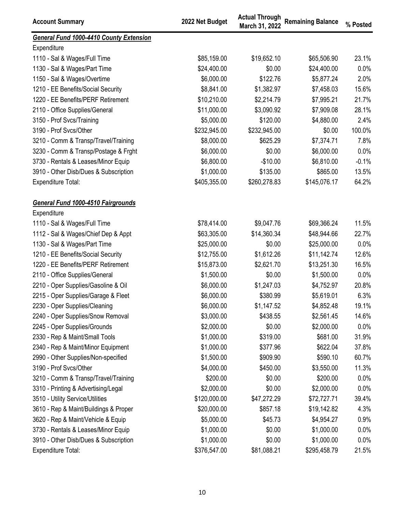| <b>Account Summary</b>                                        | 2022 Net Budget | <b>Actual Through</b> | <b>Remaining Balance</b> | % Posted |
|---------------------------------------------------------------|-----------------|-----------------------|--------------------------|----------|
|                                                               |                 | March 31, 2022        |                          |          |
| <b>General Fund 1000-4410 County Extension</b><br>Expenditure |                 |                       |                          |          |
| 1110 - Sal & Wages/Full Time                                  | \$85,159.00     | \$19,652.10           | \$65,506.90              | 23.1%    |
| 1130 - Sal & Wages/Part Time                                  | \$24,400.00     | \$0.00                | \$24,400.00              | 0.0%     |
| 1150 - Sal & Wages/Overtime                                   | \$6,000.00      | \$122.76              | \$5,877.24               | 2.0%     |
| 1210 - EE Benefits/Social Security                            | \$8,841.00      | \$1,382.97            | \$7,458.03               | 15.6%    |
| 1220 - EE Benefits/PERF Retirement                            | \$10,210.00     | \$2,214.79            | \$7,995.21               | 21.7%    |
|                                                               | \$11,000.00     | \$3,090.92            | \$7,909.08               | 28.1%    |
| 2110 - Office Supplies/General<br>3150 - Prof Svcs/Training   | \$5,000.00      | \$120.00              | \$4,880.00               | 2.4%     |
| 3190 - Prof Svcs/Other                                        |                 |                       | \$0.00                   |          |
|                                                               | \$232,945.00    | \$232,945.00          |                          | 100.0%   |
| 3210 - Comm & Transp/Travel/Training                          | \$8,000.00      | \$625.29              | \$7,374.71               | 7.8%     |
| 3230 - Comm & Transp/Postage & Frght                          | \$6,000.00      | \$0.00                | \$6,000.00               | 0.0%     |
| 3730 - Rentals & Leases/Minor Equip                           | \$6,800.00      | $-$10.00$             | \$6,810.00               | $-0.1%$  |
| 3910 - Other Disb/Dues & Subscription                         | \$1,000.00      | \$135.00              | \$865.00                 | 13.5%    |
| Expenditure Total:                                            | \$405,355.00    | \$260,278.83          | \$145,076.17             | 64.2%    |
| General Fund 1000-4510 Fairgrounds                            |                 |                       |                          |          |
| Expenditure                                                   |                 |                       |                          |          |
| 1110 - Sal & Wages/Full Time                                  | \$78,414.00     | \$9,047.76            | \$69,366.24              | 11.5%    |
| 1112 - Sal & Wages/Chief Dep & Appt                           | \$63,305.00     | \$14,360.34           | \$48,944.66              | 22.7%    |
| 1130 - Sal & Wages/Part Time                                  | \$25,000.00     | \$0.00                | \$25,000.00              | 0.0%     |
| 1210 - EE Benefits/Social Security                            | \$12,755.00     | \$1,612.26            | \$11,142.74              | 12.6%    |
| 1220 - EE Benefits/PERF Retirement                            | \$15,873.00     | \$2,621.70            | \$13,251.30              | 16.5%    |
| 2110 - Office Supplies/General                                | \$1,500.00      | \$0.00                | \$1,500.00               | 0.0%     |
| 2210 - Oper Supplies/Gasoline & Oil                           | \$6,000.00      | \$1,247.03            | \$4,752.97               | 20.8%    |
| 2215 - Oper Supplies/Garage & Fleet                           | \$6,000.00      | \$380.99              | \$5,619.01               | 6.3%     |
| 2230 - Oper Supplies/Cleaning                                 | \$6,000.00      | \$1,147.52            | \$4,852.48               | 19.1%    |
| 2240 - Oper Supplies/Snow Removal                             | \$3,000.00      | \$438.55              | \$2,561.45               | 14.6%    |
| 2245 - Oper Supplies/Grounds                                  | \$2,000.00      | \$0.00                | \$2,000.00               | 0.0%     |
| 2330 - Rep & Maint/Small Tools                                | \$1,000.00      | \$319.00              | \$681.00                 | 31.9%    |
| 2340 - Rep & Maint/Minor Equipment                            | \$1,000.00      | \$377.96              | \$622.04                 | 37.8%    |
| 2990 - Other Supplies/Non-specified                           | \$1,500.00      | \$909.90              | \$590.10                 | 60.7%    |
| 3190 - Prof Svcs/Other                                        | \$4,000.00      | \$450.00              | \$3,550.00               | 11.3%    |
| 3210 - Comm & Transp/Travel/Training                          | \$200.00        | \$0.00                | \$200.00                 | 0.0%     |
| 3310 - Printing & Advertising/Legal                           | \$2,000.00      | \$0.00                | \$2,000.00               | 0.0%     |
| 3510 - Utility Service/Utilities                              | \$120,000.00    | \$47,272.29           | \$72,727.71              | 39.4%    |
| 3610 - Rep & Maint/Buildings & Proper                         | \$20,000.00     | \$857.18              | \$19,142.82              | 4.3%     |
| 3620 - Rep & Maint/Vehicle & Equip                            | \$5,000.00      | \$45.73               | \$4,954.27               | 0.9%     |
| 3730 - Rentals & Leases/Minor Equip                           | \$1,000.00      | \$0.00                | \$1,000.00               | 0.0%     |
| 3910 - Other Disb/Dues & Subscription                         | \$1,000.00      | \$0.00                | \$1,000.00               | 0.0%     |
| Expenditure Total:                                            | \$376,547.00    | \$81,088.21           | \$295,458.79             | 21.5%    |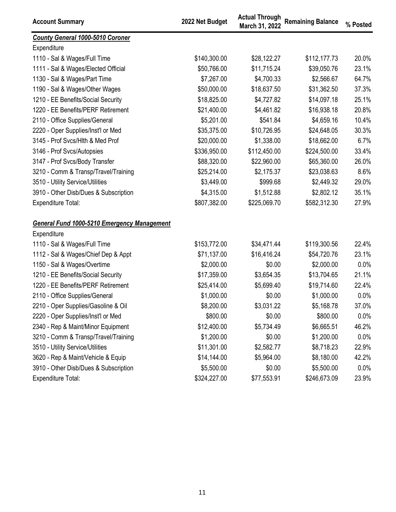| <b>Account Summary</b>                             | 2022 Net Budget | <b>Actual Through</b><br>March 31, 2022 | <b>Remaining Balance</b> | % Posted |
|----------------------------------------------------|-----------------|-----------------------------------------|--------------------------|----------|
| <b>County General 1000-5010 Coroner</b>            |                 |                                         |                          |          |
| Expenditure                                        |                 |                                         |                          |          |
| 1110 - Sal & Wages/Full Time                       | \$140,300.00    | \$28,122.27                             | \$112,177.73             | 20.0%    |
| 1111 - Sal & Wages/Elected Official                | \$50,766.00     | \$11,715.24                             | \$39,050.76              | 23.1%    |
| 1130 - Sal & Wages/Part Time                       | \$7,267.00      | \$4,700.33                              | \$2,566.67               | 64.7%    |
| 1190 - Sal & Wages/Other Wages                     | \$50,000.00     | \$18,637.50                             | \$31,362.50              | 37.3%    |
| 1210 - EE Benefits/Social Security                 | \$18,825.00     | \$4,727.82                              | \$14,097.18              | 25.1%    |
| 1220 - EE Benefits/PERF Retirement                 | \$21,400.00     | \$4,461.82                              | \$16,938.18              | 20.8%    |
| 2110 - Office Supplies/General                     | \$5,201.00      | \$541.84                                | \$4,659.16               | 10.4%    |
| 2220 - Oper Supplies/Inst'l or Med                 | \$35,375.00     | \$10,726.95                             | \$24,648.05              | 30.3%    |
| 3145 - Prof Svcs/Hlth & Med Prof                   | \$20,000.00     | \$1,338.00                              | \$18,662.00              | 6.7%     |
| 3146 - Prof Svcs/Autopsies                         | \$336,950.00    | \$112,450.00                            | \$224,500.00             | 33.4%    |
| 3147 - Prof Svcs/Body Transfer                     | \$88,320.00     | \$22,960.00                             | \$65,360.00              | 26.0%    |
| 3210 - Comm & Transp/Travel/Training               | \$25,214.00     | \$2,175.37                              | \$23,038.63              | 8.6%     |
| 3510 - Utility Service/Utilities                   | \$3,449.00      | \$999.68                                | \$2,449.32               | 29.0%    |
| 3910 - Other Disb/Dues & Subscription              | \$4,315.00      | \$1,512.88                              | \$2,802.12               | 35.1%    |
| <b>Expenditure Total:</b>                          | \$807,382.00    | \$225,069.70                            | \$582,312.30             | 27.9%    |
| <b>General Fund 1000-5210 Emergency Management</b> |                 |                                         |                          |          |
| Expenditure                                        |                 |                                         |                          |          |
| 1110 - Sal & Wages/Full Time                       | \$153,772.00    | \$34,471.44                             | \$119,300.56             | 22.4%    |
| 1112 - Sal & Wages/Chief Dep & Appt                | \$71,137.00     | \$16,416.24                             | \$54,720.76              | 23.1%    |
| 1150 - Sal & Wages/Overtime                        | \$2,000.00      | \$0.00                                  | \$2,000.00               | 0.0%     |
| 1210 - EE Benefits/Social Security                 | \$17,359.00     | \$3,654.35                              | \$13,704.65              | 21.1%    |
| 1220 - EE Benefits/PERF Retirement                 | \$25,414.00     | \$5,699.40                              | \$19,714.60              | 22.4%    |
| 2110 - Office Supplies/General                     | \$1,000.00      | \$0.00                                  | \$1,000.00               | 0.0%     |
| 2210 - Oper Supplies/Gasoline & Oil                | \$8,200.00      | \$3,031.22                              | \$5,168.78               | 37.0%    |
| 2220 - Oper Supplies/Inst'l or Med                 | \$800.00        | \$0.00                                  | \$800.00                 | $0.0\%$  |
| 2340 - Rep & Maint/Minor Equipment                 | \$12,400.00     | \$5,734.49                              | \$6,665.51               | 46.2%    |
| 3210 - Comm & Transp/Travel/Training               | \$1,200.00      | \$0.00                                  | \$1,200.00               | 0.0%     |
| 3510 - Utility Service/Utilities                   | \$11,301.00     | \$2,582.77                              | \$8,718.23               | 22.9%    |
| 3620 - Rep & Maint/Vehicle & Equip                 | \$14,144.00     | \$5,964.00                              | \$8,180.00               | 42.2%    |
| 3910 - Other Disb/Dues & Subscription              | \$5,500.00      | \$0.00                                  | \$5,500.00               | 0.0%     |
| <b>Expenditure Total:</b>                          | \$324,227.00    | \$77,553.91                             | \$246,673.09             | 23.9%    |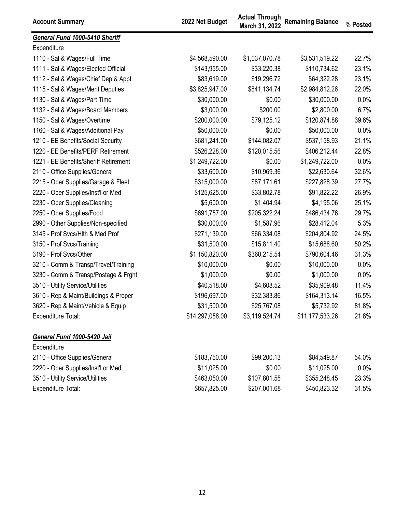| <b>Account Summary</b>                | 2022 Net Budget | <b>Actual Through</b><br>March 31, 2022 | <b>Remaining Balance</b> | % Posted |
|---------------------------------------|-----------------|-----------------------------------------|--------------------------|----------|
| General Fund 1000-5410 Sheriff        |                 |                                         |                          |          |
| Expenditure                           |                 |                                         |                          |          |
| 1110 - Sal & Wages/Full Time          | \$4,568,590.00  | \$1,037,070.78                          | \$3,531,519.22           | 22.7%    |
| 1111 - Sal & Wages/Elected Official   | \$143,955.00    | \$33,220.38                             | \$110,734.62             | 23.1%    |
| 1112 - Sal & Wages/Chief Dep & Appt   | \$83,619.00     | \$19,296.72                             | \$64,322.28              | 23.1%    |
| 1115 - Sal & Wages/Merit Deputies     | \$3,825,947.00  | \$841,134.74                            | \$2,984,812.26           | 22.0%    |
| 1130 - Sal & Wages/Part Time          | \$30,000.00     | \$0.00                                  | \$30,000.00              | 0.0%     |
| 1132 - Sal & Wages/Board Members      | \$3,000.00      | \$200.00                                | \$2,800.00               | 6.7%     |
| 1150 - Sal & Wages/Overtime           | \$200,000.00    | \$79,125.12                             | \$120,874.88             | 39.6%    |
| 1160 - Sal & Wages/Additional Pay     | \$50,000.00     | \$0.00                                  | \$50,000.00              | 0.0%     |
| 1210 - EE Benefits/Social Security    | \$681,241.00    | \$144,082.07                            | \$537,158.93             | 21.1%    |
| 1220 - EE Benefits/PERF Retirement    | \$526,228.00    | \$120,015.56                            | \$406,212.44             | 22.8%    |
| 1221 - EE Benefits/Sheriff Retirement | \$1,249,722.00  | \$0.00                                  | \$1,249,722.00           | 0.0%     |
| 2110 - Office Supplies/General        | \$33,600.00     | \$10,969.36                             | \$22,630.64              | 32.6%    |
| 2215 - Oper Supplies/Garage & Fleet   | \$315,000.00    | \$87,171.61                             | \$227,828.39             | 27.7%    |
| 2220 - Oper Supplies/Inst'l or Med    | \$125,625.00    | \$33,802.78                             | \$91,822.22              | 26.9%    |
| 2230 - Oper Supplies/Cleaning         | \$5,600.00      | \$1,404.94                              | \$4,195.06               | 25.1%    |
| 2250 - Oper Supplies/Food             | \$691,757.00    | \$205,322.24                            | \$486,434.76             | 29.7%    |
| 2990 - Other Supplies/Non-specified   | \$30,000.00     | \$1,587.96                              | \$28,412.04              | 5.3%     |
| 3145 - Prof Svcs/Hlth & Med Prof      | \$271,139.00    | \$66,334.08                             | \$204,804.92             | 24.5%    |
| 3150 - Prof Svcs/Training             | \$31,500.00     | \$15,811.40                             | \$15,688.60              | 50.2%    |
| 3190 - Prof Svcs/Other                | \$1,150,820.00  | \$360,215.54                            | \$790,604.46             | 31.3%    |
| 3210 - Comm & Transp/Travel/Training  | \$10,000.00     | \$0.00                                  | \$10,000.00              | 0.0%     |
| 3230 - Comm & Transp/Postage & Frght  | \$1,000.00      | \$0.00                                  | \$1,000.00               | 0.0%     |
| 3510 - Utility Service/Utilities      | \$40,518.00     | \$4,608.52                              | \$35,909.48              | 11.4%    |
| 3610 - Rep & Maint/Buildings & Proper | \$196,697.00    | \$32,383.86                             | \$164,313.14             | 16.5%    |
| 3620 - Rep & Maint/Vehicle & Equip    | \$31,500.00     | \$25,767.08                             | \$5,732.92               | 81.8%    |
| <b>Expenditure Total:</b>             | \$14,297,058.00 | \$3,119,524.74                          | \$11,177,533.26          | 21.8%    |
| General Fund 1000-5420 Jail           |                 |                                         |                          |          |
| Expenditure                           |                 |                                         |                          |          |
| 2110 - Office Supplies/General        | \$183,750.00    | \$99,200.13                             | \$84,549.87              | 54.0%    |
| 2220 - Oper Supplies/Inst'l or Med    | \$11,025.00     | \$0.00                                  | \$11,025.00              | 0.0%     |
| 3510 - Utility Service/Utilities      | \$463,050.00    | \$107,801.55                            | \$355,248.45             | 23.3%    |
| Expenditure Total:                    | \$657,825.00    | \$207,001.68                            | \$450,823.32             | 31.5%    |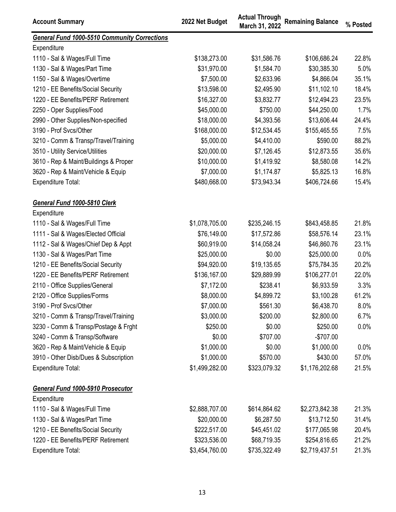| <b>Account Summary</b>                              | 2022 Net Budget | <b>Actual Through</b><br>March 31, 2022 | <b>Remaining Balance</b> | % Posted |
|-----------------------------------------------------|-----------------|-----------------------------------------|--------------------------|----------|
| <b>General Fund 1000-5510 Community Corrections</b> |                 |                                         |                          |          |
| Expenditure                                         |                 |                                         |                          |          |
| 1110 - Sal & Wages/Full Time                        | \$138,273.00    | \$31,586.76                             | \$106,686.24             | 22.8%    |
| 1130 - Sal & Wages/Part Time                        | \$31,970.00     | \$1,584.70                              | \$30,385.30              | 5.0%     |
| 1150 - Sal & Wages/Overtime                         | \$7,500.00      | \$2,633.96                              | \$4,866.04               | 35.1%    |
| 1210 - EE Benefits/Social Security                  | \$13,598.00     | \$2,495.90                              | \$11,102.10              | 18.4%    |
| 1220 - EE Benefits/PERF Retirement                  | \$16,327.00     | \$3,832.77                              | \$12,494.23              | 23.5%    |
| 2250 - Oper Supplies/Food                           | \$45,000.00     | \$750.00                                | \$44,250.00              | 1.7%     |
| 2990 - Other Supplies/Non-specified                 | \$18,000.00     | \$4,393.56                              | \$13,606.44              | 24.4%    |
| 3190 - Prof Svcs/Other                              | \$168,000.00    | \$12,534.45                             | \$155,465.55             | 7.5%     |
| 3210 - Comm & Transp/Travel/Training                | \$5,000.00      | \$4,410.00                              | \$590.00                 | 88.2%    |
| 3510 - Utility Service/Utilities                    | \$20,000.00     | \$7,126.45                              | \$12,873.55              | 35.6%    |
| 3610 - Rep & Maint/Buildings & Proper               | \$10,000.00     | \$1,419.92                              | \$8,580.08               | 14.2%    |
| 3620 - Rep & Maint/Vehicle & Equip                  | \$7,000.00      | \$1,174.87                              | \$5,825.13               | 16.8%    |
| Expenditure Total:                                  | \$480,668.00    | \$73,943.34                             | \$406,724.66             | 15.4%    |
| General Fund 1000-5810 Clerk                        |                 |                                         |                          |          |
| Expenditure                                         |                 |                                         |                          |          |
| 1110 - Sal & Wages/Full Time                        | \$1,078,705.00  | \$235,246.15                            | \$843,458.85             | 21.8%    |
| 1111 - Sal & Wages/Elected Official                 | \$76,149.00     | \$17,572.86                             | \$58,576.14              | 23.1%    |
| 1112 - Sal & Wages/Chief Dep & Appt                 | \$60,919.00     | \$14,058.24                             | \$46,860.76              | 23.1%    |
| 1130 - Sal & Wages/Part Time                        | \$25,000.00     | \$0.00                                  | \$25,000.00              | 0.0%     |
| 1210 - EE Benefits/Social Security                  | \$94,920.00     | \$19,135.65                             | \$75,784.35              | 20.2%    |
| 1220 - EE Benefits/PERF Retirement                  | \$136,167.00    | \$29,889.99                             | \$106,277.01             | 22.0%    |
| 2110 - Office Supplies/General                      | \$7,172.00      | \$238.41                                | \$6,933.59               | 3.3%     |
| 2120 - Office Supplies/Forms                        | \$8,000.00      | \$4,899.72                              | \$3,100.28               | 61.2%    |
| 3190 - Prof Svcs/Other                              | \$7,000.00      | \$561.30                                | \$6,438.70               | 8.0%     |
| 3210 - Comm & Transp/Travel/Training                | \$3,000.00      | \$200.00                                | \$2,800.00               | 6.7%     |
| 3230 - Comm & Transp/Postage & Frght                | \$250.00        | \$0.00                                  | \$250.00                 | 0.0%     |
| 3240 - Comm & Transp/Software                       | \$0.00          | \$707.00                                | $-$707.00$               |          |
| 3620 - Rep & Maint/Vehicle & Equip                  | \$1,000.00      | \$0.00                                  | \$1,000.00               | $0.0\%$  |
| 3910 - Other Disb/Dues & Subscription               | \$1,000.00      | \$570.00                                | \$430.00                 | 57.0%    |
| <b>Expenditure Total:</b>                           | \$1,499,282.00  | \$323,079.32                            | \$1,176,202.68           | 21.5%    |
| <b>General Fund 1000-5910 Prosecutor</b>            |                 |                                         |                          |          |
| Expenditure                                         |                 |                                         |                          |          |
| 1110 - Sal & Wages/Full Time                        | \$2,888,707.00  | \$614,864.62                            | \$2,273,842.38           | 21.3%    |
| 1130 - Sal & Wages/Part Time                        | \$20,000.00     | \$6,287.50                              | \$13,712.50              | 31.4%    |
| 1210 - EE Benefits/Social Security                  | \$222,517.00    | \$45,451.02                             | \$177,065.98             | 20.4%    |
| 1220 - EE Benefits/PERF Retirement                  | \$323,536.00    | \$68,719.35                             | \$254,816.65             | 21.2%    |
| Expenditure Total:                                  | \$3,454,760.00  | \$735,322.49                            | \$2,719,437.51           | 21.3%    |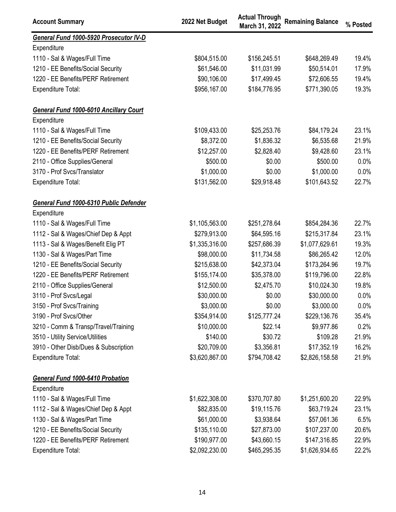| <b>Account Summary</b>                        | 2022 Net Budget | <b>Actual Through</b><br>March 31, 2022 | <b>Remaining Balance</b> | % Posted |
|-----------------------------------------------|-----------------|-----------------------------------------|--------------------------|----------|
| General Fund 1000-5920 Prosecutor IV-D        |                 |                                         |                          |          |
| Expenditure                                   |                 |                                         |                          |          |
| 1110 - Sal & Wages/Full Time                  | \$804,515.00    | \$156,245.51                            | \$648,269.49             | 19.4%    |
| 1210 - EE Benefits/Social Security            | \$61,546.00     | \$11,031.99                             | \$50,514.01              | 17.9%    |
| 1220 - EE Benefits/PERF Retirement            | \$90,106.00     | \$17,499.45                             | \$72,606.55              | 19.4%    |
| <b>Expenditure Total:</b>                     | \$956,167.00    | \$184,776.95                            | \$771,390.05             | 19.3%    |
| <b>General Fund 1000-6010 Ancillary Court</b> |                 |                                         |                          |          |
| Expenditure                                   |                 |                                         |                          |          |
| 1110 - Sal & Wages/Full Time                  | \$109,433.00    | \$25,253.76                             | \$84,179.24              | 23.1%    |
| 1210 - EE Benefits/Social Security            | \$8,372.00      | \$1,836.32                              | \$6,535.68               | 21.9%    |
| 1220 - EE Benefits/PERF Retirement            | \$12,257.00     | \$2,828.40                              | \$9,428.60               | 23.1%    |
| 2110 - Office Supplies/General                | \$500.00        | \$0.00                                  | \$500.00                 | 0.0%     |
| 3170 - Prof Svcs/Translator                   | \$1,000.00      | \$0.00                                  | \$1,000.00               | 0.0%     |
| <b>Expenditure Total:</b>                     | \$131,562.00    | \$29,918.48                             | \$101,643.52             | 22.7%    |
| General Fund 1000-6310 Public Defender        |                 |                                         |                          |          |
| Expenditure                                   |                 |                                         |                          |          |
| 1110 - Sal & Wages/Full Time                  | \$1,105,563.00  | \$251,278.64                            | \$854,284.36             | 22.7%    |
| 1112 - Sal & Wages/Chief Dep & Appt           | \$279,913.00    | \$64,595.16                             | \$215,317.84             | 23.1%    |
| 1113 - Sal & Wages/Benefit Elig PT            | \$1,335,316.00  | \$257,686.39                            | \$1,077,629.61           | 19.3%    |
| 1130 - Sal & Wages/Part Time                  | \$98,000.00     | \$11,734.58                             | \$86,265.42              | 12.0%    |
| 1210 - EE Benefits/Social Security            | \$215,638.00    | \$42,373.04                             | \$173,264.96             | 19.7%    |
| 1220 - EE Benefits/PERF Retirement            | \$155,174.00    | \$35,378.00                             | \$119,796.00             | 22.8%    |
| 2110 - Office Supplies/General                | \$12,500.00     | \$2,475.70                              | \$10,024.30              | 19.8%    |
| 3110 - Prof Svcs/Legal                        | \$30,000.00     | \$0.00                                  | \$30,000.00              | 0.0%     |
| 3150 - Prof Svcs/Training                     | \$3,000.00      | \$0.00                                  | \$3,000.00               | 0.0%     |
| 3190 - Prof Svcs/Other                        | \$354,914.00    | \$125,777.24                            | \$229,136.76             | 35.4%    |
| 3210 - Comm & Transp/Travel/Training          | \$10,000.00     | \$22.14                                 | \$9,977.86               | 0.2%     |
| 3510 - Utility Service/Utilities              | \$140.00        | \$30.72                                 | \$109.28                 | 21.9%    |
| 3910 - Other Disb/Dues & Subscription         | \$20,709.00     | \$3,356.81                              | \$17,352.19              | 16.2%    |
| <b>Expenditure Total:</b>                     | \$3,620,867.00  | \$794,708.42                            | \$2,826,158.58           | 21.9%    |
| General Fund 1000-6410 Probation              |                 |                                         |                          |          |
| Expenditure                                   |                 |                                         |                          |          |
| 1110 - Sal & Wages/Full Time                  | \$1,622,308.00  | \$370,707.80                            | \$1,251,600.20           | 22.9%    |
| 1112 - Sal & Wages/Chief Dep & Appt           | \$82,835.00     | \$19,115.76                             | \$63,719.24              | 23.1%    |
| 1130 - Sal & Wages/Part Time                  | \$61,000.00     | \$3,938.64                              | \$57,061.36              | 6.5%     |
| 1210 - EE Benefits/Social Security            | \$135,110.00    | \$27,873.00                             | \$107,237.00             | 20.6%    |
| 1220 - EE Benefits/PERF Retirement            | \$190,977.00    | \$43,660.15                             | \$147,316.85             | 22.9%    |
| <b>Expenditure Total:</b>                     | \$2,092,230.00  | \$465,295.35                            | \$1,626,934.65           | 22.2%    |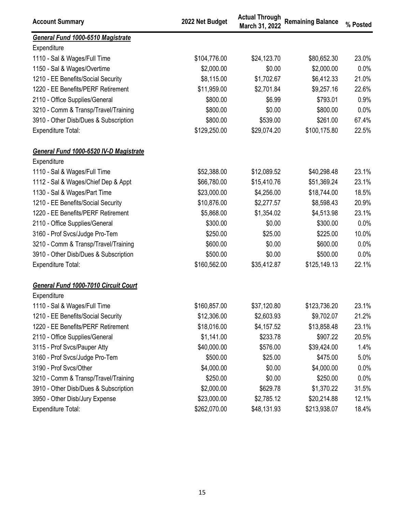| <b>Account Summary</b>                 | 2022 Net Budget | <b>Actual Through</b><br>March 31, 2022 | <b>Remaining Balance</b> | % Posted |
|----------------------------------------|-----------------|-----------------------------------------|--------------------------|----------|
| General Fund 1000-6510 Magistrate      |                 |                                         |                          |          |
| Expenditure                            |                 |                                         |                          |          |
| 1110 - Sal & Wages/Full Time           | \$104,776.00    | \$24,123.70                             | \$80,652.30              | 23.0%    |
| 1150 - Sal & Wages/Overtime            | \$2,000.00      | \$0.00                                  | \$2,000.00               | 0.0%     |
| 1210 - EE Benefits/Social Security     | \$8,115.00      | \$1,702.67                              | \$6,412.33               | 21.0%    |
| 1220 - EE Benefits/PERF Retirement     | \$11,959.00     | \$2,701.84                              | \$9,257.16               | 22.6%    |
| 2110 - Office Supplies/General         | \$800.00        | \$6.99                                  | \$793.01                 | 0.9%     |
| 3210 - Comm & Transp/Travel/Training   | \$800.00        | \$0.00                                  | \$800.00                 | 0.0%     |
| 3910 - Other Disb/Dues & Subscription  | \$800.00        | \$539.00                                | \$261.00                 | 67.4%    |
| Expenditure Total:                     | \$129,250.00    | \$29,074.20                             | \$100,175.80             | 22.5%    |
| General Fund 1000-6520 IV-D Magistrate |                 |                                         |                          |          |
| Expenditure                            |                 |                                         |                          |          |
| 1110 - Sal & Wages/Full Time           | \$52,388.00     | \$12,089.52                             | \$40,298.48              | 23.1%    |
| 1112 - Sal & Wages/Chief Dep & Appt    | \$66,780.00     | \$15,410.76                             | \$51,369.24              | 23.1%    |
| 1130 - Sal & Wages/Part Time           | \$23,000.00     | \$4,256.00                              | \$18,744.00              | 18.5%    |
| 1210 - EE Benefits/Social Security     | \$10,876.00     | \$2,277.57                              | \$8,598.43               | 20.9%    |
| 1220 - EE Benefits/PERF Retirement     | \$5,868.00      | \$1,354.02                              | \$4,513.98               | 23.1%    |
| 2110 - Office Supplies/General         | \$300.00        | \$0.00                                  | \$300.00                 | 0.0%     |
| 3160 - Prof Svcs/Judge Pro-Tem         | \$250.00        | \$25.00                                 | \$225.00                 | 10.0%    |
| 3210 - Comm & Transp/Travel/Training   | \$600.00        | \$0.00                                  | \$600.00                 | 0.0%     |
| 3910 - Other Disb/Dues & Subscription  | \$500.00        | \$0.00                                  | \$500.00                 | 0.0%     |
| Expenditure Total:                     | \$160,562.00    | \$35,412.87                             | \$125,149.13             | 22.1%    |
| General Fund 1000-7010 Circuit Court   |                 |                                         |                          |          |
| Expenditure                            |                 |                                         |                          |          |
| 1110 - Sal & Wages/Full Time           | \$160,857.00    | \$37,120.80                             | \$123,736.20             | 23.1%    |
| 1210 - EE Benefits/Social Security     | \$12,306.00     | \$2,603.93                              | \$9,702.07               | 21.2%    |
| 1220 - EE Benefits/PERF Retirement     | \$18,016.00     | \$4,157.52                              | \$13,858.48              | 23.1%    |
| 2110 - Office Supplies/General         | \$1,141.00      | \$233.78                                | \$907.22                 | 20.5%    |
| 3115 - Prof Svcs/Pauper Atty           | \$40,000.00     | \$576.00                                | \$39,424.00              | 1.4%     |
| 3160 - Prof Svcs/Judge Pro-Tem         | \$500.00        | \$25.00                                 | \$475.00                 | 5.0%     |
| 3190 - Prof Svcs/Other                 | \$4,000.00      | \$0.00                                  | \$4,000.00               | 0.0%     |
| 3210 - Comm & Transp/Travel/Training   | \$250.00        | \$0.00                                  | \$250.00                 | 0.0%     |
| 3910 - Other Disb/Dues & Subscription  | \$2,000.00      | \$629.78                                | \$1,370.22               | 31.5%    |
| 3950 - Other Disb/Jury Expense         | \$23,000.00     | \$2,785.12                              | \$20,214.88              | 12.1%    |
| Expenditure Total:                     | \$262,070.00    | \$48,131.93                             | \$213,938.07             | 18.4%    |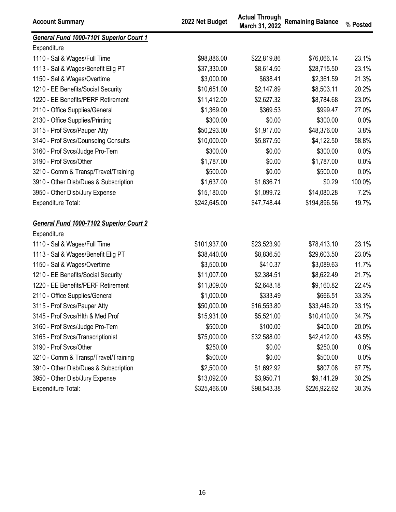| <b>Account Summary</b>                         | 2022 Net Budget | <b>Actual Through</b><br>March 31, 2022 | <b>Remaining Balance</b> | % Posted |
|------------------------------------------------|-----------------|-----------------------------------------|--------------------------|----------|
| General Fund 1000-7101 Superior Court 1        |                 |                                         |                          |          |
| Expenditure                                    |                 |                                         |                          |          |
| 1110 - Sal & Wages/Full Time                   | \$98,886.00     | \$22,819.86                             | \$76,066.14              | 23.1%    |
| 1113 - Sal & Wages/Benefit Elig PT             | \$37,330.00     | \$8,614.50                              | \$28,715.50              | 23.1%    |
| 1150 - Sal & Wages/Overtime                    | \$3,000.00      | \$638.41                                | \$2,361.59               | 21.3%    |
| 1210 - EE Benefits/Social Security             | \$10,651.00     | \$2,147.89                              | \$8,503.11               | 20.2%    |
| 1220 - EE Benefits/PERF Retirement             | \$11,412.00     | \$2,627.32                              | \$8,784.68               | 23.0%    |
| 2110 - Office Supplies/General                 | \$1,369.00      | \$369.53                                | \$999.47                 | 27.0%    |
| 2130 - Office Supplies/Printing                | \$300.00        | \$0.00                                  | \$300.00                 | 0.0%     |
| 3115 - Prof Svcs/Pauper Atty                   | \$50,293.00     | \$1,917.00                              | \$48,376.00              | 3.8%     |
| 3140 - Prof Svcs/Counselng Consults            | \$10,000.00     | \$5,877.50                              | \$4,122.50               | 58.8%    |
| 3160 - Prof Svcs/Judge Pro-Tem                 | \$300.00        | \$0.00                                  | \$300.00                 | 0.0%     |
| 3190 - Prof Svcs/Other                         | \$1,787.00      | \$0.00                                  | \$1,787.00               | 0.0%     |
| 3210 - Comm & Transp/Travel/Training           | \$500.00        | \$0.00                                  | \$500.00                 | 0.0%     |
| 3910 - Other Disb/Dues & Subscription          | \$1,637.00      | \$1,636.71                              | \$0.29                   | 100.0%   |
| 3950 - Other Disb/Jury Expense                 | \$15,180.00     | \$1,099.72                              | \$14,080.28              | 7.2%     |
| Expenditure Total:                             | \$242,645.00    | \$47,748.44                             | \$194,896.56             | 19.7%    |
| <b>General Fund 1000-7102 Superior Court 2</b> |                 |                                         |                          |          |
| Expenditure                                    |                 |                                         |                          |          |
| 1110 - Sal & Wages/Full Time                   | \$101,937.00    | \$23,523.90                             | \$78,413.10              | 23.1%    |
| 1113 - Sal & Wages/Benefit Elig PT             | \$38,440.00     | \$8,836.50                              | \$29,603.50              | 23.0%    |
| 1150 - Sal & Wages/Overtime                    | \$3,500.00      | \$410.37                                | \$3,089.63               | 11.7%    |
| 1210 - EE Benefits/Social Security             | \$11,007.00     | \$2,384.51                              | \$8,622.49               | 21.7%    |
| 1220 - EE Benefits/PERF Retirement             | \$11,809.00     | \$2,648.18                              | \$9,160.82               | 22.4%    |
| 2110 - Office Supplies/General                 | \$1,000.00      | \$333.49                                | \$666.51                 | 33.3%    |
| 3115 - Prof Svcs/Pauper Atty                   | \$50,000.00     | \$16,553.80                             | \$33,446.20              | 33.1%    |
| 3145 - Prof Svcs/Hlth & Med Prof               | \$15,931.00     | \$5,521.00                              | \$10,410.00              | 34.7%    |
| 3160 - Prof Svcs/Judge Pro-Tem                 | \$500.00        | \$100.00                                | \$400.00                 | 20.0%    |
| 3165 - Prof Svcs/Transcriptionist              | \$75,000.00     | \$32,588.00                             | \$42,412.00              | 43.5%    |
| 3190 - Prof Svcs/Other                         | \$250.00        | \$0.00                                  | \$250.00                 | 0.0%     |
| 3210 - Comm & Transp/Travel/Training           | \$500.00        | \$0.00                                  | \$500.00                 | 0.0%     |
| 3910 - Other Disb/Dues & Subscription          | \$2,500.00      | \$1,692.92                              | \$807.08                 | 67.7%    |
| 3950 - Other Disb/Jury Expense                 | \$13,092.00     | \$3,950.71                              | \$9,141.29               | 30.2%    |
| Expenditure Total:                             | \$325,466.00    | \$98,543.38                             | \$226,922.62             | 30.3%    |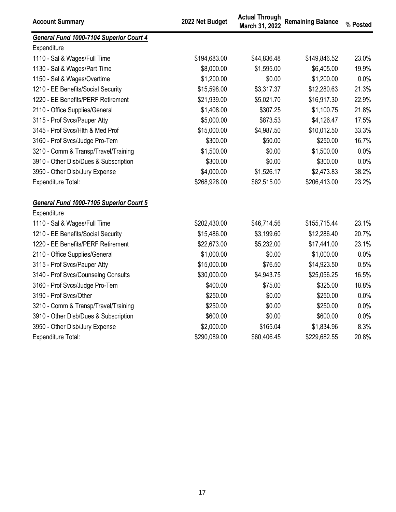| <b>Account Summary</b>                  | 2022 Net Budget | <b>Actual Through</b><br>March 31, 2022 | <b>Remaining Balance</b> | % Posted |
|-----------------------------------------|-----------------|-----------------------------------------|--------------------------|----------|
| General Fund 1000-7104 Superior Court 4 |                 |                                         |                          |          |
| Expenditure                             |                 |                                         |                          |          |
| 1110 - Sal & Wages/Full Time            | \$194,683.00    | \$44,836.48                             | \$149,846.52             | 23.0%    |
| 1130 - Sal & Wages/Part Time            | \$8,000.00      | \$1,595.00                              | \$6,405.00               | 19.9%    |
| 1150 - Sal & Wages/Overtime             | \$1,200.00      | \$0.00                                  | \$1,200.00               | 0.0%     |
| 1210 - EE Benefits/Social Security      | \$15,598.00     | \$3,317.37                              | \$12,280.63              | 21.3%    |
| 1220 - EE Benefits/PERF Retirement      | \$21,939.00     | \$5,021.70                              | \$16,917.30              | 22.9%    |
| 2110 - Office Supplies/General          | \$1,408.00      | \$307.25                                | \$1,100.75               | 21.8%    |
| 3115 - Prof Svcs/Pauper Atty            | \$5,000.00      | \$873.53                                | \$4,126.47               | 17.5%    |
| 3145 - Prof Svcs/Hlth & Med Prof        | \$15,000.00     | \$4,987.50                              | \$10,012.50              | 33.3%    |
| 3160 - Prof Svcs/Judge Pro-Tem          | \$300.00        | \$50.00                                 | \$250.00                 | 16.7%    |
| 3210 - Comm & Transp/Travel/Training    | \$1,500.00      | \$0.00                                  | \$1,500.00               | 0.0%     |
| 3910 - Other Disb/Dues & Subscription   | \$300.00        | \$0.00                                  | \$300.00                 | 0.0%     |
| 3950 - Other Disb/Jury Expense          | \$4,000.00      | \$1,526.17                              | \$2,473.83               | 38.2%    |
| Expenditure Total:                      | \$268,928.00    | \$62,515.00                             | \$206,413.00             | 23.2%    |
| General Fund 1000-7105 Superior Court 5 |                 |                                         |                          |          |
| Expenditure                             |                 |                                         |                          |          |
| 1110 - Sal & Wages/Full Time            | \$202,430.00    | \$46,714.56                             | \$155,715.44             | 23.1%    |
| 1210 - EE Benefits/Social Security      | \$15,486.00     | \$3,199.60                              | \$12,286.40              | 20.7%    |
| 1220 - EE Benefits/PERF Retirement      | \$22,673.00     | \$5,232.00                              | \$17,441.00              | 23.1%    |
| 2110 - Office Supplies/General          | \$1,000.00      | \$0.00                                  | \$1,000.00               | 0.0%     |
| 3115 - Prof Svcs/Pauper Atty            | \$15,000.00     | \$76.50                                 | \$14,923.50              | 0.5%     |
| 3140 - Prof Svcs/Counselng Consults     | \$30,000.00     | \$4,943.75                              | \$25,056.25              | 16.5%    |
| 3160 - Prof Svcs/Judge Pro-Tem          | \$400.00        | \$75.00                                 | \$325.00                 | 18.8%    |
| 3190 - Prof Svcs/Other                  | \$250.00        | \$0.00                                  | \$250.00                 | 0.0%     |
| 3210 - Comm & Transp/Travel/Training    | \$250.00        | \$0.00                                  | \$250.00                 | 0.0%     |
| 3910 - Other Disb/Dues & Subscription   | \$600.00        | \$0.00                                  | \$600.00                 | 0.0%     |
| 3950 - Other Disb/Jury Expense          | \$2,000.00      | \$165.04                                | \$1,834.96               | 8.3%     |
| Expenditure Total:                      | \$290,089.00    | \$60,406.45                             | \$229,682.55             | 20.8%    |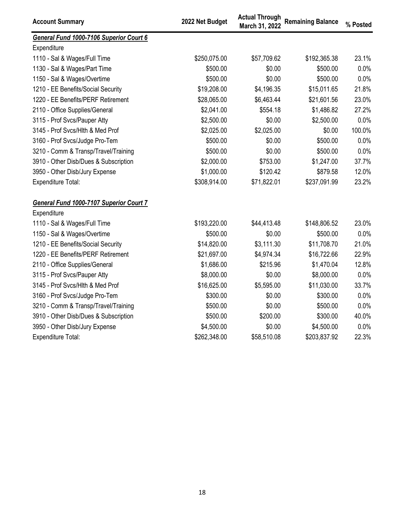| <b>Account Summary</b>                  | 2022 Net Budget | <b>Actual Through</b><br>March 31, 2022 | <b>Remaining Balance</b> | % Posted |
|-----------------------------------------|-----------------|-----------------------------------------|--------------------------|----------|
| General Fund 1000-7106 Superior Court 6 |                 |                                         |                          |          |
| Expenditure                             |                 |                                         |                          |          |
| 1110 - Sal & Wages/Full Time            | \$250,075.00    | \$57,709.62                             | \$192,365.38             | 23.1%    |
| 1130 - Sal & Wages/Part Time            | \$500.00        | \$0.00                                  | \$500.00                 | 0.0%     |
| 1150 - Sal & Wages/Overtime             | \$500.00        | \$0.00                                  | \$500.00                 | 0.0%     |
| 1210 - EE Benefits/Social Security      | \$19,208.00     | \$4,196.35                              | \$15,011.65              | 21.8%    |
| 1220 - EE Benefits/PERF Retirement      | \$28,065.00     | \$6,463.44                              | \$21,601.56              | 23.0%    |
| 2110 - Office Supplies/General          | \$2,041.00      | \$554.18                                | \$1,486.82               | 27.2%    |
| 3115 - Prof Svcs/Pauper Atty            | \$2,500.00      | \$0.00                                  | \$2,500.00               | 0.0%     |
| 3145 - Prof Svcs/Hlth & Med Prof        | \$2,025.00      | \$2,025.00                              | \$0.00                   | 100.0%   |
| 3160 - Prof Svcs/Judge Pro-Tem          | \$500.00        | \$0.00                                  | \$500.00                 | 0.0%     |
| 3210 - Comm & Transp/Travel/Training    | \$500.00        | \$0.00                                  | \$500.00                 | 0.0%     |
| 3910 - Other Disb/Dues & Subscription   | \$2,000.00      | \$753.00                                | \$1,247.00               | 37.7%    |
| 3950 - Other Disb/Jury Expense          | \$1,000.00      | \$120.42                                | \$879.58                 | 12.0%    |
| Expenditure Total:                      | \$308,914.00    | \$71,822.01                             | \$237,091.99             | 23.2%    |
| General Fund 1000-7107 Superior Court 7 |                 |                                         |                          |          |
| Expenditure                             |                 |                                         |                          |          |
| 1110 - Sal & Wages/Full Time            | \$193,220.00    | \$44,413.48                             | \$148,806.52             | 23.0%    |
| 1150 - Sal & Wages/Overtime             | \$500.00        | \$0.00                                  | \$500.00                 | 0.0%     |
| 1210 - EE Benefits/Social Security      | \$14,820.00     | \$3,111.30                              | \$11,708.70              | 21.0%    |
| 1220 - EE Benefits/PERF Retirement      | \$21,697.00     | \$4,974.34                              | \$16,722.66              | 22.9%    |
| 2110 - Office Supplies/General          | \$1,686.00      | \$215.96                                | \$1,470.04               | 12.8%    |
| 3115 - Prof Svcs/Pauper Atty            | \$8,000.00      | \$0.00                                  | \$8,000.00               | 0.0%     |
| 3145 - Prof Svcs/Hlth & Med Prof        | \$16,625.00     | \$5,595.00                              | \$11,030.00              | 33.7%    |
| 3160 - Prof Svcs/Judge Pro-Tem          | \$300.00        | \$0.00                                  | \$300.00                 | 0.0%     |
| 3210 - Comm & Transp/Travel/Training    | \$500.00        | \$0.00                                  | \$500.00                 | 0.0%     |
| 3910 - Other Disb/Dues & Subscription   | \$500.00        | \$200.00                                | \$300.00                 | 40.0%    |
| 3950 - Other Disb/Jury Expense          | \$4,500.00      | \$0.00                                  | \$4,500.00               | 0.0%     |
| Expenditure Total:                      | \$262,348.00    | \$58,510.08                             | \$203,837.92             | 22.3%    |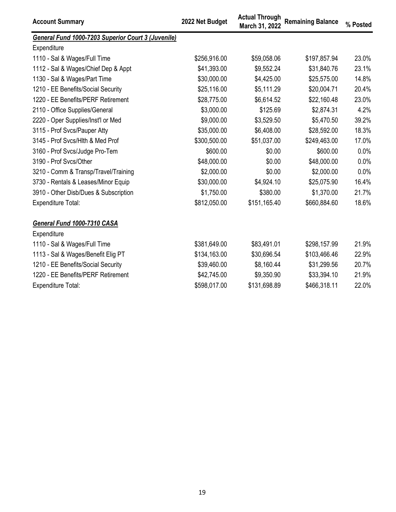| <b>Account Summary</b>                             | 2022 Net Budget | <b>Actual Through</b><br>March 31, 2022 | <b>Remaining Balance</b> | % Posted |
|----------------------------------------------------|-----------------|-----------------------------------------|--------------------------|----------|
| General Fund 1000-7203 Superior Court 3 (Juvenile) |                 |                                         |                          |          |
| Expenditure                                        |                 |                                         |                          |          |
| 1110 - Sal & Wages/Full Time                       | \$256,916.00    | \$59,058.06                             | \$197,857.94             | 23.0%    |
| 1112 - Sal & Wages/Chief Dep & Appt                | \$41,393.00     | \$9,552.24                              | \$31,840.76              | 23.1%    |
| 1130 - Sal & Wages/Part Time                       | \$30,000.00     | \$4,425.00                              | \$25,575.00              | 14.8%    |
| 1210 - EE Benefits/Social Security                 | \$25,116.00     | \$5,111.29                              | \$20,004.71              | 20.4%    |
| 1220 - EE Benefits/PERF Retirement                 | \$28,775.00     | \$6,614.52                              | \$22,160.48              | 23.0%    |
| 2110 - Office Supplies/General                     | \$3,000.00      | \$125.69                                | \$2,874.31               | 4.2%     |
| 2220 - Oper Supplies/Inst'l or Med                 | \$9,000.00      | \$3,529.50                              | \$5,470.50               | 39.2%    |
| 3115 - Prof Svcs/Pauper Atty                       | \$35,000.00     | \$6,408.00                              | \$28,592.00              | 18.3%    |
| 3145 - Prof Svcs/Hlth & Med Prof                   | \$300,500.00    | \$51,037.00                             | \$249,463.00             | 17.0%    |
| 3160 - Prof Svcs/Judge Pro-Tem                     | \$600.00        | \$0.00                                  | \$600.00                 | 0.0%     |
| 3190 - Prof Svcs/Other                             | \$48,000.00     | \$0.00                                  | \$48,000.00              | 0.0%     |
| 3210 - Comm & Transp/Travel/Training               | \$2,000.00      | \$0.00                                  | \$2,000.00               | 0.0%     |
| 3730 - Rentals & Leases/Minor Equip                | \$30,000.00     | \$4,924.10                              | \$25,075.90              | 16.4%    |
| 3910 - Other Disb/Dues & Subscription              | \$1,750.00      | \$380.00                                | \$1,370.00               | 21.7%    |
| Expenditure Total:                                 | \$812,050.00    | \$151,165.40                            | \$660,884.60             | 18.6%    |
| General Fund 1000-7310 CASA                        |                 |                                         |                          |          |
| Expenditure                                        |                 |                                         |                          |          |
| 1110 - Sal & Wages/Full Time                       | \$381,649.00    | \$83,491.01                             | \$298,157.99             | 21.9%    |
| 1113 - Sal & Wages/Benefit Elig PT                 | \$134,163.00    | \$30,696.54                             | \$103,466.46             | 22.9%    |
| 1210 - EE Benefits/Social Security                 | \$39,460.00     | \$8,160.44                              | \$31,299.56              | 20.7%    |
| 1220 - EE Benefits/PERF Retirement                 | \$42,745.00     | \$9,350.90                              | \$33,394.10              | 21.9%    |
| Expenditure Total:                                 | \$598,017.00    | \$131,698.89                            | \$466,318.11             | 22.0%    |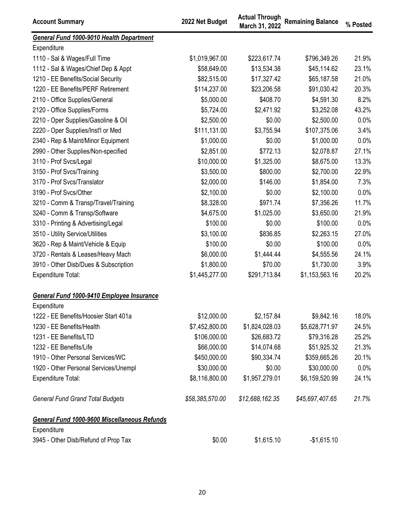| <b>Account Summary</b>                       | 2022 Net Budget | <b>Actual Through</b><br>March 31, 2022 | <b>Remaining Balance</b> | % Posted |
|----------------------------------------------|-----------------|-----------------------------------------|--------------------------|----------|
| General Fund 1000-9010 Health Department     |                 |                                         |                          |          |
| Expenditure                                  |                 |                                         |                          |          |
| 1110 - Sal & Wages/Full Time                 | \$1,019,967.00  | \$223,617.74                            | \$796,349.26             | 21.9%    |
| 1112 - Sal & Wages/Chief Dep & Appt          | \$58,649.00     | \$13,534.38                             | \$45,114.62              | 23.1%    |
| 1210 - EE Benefits/Social Security           | \$82,515.00     | \$17,327.42                             | \$65,187.58              | 21.0%    |
| 1220 - EE Benefits/PERF Retirement           | \$114,237.00    | \$23,206.58                             | \$91,030.42              | 20.3%    |
| 2110 - Office Supplies/General               | \$5,000.00      | \$408.70                                | \$4,591.30               | 8.2%     |
| 2120 - Office Supplies/Forms                 | \$5,724.00      | \$2,471.92                              | \$3,252.08               | 43.2%    |
| 2210 - Oper Supplies/Gasoline & Oil          | \$2,500.00      | \$0.00                                  | \$2,500.00               | 0.0%     |
| 2220 - Oper Supplies/Inst'l or Med           | \$111,131.00    | \$3,755.94                              | \$107,375.06             | 3.4%     |
| 2340 - Rep & Maint/Minor Equipment           | \$1,000.00      | \$0.00                                  | \$1,000.00               | 0.0%     |
| 2990 - Other Supplies/Non-specified          | \$2,851.00      | \$772.13                                | \$2,078.87               | 27.1%    |
| 3110 - Prof Svcs/Legal                       | \$10,000.00     | \$1,325.00                              | \$8,675.00               | 13.3%    |
| 3150 - Prof Svcs/Training                    | \$3,500.00      | \$800.00                                | \$2,700.00               | 22.9%    |
| 3170 - Prof Svcs/Translator                  | \$2,000.00      | \$146.00                                | \$1,854.00               | 7.3%     |
| 3190 - Prof Svcs/Other                       | \$2,100.00      | \$0.00                                  | \$2,100.00               | 0.0%     |
| 3210 - Comm & Transp/Travel/Training         | \$8,328.00      | \$971.74                                | \$7,356.26               | 11.7%    |
| 3240 - Comm & Transp/Software                | \$4,675.00      | \$1,025.00                              | \$3,650.00               | 21.9%    |
| 3310 - Printing & Advertising/Legal          | \$100.00        | \$0.00                                  | \$100.00                 | 0.0%     |
| 3510 - Utility Service/Utilities             | \$3,100.00      | \$836.85                                | \$2,263.15               | 27.0%    |
| 3620 - Rep & Maint/Vehicle & Equip           | \$100.00        | \$0.00                                  | \$100.00                 | 0.0%     |
| 3720 - Rentals & Leases/Heavy Mach           | \$6,000.00      | \$1,444.44                              | \$4,555.56               | 24.1%    |
| 3910 - Other Disb/Dues & Subscription        | \$1,800.00      | \$70.00                                 | \$1,730.00               | 3.9%     |
| Expenditure Total:                           | \$1,445,277.00  | \$291,713.84                            | \$1,153,563.16           | 20.2%    |
| General Fund 1000-9410 Employee Insurance    |                 |                                         |                          |          |
| Expenditure                                  |                 |                                         |                          |          |
| 1222 - EE Benefits/Hoosier Start 401a        | \$12,000.00     | \$2,157.84                              | \$9,842.16               | 18.0%    |
| 1230 - EE Benefits/Health                    | \$7,452,800.00  | \$1,824,028.03                          | \$5,628,771.97           | 24.5%    |
| 1231 - EE Benefits/LTD                       | \$106,000.00    | \$26,683.72                             | \$79,316.28              | 25.2%    |
| 1232 - EE Benefits/Life                      | \$66,000.00     | \$14,074.68                             | \$51,925.32              | 21.3%    |
| 1910 - Other Personal Services/WC            | \$450,000.00    | \$90,334.74                             | \$359,665.26             | 20.1%    |
| 1920 - Other Personal Services/Unempl        | \$30,000.00     | \$0.00                                  | \$30,000.00              | 0.0%     |
| <b>Expenditure Total:</b>                    | \$8,116,800.00  | \$1,957,279.01                          | \$6,159,520.99           | 24.1%    |
| <b>General Fund Grand Total Budgets</b>      | \$58,385,570.00 | \$12,688,162.35                         | \$45,697,407.65          | 21.7%    |
| General Fund 1000-9600 Miscellaneous Refunds |                 |                                         |                          |          |
| Expenditure                                  |                 |                                         |                          |          |
| 3945 - Other Disb/Refund of Prop Tax         | \$0.00          | \$1,615.10                              | $-$1,615.10$             |          |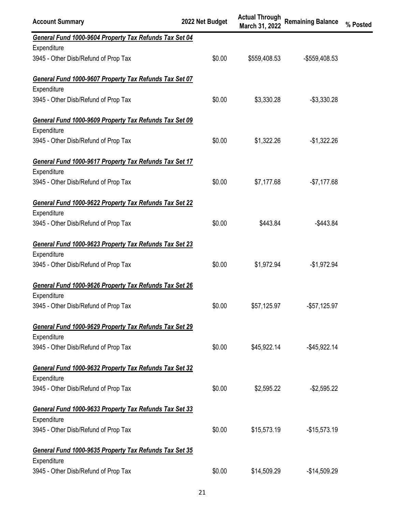| <b>Account Summary</b>                                 | 2022 Net Budget | <b>Actual Through</b><br>March 31, 2022 | <b>Remaining Balance</b> | % Posted |
|--------------------------------------------------------|-----------------|-----------------------------------------|--------------------------|----------|
| General Fund 1000-9604 Property Tax Refunds Tax Set 04 |                 |                                         |                          |          |
| Expenditure                                            |                 |                                         |                          |          |
| 3945 - Other Disb/Refund of Prop Tax                   | \$0.00          | \$559,408.53                            | -\$559,408.53            |          |
| General Fund 1000-9607 Property Tax Refunds Tax Set 07 |                 |                                         |                          |          |
| Expenditure                                            |                 |                                         |                          |          |
| 3945 - Other Disb/Refund of Prop Tax                   | \$0.00          | \$3,330.28                              | $-$3,330.28$             |          |
| General Fund 1000-9609 Property Tax Refunds Tax Set 09 |                 |                                         |                          |          |
| Expenditure                                            |                 |                                         |                          |          |
| 3945 - Other Disb/Refund of Prop Tax                   | \$0.00          | \$1,322.26                              | $-$1,322.26$             |          |
| General Fund 1000-9617 Property Tax Refunds Tax Set 17 |                 |                                         |                          |          |
| Expenditure                                            |                 |                                         |                          |          |
| 3945 - Other Disb/Refund of Prop Tax                   | \$0.00          | \$7,177.68                              | $-$7,177.68$             |          |
| General Fund 1000-9622 Property Tax Refunds Tax Set 22 |                 |                                         |                          |          |
| Expenditure                                            |                 |                                         |                          |          |
| 3945 - Other Disb/Refund of Prop Tax                   | \$0.00          | \$443.84                                | $-$443.84$               |          |
| General Fund 1000-9623 Property Tax Refunds Tax Set 23 |                 |                                         |                          |          |
| Expenditure                                            |                 |                                         |                          |          |
| 3945 - Other Disb/Refund of Prop Tax                   | \$0.00          | \$1,972.94                              | $-$1,972.94$             |          |
| General Fund 1000-9626 Property Tax Refunds Tax Set 26 |                 |                                         |                          |          |
| Expenditure                                            |                 |                                         |                          |          |
| 3945 - Other Disb/Refund of Prop Tax                   | \$0.00          | \$57,125.97                             | $-$57,125.97$            |          |
| General Fund 1000-9629 Property Tax Refunds Tax Set 29 |                 |                                         |                          |          |
| Expenditure                                            |                 |                                         |                          |          |
| 3945 - Other Disb/Refund of Prop Tax                   | \$0.00          | \$45,922.14                             | $-$45,922.14$            |          |
| General Fund 1000-9632 Property Tax Refunds Tax Set 32 |                 |                                         |                          |          |
| Expenditure                                            |                 |                                         |                          |          |
| 3945 - Other Disb/Refund of Prop Tax                   | \$0.00          | \$2,595.22                              | $-$2,595.22$             |          |
| General Fund 1000-9633 Property Tax Refunds Tax Set 33 |                 |                                         |                          |          |
| Expenditure                                            |                 |                                         |                          |          |
| 3945 - Other Disb/Refund of Prop Tax                   | \$0.00          | \$15,573.19                             | $-$15,573.19$            |          |
| General Fund 1000-9635 Property Tax Refunds Tax Set 35 |                 |                                         |                          |          |
| Expenditure                                            |                 |                                         |                          |          |
| 3945 - Other Disb/Refund of Prop Tax                   | \$0.00          | \$14,509.29                             | $-$14,509.29$            |          |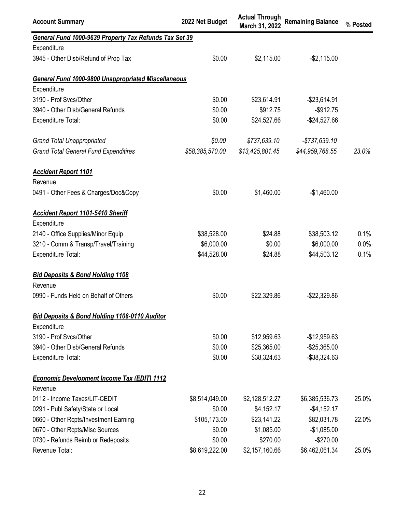| <b>Account Summary</b>                                     | 2022 Net Budget | <b>Actual Through</b><br>March 31, 2022 | <b>Remaining Balance</b> | % Posted |
|------------------------------------------------------------|-----------------|-----------------------------------------|--------------------------|----------|
| General Fund 1000-9639 Property Tax Refunds Tax Set 39     |                 |                                         |                          |          |
| Expenditure                                                |                 |                                         |                          |          |
| 3945 - Other Disb/Refund of Prop Tax                       | \$0.00          | \$2,115.00                              | $-$2,115.00$             |          |
| <b>General Fund 1000-9800 Unappropriated Miscellaneous</b> |                 |                                         |                          |          |
| Expenditure                                                |                 |                                         |                          |          |
| 3190 - Prof Svcs/Other                                     | \$0.00          | \$23,614.91                             | $-$23,614.91$            |          |
| 3940 - Other Disb/General Refunds                          | \$0.00          | \$912.75                                | $-$ \$912.75             |          |
| Expenditure Total:                                         | \$0.00          | \$24,527.66                             | $-$24,527.66$            |          |
| <b>Grand Total Unappropriated</b>                          | \$0.00          | \$737,639.10                            | $-$737,639.10$           |          |
| <b>Grand Total General Fund Expenditires</b>               | \$58,385,570.00 | \$13,425,801.45                         | \$44,959,768.55          | 23.0%    |
| <b>Accident Report 1101</b>                                |                 |                                         |                          |          |
| Revenue                                                    |                 |                                         |                          |          |
| 0491 - Other Fees & Charges/Doc&Copy                       | \$0.00          | \$1,460.00                              | $-$1,460.00$             |          |
| <b>Accident Report 1101-5410 Sheriff</b>                   |                 |                                         |                          |          |
| Expenditure                                                |                 |                                         |                          |          |
| 2140 - Office Supplies/Minor Equip                         | \$38,528.00     | \$24.88                                 | \$38,503.12              | 0.1%     |
| 3210 - Comm & Transp/Travel/Training                       | \$6,000.00      | \$0.00                                  | \$6,000.00               | 0.0%     |
| <b>Expenditure Total:</b>                                  | \$44,528.00     | \$24.88                                 | \$44,503.12              | 0.1%     |
| <b>Bid Deposits &amp; Bond Holding 1108</b>                |                 |                                         |                          |          |
| Revenue                                                    |                 |                                         |                          |          |
| 0990 - Funds Held on Behalf of Others                      | \$0.00          | \$22,329.86                             | $-$22,329.86$            |          |
| <b>Bid Deposits &amp; Bond Holding 1108-0110 Auditor</b>   |                 |                                         |                          |          |
| Expenditure                                                |                 |                                         |                          |          |
| 3190 - Prof Svcs/Other                                     | \$0.00          | \$12,959.63                             | $-$12,959.63$            |          |
| 3940 - Other Disb/General Refunds                          | \$0.00          | \$25,365.00                             | $-$25,365.00$            |          |
| <b>Expenditure Total:</b>                                  | \$0.00          | \$38,324.63                             | $-$38,324.63$            |          |
| <b>Economic Development Income Tax (EDIT) 1112</b>         |                 |                                         |                          |          |
| Revenue                                                    |                 |                                         |                          |          |
| 0112 - Income Taxes/LIT-CEDIT                              | \$8,514,049.00  | \$2,128,512.27                          | \$6,385,536.73           | 25.0%    |
| 0291 - Publ Safety/State or Local                          | \$0.00          | \$4,152.17                              | $-$4,152.17$             |          |
| 0660 - Other Rcpts/Investment Earning                      | \$105,173.00    | \$23,141.22                             | \$82,031.78              | 22.0%    |
| 0670 - Other Rcpts/Misc Sources                            | \$0.00          | \$1,085.00                              | $-$1,085.00$             |          |
| 0730 - Refunds Reimb or Redeposits                         | \$0.00          | \$270.00                                | $-$270.00$               |          |
| Revenue Total:                                             | \$8,619,222.00  | \$2,157,160.66                          | \$6,462,061.34           | 25.0%    |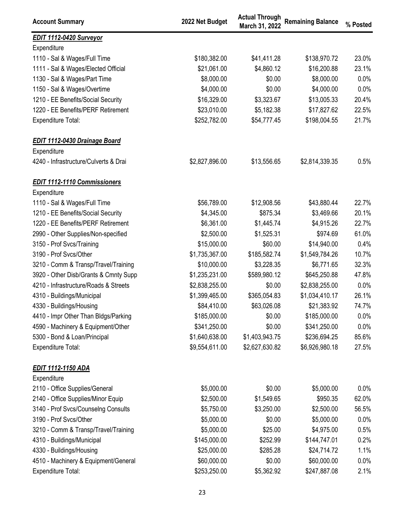| <b>Account Summary</b>                | 2022 Net Budget | <b>Actual Through</b><br>March 31, 2022 | <b>Remaining Balance</b> | % Posted |
|---------------------------------------|-----------------|-----------------------------------------|--------------------------|----------|
| EDIT 1112-0420 Surveyor               |                 |                                         |                          |          |
| Expenditure                           |                 |                                         |                          |          |
| 1110 - Sal & Wages/Full Time          | \$180,382.00    | \$41,411.28                             | \$138,970.72             | 23.0%    |
| 1111 - Sal & Wages/Elected Official   | \$21,061.00     | \$4,860.12                              | \$16,200.88              | 23.1%    |
| 1130 - Sal & Wages/Part Time          | \$8,000.00      | \$0.00                                  | \$8,000.00               | 0.0%     |
| 1150 - Sal & Wages/Overtime           | \$4,000.00      | \$0.00                                  | \$4,000.00               | 0.0%     |
| 1210 - EE Benefits/Social Security    | \$16,329.00     | \$3,323.67                              | \$13,005.33              | 20.4%    |
| 1220 - EE Benefits/PERF Retirement    | \$23,010.00     | \$5,182.38                              | \$17,827.62              | 22.5%    |
| Expenditure Total:                    | \$252,782.00    | \$54,777.45                             | \$198,004.55             | 21.7%    |
| <b>EDIT 1112-0430 Drainage Board</b>  |                 |                                         |                          |          |
| Expenditure                           |                 |                                         |                          |          |
| 4240 - Infrastructure/Culverts & Drai | \$2,827,896.00  | \$13,556.65                             | \$2,814,339.35           | 0.5%     |
| <b>EDIT 1112-1110 Commissioners</b>   |                 |                                         |                          |          |
| Expenditure                           |                 |                                         |                          |          |
| 1110 - Sal & Wages/Full Time          | \$56,789.00     | \$12,908.56                             | \$43,880.44              | 22.7%    |
| 1210 - EE Benefits/Social Security    | \$4,345.00      | \$875.34                                | \$3,469.66               | 20.1%    |
| 1220 - EE Benefits/PERF Retirement    | \$6,361.00      | \$1,445.74                              | \$4,915.26               | 22.7%    |
| 2990 - Other Supplies/Non-specified   | \$2,500.00      | \$1,525.31                              | \$974.69                 | 61.0%    |
| 3150 - Prof Svcs/Training             | \$15,000.00     | \$60.00                                 | \$14,940.00              | 0.4%     |
| 3190 - Prof Svcs/Other                | \$1,735,367.00  | \$185,582.74                            | \$1,549,784.26           | 10.7%    |
| 3210 - Comm & Transp/Travel/Training  | \$10,000.00     | \$3,228.35                              | \$6,771.65               | 32.3%    |
| 3920 - Other Disb/Grants & Cmnty Supp | \$1,235,231.00  | \$589,980.12                            | \$645,250.88             | 47.8%    |
| 4210 - Infrastructure/Roads & Streets | \$2,838,255.00  | \$0.00                                  | \$2,838,255.00           | 0.0%     |
| 4310 - Buildings/Municipal            | \$1,399,465.00  | \$365,054.83                            | \$1,034,410.17           | 26.1%    |
| 4330 - Buildings/Housing              | \$84,410.00     | \$63,026.08                             | \$21,383.92              | 74.7%    |
| 4410 - Impr Other Than Bldgs/Parking  | \$185,000.00    | \$0.00                                  | \$185,000.00             | $0.0\%$  |
| 4590 - Machinery & Equipment/Other    | \$341,250.00    | \$0.00                                  | \$341,250.00             | 0.0%     |
| 5300 - Bond & Loan/Principal          | \$1,640,638.00  | \$1,403,943.75                          | \$236,694.25             | 85.6%    |
| Expenditure Total:                    | \$9,554,611.00  | \$2,627,630.82                          | \$6,926,980.18           | 27.5%    |
| <u>EDIT 1112-1150 ADA</u>             |                 |                                         |                          |          |
| Expenditure                           |                 |                                         |                          |          |
| 2110 - Office Supplies/General        | \$5,000.00      | \$0.00                                  | \$5,000.00               | $0.0\%$  |
| 2140 - Office Supplies/Minor Equip    | \$2,500.00      | \$1,549.65                              | \$950.35                 | 62.0%    |
| 3140 - Prof Svcs/Counselng Consults   | \$5,750.00      | \$3,250.00                              | \$2,500.00               | 56.5%    |
| 3190 - Prof Svcs/Other                | \$5,000.00      | \$0.00                                  | \$5,000.00               | 0.0%     |
| 3210 - Comm & Transp/Travel/Training  | \$5,000.00      | \$25.00                                 | \$4,975.00               | 0.5%     |
| 4310 - Buildings/Municipal            | \$145,000.00    | \$252.99                                | \$144,747.01             | 0.2%     |
| 4330 - Buildings/Housing              | \$25,000.00     | \$285.28                                | \$24,714.72              | 1.1%     |
| 4510 - Machinery & Equipment/General  | \$60,000.00     | \$0.00                                  | \$60,000.00              | $0.0\%$  |
| Expenditure Total:                    | \$253,250.00    | \$5,362.92                              | \$247,887.08             | 2.1%     |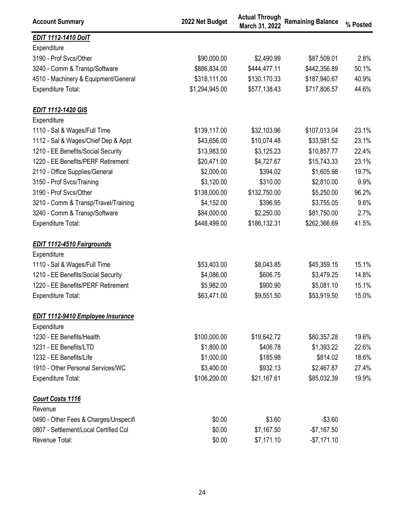| <b>Account Summary</b>                | 2022 Net Budget | <b>Actual Through</b><br>March 31, 2022 | <b>Remaining Balance</b> | % Posted |
|---------------------------------------|-----------------|-----------------------------------------|--------------------------|----------|
| <b>EDIT 1112-1410 DoIT</b>            |                 |                                         |                          |          |
| Expenditure                           |                 |                                         |                          |          |
| 3190 - Prof Svcs/Other                | \$90,000.00     | \$2,490.99                              | \$87,509.01              | 2.8%     |
| 3240 - Comm & Transp/Software         | \$886,834.00    | \$444,477.11                            | \$442,356.89             | 50.1%    |
| 4510 - Machinery & Equipment/General  | \$318,111.00    | \$130,170.33                            | \$187,940.67             | 40.9%    |
| Expenditure Total:                    | \$1,294,945.00  | \$577,138.43                            | \$717,806.57             | 44.6%    |
| <b>EDIT 1112-1420 GIS</b>             |                 |                                         |                          |          |
| Expenditure                           |                 |                                         |                          |          |
| 1110 - Sal & Wages/Full Time          | \$139,117.00    | \$32,103.96                             | \$107,013.04             | 23.1%    |
| 1112 - Sal & Wages/Chief Dep & Appt   | \$43,656.00     | \$10,074.48                             | \$33,581.52              | 23.1%    |
| 1210 - EE Benefits/Social Security    | \$13,983.00     | \$3,125.23                              | \$10,857.77              | 22.4%    |
| 1220 - EE Benefits/PERF Retirement    | \$20,471.00     | \$4,727.67                              | \$15,743.33              | 23.1%    |
| 2110 - Office Supplies/General        | \$2,000.00      | \$394.02                                | \$1,605.98               | 19.7%    |
| 3150 - Prof Svcs/Training             | \$3,120.00      | \$310.00                                | \$2,810.00               | 9.9%     |
| 3190 - Prof Svcs/Other                | \$138,000.00    | \$132,750.00                            | \$5,250.00               | 96.2%    |
| 3210 - Comm & Transp/Travel/Training  | \$4,152.00      | \$396.95                                | \$3,755.05               | 9.6%     |
| 3240 - Comm & Transp/Software         | \$84,000.00     | \$2,250.00                              | \$81,750.00              | 2.7%     |
| <b>Expenditure Total:</b>             | \$448,499.00    | \$186,132.31                            | \$262,366.69             | 41.5%    |
| <b>EDIT 1112-4510 Fairgrounds</b>     |                 |                                         |                          |          |
| Expenditure                           |                 |                                         |                          |          |
| 1110 - Sal & Wages/Full Time          | \$53,403.00     | \$8,043.85                              | \$45,359.15              | 15.1%    |
| 1210 - EE Benefits/Social Security    | \$4,086.00      | \$606.75                                | \$3,479.25               | 14.8%    |
| 1220 - EE Benefits/PERF Retirement    | \$5,982.00      | \$900.90                                | \$5,081.10               | 15.1%    |
| Expenditure Total:                    | \$63,471.00     | \$9,551.50                              | \$53,919.50              | 15.0%    |
| EDIT 1112-9410 Employee Insurance     |                 |                                         |                          |          |
| Expenditure                           |                 |                                         |                          |          |
| 1230 - EE Benefits/Health             | \$100,000.00    | \$19,642.72                             | \$80,357.28              | 19.6%    |
| 1231 - EE Benefits/LTD                | \$1,800.00      | \$406.78                                | \$1,393.22               | 22.6%    |
| 1232 - EE Benefits/Life               | \$1,000.00      | \$185.98                                | \$814.02                 | 18.6%    |
| 1910 - Other Personal Services/WC     | \$3,400.00      | \$932.13                                | \$2,467.87               | 27.4%    |
| <b>Expenditure Total:</b>             | \$106,200.00    | \$21,167.61                             | \$85,032.39              | 19.9%    |
| <b>Court Costs 1116</b>               |                 |                                         |                          |          |
| Revenue                               |                 |                                         |                          |          |
| 0490 - Other Fees & Charges/Unspecifi | \$0.00          | \$3.60                                  | $-$3.60$                 |          |
| 0807 - Settlement/Local Certified Col | \$0.00          | \$7,167.50                              | $-$7,167.50$             |          |
| Revenue Total:                        | \$0.00          | \$7,171.10                              | $-$7,171.10$             |          |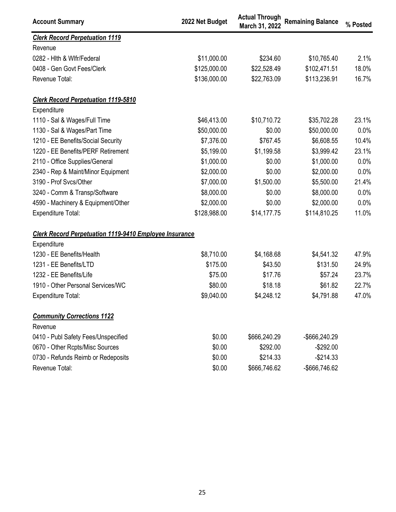| <b>Account Summary</b>                                        | 2022 Net Budget | <b>Actual Through</b><br>March 31, 2022 | <b>Remaining Balance</b> | % Posted |
|---------------------------------------------------------------|-----------------|-----------------------------------------|--------------------------|----------|
| <b>Clerk Record Perpetuation 1119</b>                         |                 |                                         |                          |          |
| Revenue                                                       |                 |                                         |                          |          |
| 0282 - Hith & Wifr/Federal                                    | \$11,000.00     | \$234.60                                | \$10,765.40              | 2.1%     |
| 0408 - Gen Govt Fees/Clerk                                    | \$125,000.00    | \$22,528.49                             | \$102,471.51             | 18.0%    |
| Revenue Total:                                                | \$136,000.00    | \$22,763.09                             | \$113,236.91             | 16.7%    |
| <b>Clerk Record Perpetuation 1119-5810</b>                    |                 |                                         |                          |          |
| Expenditure                                                   |                 |                                         |                          |          |
| 1110 - Sal & Wages/Full Time                                  | \$46,413.00     | \$10,710.72                             | \$35,702.28              | 23.1%    |
| 1130 - Sal & Wages/Part Time                                  | \$50,000.00     | \$0.00                                  | \$50,000.00              | 0.0%     |
| 1210 - EE Benefits/Social Security                            | \$7,376.00      | \$767.45                                | \$6,608.55               | 10.4%    |
| 1220 - EE Benefits/PERF Retirement                            | \$5,199.00      | \$1,199.58                              | \$3,999.42               | 23.1%    |
| 2110 - Office Supplies/General                                | \$1,000.00      | \$0.00                                  | \$1,000.00               | 0.0%     |
| 2340 - Rep & Maint/Minor Equipment                            | \$2,000.00      | \$0.00                                  | \$2,000.00               | 0.0%     |
| 3190 - Prof Svcs/Other                                        | \$7,000.00      | \$1,500.00                              | \$5,500.00               | 21.4%    |
| 3240 - Comm & Transp/Software                                 | \$8,000.00      | \$0.00                                  | \$8,000.00               | 0.0%     |
| 4590 - Machinery & Equipment/Other                            | \$2,000.00      | \$0.00                                  | \$2,000.00               | 0.0%     |
| Expenditure Total:                                            | \$128,988.00    | \$14,177.75                             | \$114,810.25             | 11.0%    |
| <b>Clerk Record Perpetuation 1119-9410 Employee Insurance</b> |                 |                                         |                          |          |
| Expenditure                                                   |                 |                                         |                          |          |
| 1230 - EE Benefits/Health                                     | \$8,710.00      | \$4,168.68                              | \$4,541.32               | 47.9%    |
| 1231 - EE Benefits/LTD                                        | \$175.00        | \$43.50                                 | \$131.50                 | 24.9%    |
| 1232 - EE Benefits/Life                                       | \$75.00         | \$17.76                                 | \$57.24                  | 23.7%    |
| 1910 - Other Personal Services/WC                             | \$80.00         | \$18.18                                 | \$61.82                  | 22.7%    |
| Expenditure Total:                                            | \$9,040.00      | \$4,248.12                              | \$4,791.88               | 47.0%    |
| <b>Community Corrections 1122</b>                             |                 |                                         |                          |          |
| Revenue                                                       |                 |                                         |                          |          |
| 0410 - Publ Safety Fees/Unspecified                           | \$0.00          | \$666,240.29                            | -\$666,240.29            |          |
| 0670 - Other Rcpts/Misc Sources                               | \$0.00          | \$292.00                                | $-$292.00$               |          |
| 0730 - Refunds Reimb or Redeposits                            | \$0.00          | \$214.33                                | $-$214.33$               |          |
| Revenue Total:                                                | \$0.00          | \$666,746.62                            | -\$666,746.62            |          |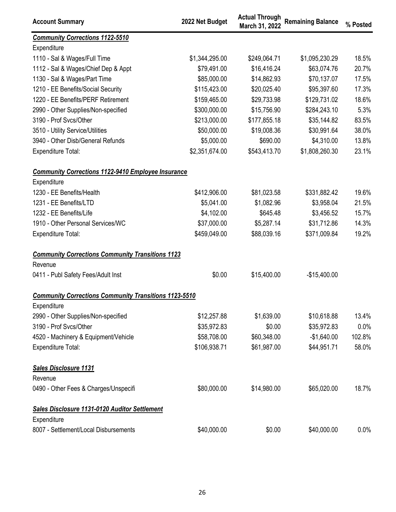| <b>Account Summary</b>                                       | 2022 Net Budget | <b>Actual Through</b><br>March 31, 2022 | <b>Remaining Balance</b> | % Posted |
|--------------------------------------------------------------|-----------------|-----------------------------------------|--------------------------|----------|
| <b>Community Corrections 1122-5510</b>                       |                 |                                         |                          |          |
| Expenditure                                                  |                 |                                         |                          |          |
| 1110 - Sal & Wages/Full Time                                 | \$1,344,295.00  | \$249,064.71                            | \$1,095,230.29           | 18.5%    |
| 1112 - Sal & Wages/Chief Dep & Appt                          | \$79,491.00     | \$16,416.24                             | \$63,074.76              | 20.7%    |
| 1130 - Sal & Wages/Part Time                                 | \$85,000.00     | \$14,862.93                             | \$70,137.07              | 17.5%    |
| 1210 - EE Benefits/Social Security                           | \$115,423.00    | \$20,025.40                             | \$95,397.60              | 17.3%    |
| 1220 - EE Benefits/PERF Retirement                           | \$159,465.00    | \$29,733.98                             | \$129,731.02             | 18.6%    |
| 2990 - Other Supplies/Non-specified                          | \$300,000.00    | \$15,756.90                             | \$284,243.10             | 5.3%     |
| 3190 - Prof Svcs/Other                                       | \$213,000.00    | \$177,855.18                            | \$35,144.82              | 83.5%    |
| 3510 - Utility Service/Utilities                             | \$50,000.00     | \$19,008.36                             | \$30,991.64              | 38.0%    |
| 3940 - Other Disb/General Refunds                            | \$5,000.00      | \$690.00                                | \$4,310.00               | 13.8%    |
| <b>Expenditure Total:</b>                                    | \$2,351,674.00  | \$543,413.70                            | \$1,808,260.30           | 23.1%    |
| <b>Community Corrections 1122-9410 Employee Insurance</b>    |                 |                                         |                          |          |
| Expenditure                                                  |                 |                                         |                          |          |
| 1230 - EE Benefits/Health                                    | \$412,906.00    | \$81,023.58                             | \$331,882.42             | 19.6%    |
| 1231 - EE Benefits/LTD                                       | \$5,041.00      | \$1,082.96                              | \$3,958.04               | 21.5%    |
| 1232 - EE Benefits/Life                                      | \$4,102.00      | \$645.48                                | \$3,456.52               | 15.7%    |
| 1910 - Other Personal Services/WC                            | \$37,000.00     | \$5,287.14                              | \$31,712.86              | 14.3%    |
| Expenditure Total:                                           | \$459,049.00    | \$88,039.16                             | \$371,009.84             | 19.2%    |
| <b>Community Corrections Community Transitions 1123</b>      |                 |                                         |                          |          |
| Revenue                                                      |                 |                                         |                          |          |
| 0411 - Publ Safety Fees/Adult Inst                           | \$0.00          | \$15,400.00                             | $-$15,400.00$            |          |
| <b>Community Corrections Community Transitions 1123-5510</b> |                 |                                         |                          |          |
| Expenditure                                                  |                 |                                         |                          |          |
| 2990 - Other Supplies/Non-specified                          | \$12,257.88     | \$1,639.00                              | \$10,618.88              | 13.4%    |
| 3190 - Prof Svcs/Other                                       | \$35,972.83     | \$0.00                                  | \$35,972.83              | 0.0%     |
| 4520 - Machinery & Equipment/Vehicle                         | \$58,708.00     | \$60,348.00                             | $-$1,640.00$             | 102.8%   |
| Expenditure Total:                                           | \$106,938.71    | \$61,987.00                             | \$44,951.71              | 58.0%    |
| <b>Sales Disclosure 1131</b>                                 |                 |                                         |                          |          |
| Revenue                                                      |                 |                                         |                          |          |
| 0490 - Other Fees & Charges/Unspecifi                        | \$80,000.00     | \$14,980.00                             | \$65,020.00              | 18.7%    |
| <b>Sales Disclosure 1131-0120 Auditor Settlement</b>         |                 |                                         |                          |          |
| Expenditure                                                  |                 |                                         |                          |          |
| 8007 - Settlement/Local Disbursements                        | \$40,000.00     | \$0.00                                  | \$40,000.00              | $0.0\%$  |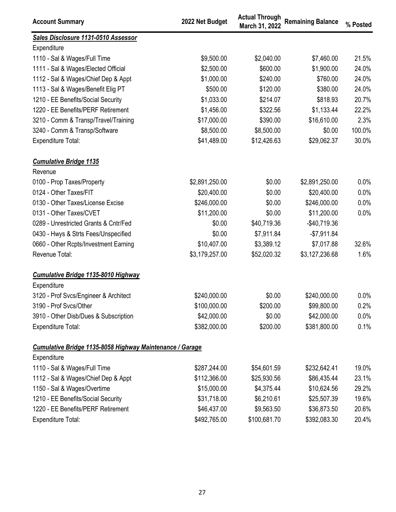| <b>Account Summary</b>                                          | 2022 Net Budget | <b>Actual Through</b><br>March 31, 2022 | <b>Remaining Balance</b> | % Posted |
|-----------------------------------------------------------------|-----------------|-----------------------------------------|--------------------------|----------|
| Sales Disclosure 1131-0510 Assessor                             |                 |                                         |                          |          |
| Expenditure                                                     |                 |                                         |                          |          |
| 1110 - Sal & Wages/Full Time                                    | \$9,500.00      | \$2,040.00                              | \$7,460.00               | 21.5%    |
| 1111 - Sal & Wages/Elected Official                             | \$2,500.00      | \$600.00                                | \$1,900.00               | 24.0%    |
| 1112 - Sal & Wages/Chief Dep & Appt                             | \$1,000.00      | \$240.00                                | \$760.00                 | 24.0%    |
| 1113 - Sal & Wages/Benefit Elig PT                              | \$500.00        | \$120.00                                | \$380.00                 | 24.0%    |
| 1210 - EE Benefits/Social Security                              | \$1,033.00      | \$214.07                                | \$818.93                 | 20.7%    |
| 1220 - EE Benefits/PERF Retirement                              | \$1,456.00      | \$322.56                                | \$1,133.44               | 22.2%    |
| 3210 - Comm & Transp/Travel/Training                            | \$17,000.00     | \$390.00                                | \$16,610.00              | 2.3%     |
| 3240 - Comm & Transp/Software                                   | \$8,500.00      | \$8,500.00                              | \$0.00                   | 100.0%   |
| Expenditure Total:                                              | \$41,489.00     | \$12,426.63                             | \$29,062.37              | 30.0%    |
| <b>Cumulative Bridge 1135</b>                                   |                 |                                         |                          |          |
| Revenue                                                         |                 |                                         |                          |          |
| 0100 - Prop Taxes/Property                                      | \$2,891,250.00  | \$0.00                                  | \$2,891,250.00           | $0.0\%$  |
| 0124 - Other Taxes/FIT                                          | \$20,400.00     | \$0.00                                  | \$20,400.00              | 0.0%     |
| 0130 - Other Taxes/License Excise                               | \$246,000.00    | \$0.00                                  | \$246,000.00             | 0.0%     |
| 0131 - Other Taxes/CVET                                         | \$11,200.00     | \$0.00                                  | \$11,200.00              | 0.0%     |
| 0289 - Unrestricted Grants & Cntr/Fed                           | \$0.00          | \$40,719.36                             | -\$40,719.36             |          |
| 0430 - Hwys & Strts Fees/Unspecified                            | \$0.00          | \$7,911.84                              | $-$7,911.84$             |          |
| 0660 - Other Rcpts/Investment Earning                           | \$10,407.00     | \$3,389.12                              | \$7,017.88               | 32.6%    |
| Revenue Total:                                                  | \$3,179,257.00  | \$52,020.32                             | \$3,127,236.68           | 1.6%     |
| <b>Cumulative Bridge 1135-8010 Highway</b>                      |                 |                                         |                          |          |
| Expenditure                                                     |                 |                                         |                          |          |
| 3120 - Prof Svcs/Engineer & Architect                           | \$240,000.00    | \$0.00                                  | \$240,000.00             | 0.0%     |
| 3190 - Prof Svcs/Other                                          | \$100,000.00    | \$200.00                                | \$99,800.00              | 0.2%     |
| 3910 - Other Disb/Dues & Subscription                           | \$42,000.00     | \$0.00                                  | \$42,000.00              | $0.0\%$  |
| Expenditure Total:                                              | \$382,000.00    | \$200.00                                | \$381,800.00             | 0.1%     |
| <b>Cumulative Bridge 1135-8058 Highway Maintenance / Garage</b> |                 |                                         |                          |          |
| Expenditure                                                     |                 |                                         |                          |          |
| 1110 - Sal & Wages/Full Time                                    | \$287,244.00    | \$54,601.59                             | \$232,642.41             | 19.0%    |
| 1112 - Sal & Wages/Chief Dep & Appt                             | \$112,366.00    | \$25,930.56                             | \$86,435.44              | 23.1%    |
| 1150 - Sal & Wages/Overtime                                     | \$15,000.00     | \$4,375.44                              | \$10,624.56              | 29.2%    |
| 1210 - EE Benefits/Social Security                              | \$31,718.00     | \$6,210.61                              | \$25,507.39              | 19.6%    |
| 1220 - EE Benefits/PERF Retirement                              | \$46,437.00     | \$9,563.50                              | \$36,873.50              | 20.6%    |
| Expenditure Total:                                              | \$492,765.00    | \$100,681.70                            | \$392,083.30             | 20.4%    |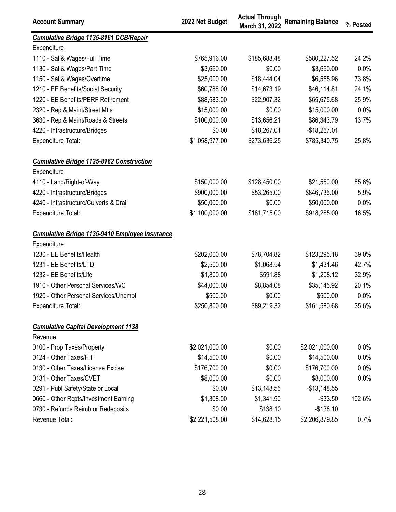| <b>Account Summary</b>                                | 2022 Net Budget | <b>Actual Through</b><br>March 31, 2022 | <b>Remaining Balance</b> | % Posted |
|-------------------------------------------------------|-----------------|-----------------------------------------|--------------------------|----------|
| <b>Cumulative Bridge 1135-8161 CCB/Repair</b>         |                 |                                         |                          |          |
| Expenditure                                           |                 |                                         |                          |          |
| 1110 - Sal & Wages/Full Time                          | \$765,916.00    | \$185,688.48                            | \$580,227.52             | 24.2%    |
| 1130 - Sal & Wages/Part Time                          | \$3,690.00      | \$0.00                                  | \$3,690.00               | 0.0%     |
| 1150 - Sal & Wages/Overtime                           | \$25,000.00     | \$18,444.04                             | \$6,555.96               | 73.8%    |
| 1210 - EE Benefits/Social Security                    | \$60,788.00     | \$14,673.19                             | \$46,114.81              | 24.1%    |
| 1220 - EE Benefits/PERF Retirement                    | \$88,583.00     | \$22,907.32                             | \$65,675.68              | 25.9%    |
| 2320 - Rep & Maint/Street Mtls                        | \$15,000.00     | \$0.00                                  | \$15,000.00              | 0.0%     |
| 3630 - Rep & Maint/Roads & Streets                    | \$100,000.00    | \$13,656.21                             | \$86,343.79              | 13.7%    |
| 4220 - Infrastructure/Bridges                         | \$0.00          | \$18,267.01                             | $-$18,267.01$            |          |
| Expenditure Total:                                    | \$1,058,977.00  | \$273,636.25                            | \$785,340.75             | 25.8%    |
| <b>Cumulative Bridge 1135-8162 Construction</b>       |                 |                                         |                          |          |
| Expenditure                                           |                 |                                         |                          |          |
| 4110 - Land/Right-of-Way                              | \$150,000.00    | \$128,450.00                            | \$21,550.00              | 85.6%    |
| 4220 - Infrastructure/Bridges                         | \$900,000.00    | \$53,265.00                             | \$846,735.00             | 5.9%     |
| 4240 - Infrastructure/Culverts & Drai                 | \$50,000.00     | \$0.00                                  | \$50,000.00              | 0.0%     |
| Expenditure Total:                                    | \$1,100,000.00  | \$181,715.00                            | \$918,285.00             | 16.5%    |
| <b>Cumulative Bridge 1135-9410 Employee Insurance</b> |                 |                                         |                          |          |
| Expenditure                                           |                 |                                         |                          |          |
| 1230 - EE Benefits/Health                             | \$202,000.00    | \$78,704.82                             | \$123,295.18             | 39.0%    |
| 1231 - EE Benefits/LTD                                | \$2,500.00      | \$1,068.54                              | \$1,431.46               | 42.7%    |
| 1232 - EE Benefits/Life                               | \$1,800.00      | \$591.88                                | \$1,208.12               | 32.9%    |
| 1910 - Other Personal Services/WC                     | \$44,000.00     | \$8,854.08                              | \$35,145.92              | 20.1%    |
| 1920 - Other Personal Services/Unempl                 | \$500.00        | \$0.00                                  | \$500.00                 | 0.0%     |
| Expenditure Total:                                    | \$250,800.00    | \$89,219.32                             | \$161,580.68             | 35.6%    |
| <b>Cumulative Capital Development 1138</b>            |                 |                                         |                          |          |
| Revenue                                               |                 |                                         |                          |          |
| 0100 - Prop Taxes/Property                            | \$2,021,000.00  | \$0.00                                  | \$2,021,000.00           | 0.0%     |
| 0124 - Other Taxes/FIT                                | \$14,500.00     | \$0.00                                  | \$14,500.00              | 0.0%     |
| 0130 - Other Taxes/License Excise                     | \$176,700.00    | \$0.00                                  | \$176,700.00             | 0.0%     |
| 0131 - Other Taxes/CVET                               | \$8,000.00      | \$0.00                                  | \$8,000.00               | 0.0%     |
| 0291 - Publ Safety/State or Local                     | \$0.00          | \$13,148.55                             | $-$13,148.55$            |          |
| 0660 - Other Rcpts/Investment Earning                 | \$1,308.00      | \$1,341.50                              | $-$33.50$                | 102.6%   |
| 0730 - Refunds Reimb or Redeposits                    | \$0.00          | \$138.10                                | $-$138.10$               |          |
| Revenue Total:                                        | \$2,221,508.00  | \$14,628.15                             | \$2,206,879.85           | 0.7%     |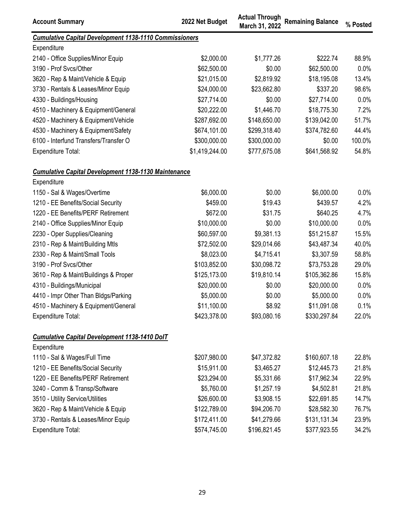| <b>Account Summary</b>                                        | 2022 Net Budget | <b>Actual Through</b><br>March 31, 2022 | <b>Remaining Balance</b> | % Posted |
|---------------------------------------------------------------|-----------------|-----------------------------------------|--------------------------|----------|
| <b>Cumulative Capital Development 1138-1110 Commissioners</b> |                 |                                         |                          |          |
| Expenditure                                                   |                 |                                         |                          |          |
| 2140 - Office Supplies/Minor Equip                            | \$2,000.00      | \$1,777.26                              | \$222.74                 | 88.9%    |
| 3190 - Prof Svcs/Other                                        | \$62,500.00     | \$0.00                                  | \$62,500.00              | 0.0%     |
| 3620 - Rep & Maint/Vehicle & Equip                            | \$21,015.00     | \$2,819.92                              | \$18,195.08              | 13.4%    |
| 3730 - Rentals & Leases/Minor Equip                           | \$24,000.00     | \$23,662.80                             | \$337.20                 | 98.6%    |
| 4330 - Buildings/Housing                                      | \$27,714.00     | \$0.00                                  | \$27,714.00              | 0.0%     |
| 4510 - Machinery & Equipment/General                          | \$20,222.00     | \$1,446.70                              | \$18,775.30              | 7.2%     |
| 4520 - Machinery & Equipment/Vehicle                          | \$287,692.00    | \$148,650.00                            | \$139,042.00             | 51.7%    |
| 4530 - Machinery & Equipment/Safety                           | \$674,101.00    | \$299,318.40                            | \$374,782.60             | 44.4%    |
| 6100 - Interfund Transfers/Transfer O                         | \$300,000.00    | \$300,000.00                            | \$0.00                   | 100.0%   |
| <b>Expenditure Total:</b>                                     | \$1,419,244.00  | \$777,675.08                            | \$641,568.92             | 54.8%    |
| <b>Cumulative Capital Development 1138-1130 Maintenance</b>   |                 |                                         |                          |          |
| Expenditure                                                   |                 |                                         |                          |          |
| 1150 - Sal & Wages/Overtime                                   | \$6,000.00      | \$0.00                                  | \$6,000.00               | $0.0\%$  |
| 1210 - EE Benefits/Social Security                            | \$459.00        | \$19.43                                 | \$439.57                 | 4.2%     |
| 1220 - EE Benefits/PERF Retirement                            | \$672.00        | \$31.75                                 | \$640.25                 | 4.7%     |
| 2140 - Office Supplies/Minor Equip                            | \$10,000.00     | \$0.00                                  | \$10,000.00              | 0.0%     |
| 2230 - Oper Supplies/Cleaning                                 | \$60,597.00     | \$9,381.13                              | \$51,215.87              | 15.5%    |
| 2310 - Rep & Maint/Building Mtls                              | \$72,502.00     | \$29,014.66                             | \$43,487.34              | 40.0%    |
| 2330 - Rep & Maint/Small Tools                                | \$8,023.00      | \$4,715.41                              | \$3,307.59               | 58.8%    |
| 3190 - Prof Svcs/Other                                        | \$103,852.00    | \$30,098.72                             | \$73,753.28              | 29.0%    |
| 3610 - Rep & Maint/Buildings & Proper                         | \$125,173.00    | \$19,810.14                             | \$105,362.86             | 15.8%    |
| 4310 - Buildings/Municipal                                    | \$20,000.00     | \$0.00                                  | \$20,000.00              | 0.0%     |
| 4410 - Impr Other Than Bldgs/Parking                          | \$5,000.00      | \$0.00                                  | \$5,000.00               | 0.0%     |
| 4510 - Machinery & Equipment/General                          | \$11,100.00     | \$8.92                                  | \$11,091.08              | 0.1%     |
| <b>Expenditure Total:</b>                                     | \$423,378.00    | \$93,080.16                             | \$330,297.84             | 22.0%    |
| <b>Cumulative Capital Development 1138-1410 DolT</b>          |                 |                                         |                          |          |
| Expenditure                                                   |                 |                                         |                          |          |
| 1110 - Sal & Wages/Full Time                                  | \$207,980.00    | \$47,372.82                             | \$160,607.18             | 22.8%    |
| 1210 - EE Benefits/Social Security                            | \$15,911.00     | \$3,465.27                              | \$12,445.73              | 21.8%    |
| 1220 - EE Benefits/PERF Retirement                            | \$23,294.00     | \$5,331.66                              | \$17,962.34              | 22.9%    |
| 3240 - Comm & Transp/Software                                 | \$5,760.00      | \$1,257.19                              | \$4,502.81               | 21.8%    |
| 3510 - Utility Service/Utilities                              | \$26,600.00     | \$3,908.15                              | \$22,691.85              | 14.7%    |
| 3620 - Rep & Maint/Vehicle & Equip                            | \$122,789.00    | \$94,206.70                             | \$28,582.30              | 76.7%    |
| 3730 - Rentals & Leases/Minor Equip                           | \$172,411.00    | \$41,279.66                             | \$131,131.34             | 23.9%    |
| <b>Expenditure Total:</b>                                     | \$574,745.00    | \$196,821.45                            | \$377,923.55             | 34.2%    |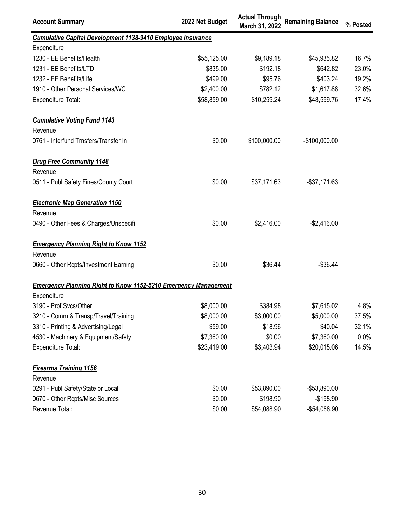| <b>Account Summary</b>                                                 | 2022 Net Budget | <b>Actual Through</b><br>March 31, 2022 | <b>Remaining Balance</b> | % Posted |
|------------------------------------------------------------------------|-----------------|-----------------------------------------|--------------------------|----------|
| <b>Cumulative Capital Development 1138-9410 Employee Insurance</b>     |                 |                                         |                          |          |
| Expenditure                                                            |                 |                                         |                          |          |
| 1230 - EE Benefits/Health                                              | \$55,125.00     | \$9,189.18                              | \$45,935.82              | 16.7%    |
| 1231 - EE Benefits/LTD                                                 | \$835.00        | \$192.18                                | \$642.82                 | 23.0%    |
| 1232 - EE Benefits/Life                                                | \$499.00        | \$95.76                                 | \$403.24                 | 19.2%    |
| 1910 - Other Personal Services/WC                                      | \$2,400.00      | \$782.12                                | \$1,617.88               | 32.6%    |
| <b>Expenditure Total:</b>                                              | \$58,859.00     | \$10,259.24                             | \$48,599.76              | 17.4%    |
| <b>Cumulative Voting Fund 1143</b>                                     |                 |                                         |                          |          |
| Revenue                                                                |                 |                                         |                          |          |
| 0761 - Interfund Trnsfers/Transfer In                                  | \$0.00          | \$100,000.00                            | $-$100,000.00$           |          |
| <b>Drug Free Community 1148</b>                                        |                 |                                         |                          |          |
| Revenue                                                                |                 |                                         |                          |          |
| 0511 - Publ Safety Fines/County Court                                  | \$0.00          | \$37,171.63                             | $-$ \$37,171.63          |          |
| <b>Electronic Map Generation 1150</b>                                  |                 |                                         |                          |          |
| Revenue                                                                |                 |                                         |                          |          |
| 0490 - Other Fees & Charges/Unspecifi                                  | \$0.00          | \$2,416.00                              | $-$2,416.00$             |          |
| <b>Emergency Planning Right to Know 1152</b>                           |                 |                                         |                          |          |
| Revenue                                                                |                 |                                         |                          |          |
| 0660 - Other Rcpts/Investment Earning                                  | \$0.00          | \$36.44                                 | $-$36.44$                |          |
| <b>Emergency Planning Right to Know 1152-5210 Emergency Management</b> |                 |                                         |                          |          |
| Expenditure                                                            |                 |                                         |                          |          |
| 3190 - Prof Svcs/Other                                                 | \$8,000.00      | \$384.98                                | \$7,615.02               | 4.8%     |
| 3210 - Comm & Transp/Travel/Training                                   | \$8,000.00      | \$3,000.00                              | \$5,000.00               | 37.5%    |
| 3310 - Printing & Advertising/Legal                                    | \$59.00         | \$18.96                                 | \$40.04                  | 32.1%    |
| 4530 - Machinery & Equipment/Safety                                    | \$7,360.00      | \$0.00                                  | \$7,360.00               | $0.0\%$  |
| <b>Expenditure Total:</b>                                              | \$23,419.00     | \$3,403.94                              | \$20,015.06              | 14.5%    |
| <b>Firearms Training 1156</b>                                          |                 |                                         |                          |          |
| Revenue                                                                |                 |                                         |                          |          |
| 0291 - Publ Safety/State or Local                                      | \$0.00          | \$53,890.00                             | $-$53,890.00$            |          |
| 0670 - Other Rcpts/Misc Sources                                        | \$0.00          | \$198.90                                | $-$198.90$               |          |
| Revenue Total:                                                         | \$0.00          | \$54,088.90                             | -\$54,088.90             |          |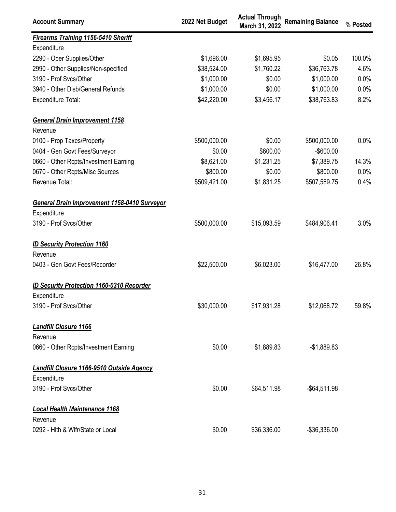| <b>Account Summary</b>                           | 2022 Net Budget | <b>Actual Through</b><br>March 31, 2022 | <b>Remaining Balance</b> | % Posted |
|--------------------------------------------------|-----------------|-----------------------------------------|--------------------------|----------|
| <b>Firearms Training 1156-5410 Sheriff</b>       |                 |                                         |                          |          |
| Expenditure                                      |                 |                                         |                          |          |
| 2290 - Oper Supplies/Other                       | \$1,696.00      | \$1,695.95                              | \$0.05                   | 100.0%   |
| 2990 - Other Supplies/Non-specified              | \$38,524.00     | \$1,760.22                              | \$36,763.78              | 4.6%     |
| 3190 - Prof Svcs/Other                           | \$1,000.00      | \$0.00                                  | \$1,000.00               | 0.0%     |
| 3940 - Other Disb/General Refunds                | \$1,000.00      | \$0.00                                  | \$1,000.00               | 0.0%     |
| Expenditure Total:                               | \$42,220.00     | \$3,456.17                              | \$38,763.83              | 8.2%     |
| <b>General Drain Improvement 1158</b>            |                 |                                         |                          |          |
| Revenue                                          |                 |                                         |                          |          |
| 0100 - Prop Taxes/Property                       | \$500,000.00    | \$0.00                                  | \$500,000.00             | 0.0%     |
| 0404 - Gen Govt Fees/Surveyor                    | \$0.00          | \$600.00                                | $-$600.00$               |          |
| 0660 - Other Rcpts/Investment Earning            | \$8,621.00      | \$1,231.25                              | \$7,389.75               | 14.3%    |
| 0670 - Other Rcpts/Misc Sources                  | \$800.00        | \$0.00                                  | \$800.00                 | 0.0%     |
| Revenue Total:                                   | \$509,421.00    | \$1,831.25                              | \$507,589.75             | 0.4%     |
| General Drain Improvement 1158-0410 Surveyor     |                 |                                         |                          |          |
| Expenditure                                      |                 |                                         |                          |          |
| 3190 - Prof Svcs/Other                           | \$500,000.00    | \$15,093.59                             | \$484,906.41             | 3.0%     |
| <b>ID Security Protection 1160</b>               |                 |                                         |                          |          |
| Revenue                                          |                 |                                         |                          |          |
| 0403 - Gen Govt Fees/Recorder                    | \$22,500.00     | \$6,023.00                              | \$16,477.00              | 26.8%    |
| <b>ID Security Protection 1160-0310 Recorder</b> |                 |                                         |                          |          |
| Expenditure                                      |                 |                                         |                          |          |
| 3190 - Prof Svcs/Other                           | \$30,000.00     | \$17,931.28                             | \$12,068.72              | 59.8%    |
| <b>Landfill Closure 1166</b>                     |                 |                                         |                          |          |
| Revenue                                          |                 |                                         |                          |          |
| 0660 - Other Rcpts/Investment Earning            | \$0.00          | \$1,889.83                              | $-$1,889.83$             |          |
| <b>Landfill Closure 1166-9510 Outside Agency</b> |                 |                                         |                          |          |
| Expenditure                                      |                 |                                         |                          |          |
| 3190 - Prof Svcs/Other                           | \$0.00          | \$64,511.98                             | $-$ \$64,511.98          |          |
| Local Health Maintenance 1168                    |                 |                                         |                          |          |
| Revenue                                          |                 |                                         |                          |          |
| 0292 - Hith & Wifr/State or Local                | \$0.00          | \$36,336.00                             | $-$36,336.00$            |          |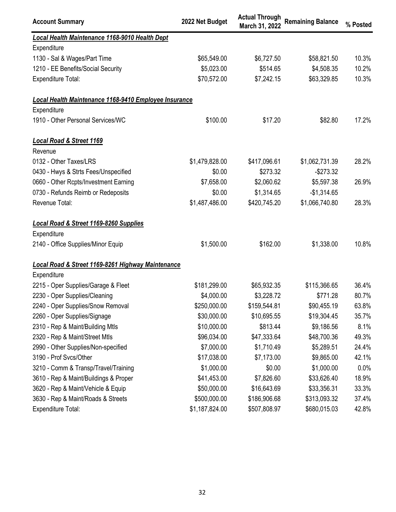| <b>Account Summary</b>                                       | 2022 Net Budget | <b>Actual Through</b><br>March 31, 2022 | <b>Remaining Balance</b> | % Posted |
|--------------------------------------------------------------|-----------------|-----------------------------------------|--------------------------|----------|
| Local Health Maintenance 1168-9010 Health Dept               |                 |                                         |                          |          |
| Expenditure                                                  |                 |                                         |                          |          |
| 1130 - Sal & Wages/Part Time                                 | \$65,549.00     | \$6,727.50                              | \$58,821.50              | 10.3%    |
| 1210 - EE Benefits/Social Security                           | \$5,023.00      | \$514.65                                | \$4,508.35               | 10.2%    |
| Expenditure Total:                                           | \$70,572.00     | \$7,242.15                              | \$63,329.85              | 10.3%    |
| Local Health Maintenance 1168-9410 Employee Insurance        |                 |                                         |                          |          |
| Expenditure                                                  |                 |                                         |                          |          |
| 1910 - Other Personal Services/WC                            | \$100.00        | \$17.20                                 | \$82.80                  | 17.2%    |
| <b>Local Road &amp; Street 1169</b>                          |                 |                                         |                          |          |
| Revenue                                                      |                 |                                         |                          |          |
| 0132 - Other Taxes/LRS                                       | \$1,479,828.00  | \$417,096.61                            | \$1,062,731.39           | 28.2%    |
| 0430 - Hwys & Strts Fees/Unspecified                         | \$0.00          | \$273.32                                | $-$273.32$               |          |
| 0660 - Other Rcpts/Investment Earning                        | \$7,658.00      | \$2,060.62                              | \$5,597.38               | 26.9%    |
| 0730 - Refunds Reimb or Redeposits                           | \$0.00          | \$1,314.65                              | $-$1,314.65$             |          |
| Revenue Total:                                               | \$1,487,486.00  | \$420,745.20                            | \$1,066,740.80           | 28.3%    |
| Local Road & Street 1169-8260 Supplies                       |                 |                                         |                          |          |
| Expenditure                                                  |                 |                                         |                          |          |
| 2140 - Office Supplies/Minor Equip                           | \$1,500.00      | \$162.00                                | \$1,338.00               | 10.8%    |
| <b>Local Road &amp; Street 1169-8261 Highway Maintenance</b> |                 |                                         |                          |          |
| Expenditure                                                  |                 |                                         |                          |          |
| 2215 - Oper Supplies/Garage & Fleet                          | \$181,299.00    | \$65,932.35                             | \$115,366.65             | 36.4%    |
| 2230 - Oper Supplies/Cleaning                                | \$4,000.00      | \$3,228.72                              | \$771.28                 | 80.7%    |
| 2240 - Oper Supplies/Snow Removal                            | \$250,000.00    | \$159,544.81                            | \$90,455.19              | 63.8%    |
| 2260 - Oper Supplies/Signage                                 | \$30,000.00     | \$10,695.55                             | \$19,304.45              | 35.7%    |
| 2310 - Rep & Maint/Building Mtls                             | \$10,000.00     | \$813.44                                | \$9,186.56               | 8.1%     |
| 2320 - Rep & Maint/Street Mtls                               | \$96,034.00     | \$47,333.64                             | \$48,700.36              | 49.3%    |
| 2990 - Other Supplies/Non-specified                          | \$7,000.00      | \$1,710.49                              | \$5,289.51               | 24.4%    |
| 3190 - Prof Svcs/Other                                       | \$17,038.00     | \$7,173.00                              | \$9,865.00               | 42.1%    |
| 3210 - Comm & Transp/Travel/Training                         | \$1,000.00      | \$0.00                                  | \$1,000.00               | 0.0%     |
| 3610 - Rep & Maint/Buildings & Proper                        | \$41,453.00     | \$7,826.60                              | \$33,626.40              | 18.9%    |
| 3620 - Rep & Maint/Vehicle & Equip                           | \$50,000.00     | \$16,643.69                             | \$33,356.31              | 33.3%    |
| 3630 - Rep & Maint/Roads & Streets                           | \$500,000.00    | \$186,906.68                            | \$313,093.32             | 37.4%    |
| <b>Expenditure Total:</b>                                    | \$1,187,824.00  | \$507,808.97                            | \$680,015.03             | 42.8%    |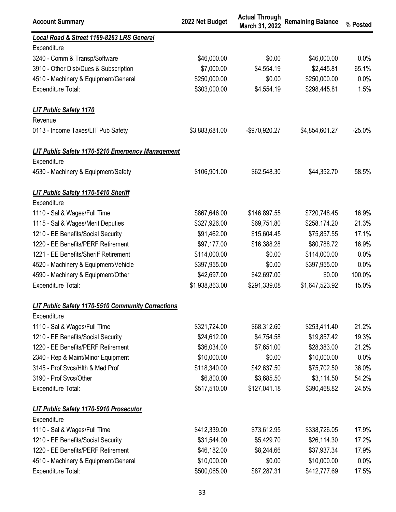| <b>Account Summary</b>                                  | 2022 Net Budget | <b>Actual Through</b><br>March 31, 2022 | <b>Remaining Balance</b> | % Posted |
|---------------------------------------------------------|-----------------|-----------------------------------------|--------------------------|----------|
| Local Road & Street 1169-8263 LRS General               |                 |                                         |                          |          |
| Expenditure                                             |                 |                                         |                          |          |
| 3240 - Comm & Transp/Software                           | \$46,000.00     | \$0.00                                  | \$46,000.00              | 0.0%     |
| 3910 - Other Disb/Dues & Subscription                   | \$7,000.00      | \$4,554.19                              | \$2,445.81               | 65.1%    |
| 4510 - Machinery & Equipment/General                    | \$250,000.00    | \$0.00                                  | \$250,000.00             | 0.0%     |
| Expenditure Total:                                      | \$303,000.00    | \$4,554.19                              | \$298,445.81             | 1.5%     |
| <b>LIT Public Safety 1170</b>                           |                 |                                         |                          |          |
| Revenue                                                 |                 |                                         |                          |          |
| 0113 - Income Taxes/LIT Pub Safety                      | \$3,883,681.00  | -\$970,920.27                           | \$4,854,601.27           | $-25.0%$ |
| <b>LIT Public Safety 1170-5210 Emergency Management</b> |                 |                                         |                          |          |
| Expenditure                                             |                 |                                         |                          |          |
| 4530 - Machinery & Equipment/Safety                     | \$106,901.00    | \$62,548.30                             | \$44,352.70              | 58.5%    |
| LIT Public Safety 1170-5410 Sheriff                     |                 |                                         |                          |          |
| Expenditure                                             |                 |                                         |                          |          |
| 1110 - Sal & Wages/Full Time                            | \$867,646.00    | \$146,897.55                            | \$720,748.45             | 16.9%    |
| 1115 - Sal & Wages/Merit Deputies                       | \$327,926.00    | \$69,751.80                             | \$258,174.20             | 21.3%    |
| 1210 - EE Benefits/Social Security                      | \$91,462.00     | \$15,604.45                             | \$75,857.55              | 17.1%    |
| 1220 - EE Benefits/PERF Retirement                      | \$97,177.00     | \$16,388.28                             | \$80,788.72              | 16.9%    |
| 1221 - EE Benefits/Sheriff Retirement                   | \$114,000.00    | \$0.00                                  | \$114,000.00             | 0.0%     |
| 4520 - Machinery & Equipment/Vehicle                    | \$397,955.00    | \$0.00                                  | \$397,955.00             | 0.0%     |
| 4590 - Machinery & Equipment/Other                      | \$42,697.00     | \$42,697.00                             | \$0.00                   | 100.0%   |
| <b>Expenditure Total:</b>                               | \$1,938,863.00  | \$291,339.08                            | \$1,647,523.92           | 15.0%    |
| LIT Public Safety 1170-5510 Community Corrections       |                 |                                         |                          |          |
| Expenditure                                             |                 |                                         |                          |          |
| 1110 - Sal & Wages/Full Time                            | \$321,724.00    | \$68,312.60                             | \$253,411.40             | 21.2%    |
| 1210 - EE Benefits/Social Security                      | \$24,612.00     | \$4,754.58                              | \$19,857.42              | 19.3%    |
| 1220 - EE Benefits/PERF Retirement                      | \$36,034.00     | \$7,651.00                              | \$28,383.00              | 21.2%    |
| 2340 - Rep & Maint/Minor Equipment                      | \$10,000.00     | \$0.00                                  | \$10,000.00              | 0.0%     |
| 3145 - Prof Svcs/Hlth & Med Prof                        | \$118,340.00    | \$42,637.50                             | \$75,702.50              | 36.0%    |
| 3190 - Prof Svcs/Other                                  | \$6,800.00      | \$3,685.50                              | \$3,114.50               | 54.2%    |
| Expenditure Total:                                      | \$517,510.00    | \$127,041.18                            | \$390,468.82             | 24.5%    |
| LIT Public Safety 1170-5910 Prosecutor                  |                 |                                         |                          |          |
| Expenditure                                             |                 |                                         |                          |          |
| 1110 - Sal & Wages/Full Time                            | \$412,339.00    | \$73,612.95                             | \$338,726.05             | 17.9%    |
| 1210 - EE Benefits/Social Security                      | \$31,544.00     | \$5,429.70                              | \$26,114.30              | 17.2%    |
| 1220 - EE Benefits/PERF Retirement                      | \$46,182.00     | \$8,244.66                              | \$37,937.34              | 17.9%    |
| 4510 - Machinery & Equipment/General                    | \$10,000.00     | \$0.00                                  | \$10,000.00              | 0.0%     |
| Expenditure Total:                                      | \$500,065.00    | \$87,287.31                             | \$412,777.69             | 17.5%    |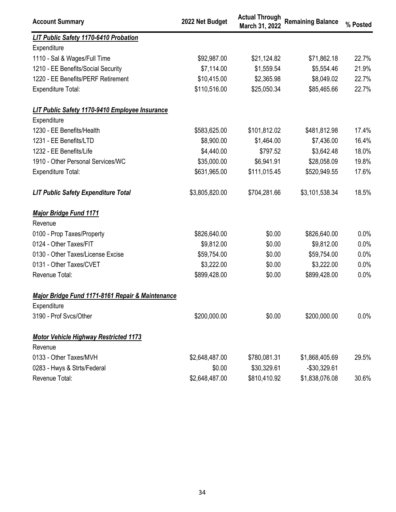| <b>Account Summary</b>                           | 2022 Net Budget | <b>Actual Through</b><br>March 31, 2022 | <b>Remaining Balance</b> | % Posted |
|--------------------------------------------------|-----------------|-----------------------------------------|--------------------------|----------|
| LIT Public Safety 1170-6410 Probation            |                 |                                         |                          |          |
| Expenditure                                      |                 |                                         |                          |          |
| 1110 - Sal & Wages/Full Time                     | \$92,987.00     | \$21,124.82                             | \$71,862.18              | 22.7%    |
| 1210 - EE Benefits/Social Security               | \$7,114.00      | \$1,559.54                              | \$5,554.46               | 21.9%    |
| 1220 - EE Benefits/PERF Retirement               | \$10,415.00     | \$2,365.98                              | \$8,049.02               | 22.7%    |
| Expenditure Total:                               | \$110,516.00    | \$25,050.34                             | \$85,465.66              | 22.7%    |
| LIT Public Safety 1170-9410 Employee Insurance   |                 |                                         |                          |          |
| Expenditure                                      |                 |                                         |                          |          |
| 1230 - EE Benefits/Health                        | \$583,625.00    | \$101,812.02                            | \$481,812.98             | 17.4%    |
| 1231 - EE Benefits/LTD                           | \$8,900.00      | \$1,464.00                              | \$7,436.00               | 16.4%    |
| 1232 - EE Benefits/Life                          | \$4,440.00      | \$797.52                                | \$3,642.48               | 18.0%    |
| 1910 - Other Personal Services/WC                | \$35,000.00     | \$6,941.91                              | \$28,058.09              | 19.8%    |
| Expenditure Total:                               | \$631,965.00    | \$111,015.45                            | \$520,949.55             | 17.6%    |
| <b>LIT Public Safety Expenditure Total</b>       | \$3,805,820.00  | \$704,281.66                            | \$3,101,538.34           | 18.5%    |
| <b>Major Bridge Fund 1171</b>                    |                 |                                         |                          |          |
| Revenue                                          |                 |                                         |                          |          |
| 0100 - Prop Taxes/Property                       | \$826,640.00    | \$0.00                                  | \$826,640.00             | 0.0%     |
| 0124 - Other Taxes/FIT                           | \$9,812.00      | \$0.00                                  | \$9,812.00               | 0.0%     |
| 0130 - Other Taxes/License Excise                | \$59,754.00     | \$0.00                                  | \$59,754.00              | 0.0%     |
| 0131 - Other Taxes/CVET                          | \$3,222.00      | \$0.00                                  | \$3,222.00               | 0.0%     |
| Revenue Total:                                   | \$899,428.00    | \$0.00                                  | \$899,428.00             | 0.0%     |
| Major Bridge Fund 1171-8161 Repair & Maintenance |                 |                                         |                          |          |
| Expenditure                                      |                 |                                         |                          |          |
| 3190 - Prof Svcs/Other                           | \$200,000.00    | \$0.00                                  | \$200,000.00             | 0.0%     |
| <b>Motor Vehicle Highway Restricted 1173</b>     |                 |                                         |                          |          |
| Revenue                                          |                 |                                         |                          |          |
| 0133 - Other Taxes/MVH                           | \$2,648,487.00  | \$780,081.31                            | \$1,868,405.69           | 29.5%    |
| 0283 - Hwys & Strts/Federal                      | \$0.00          | \$30,329.61                             | $-$30,329.61$            |          |
| Revenue Total:                                   | \$2,648,487.00  | \$810,410.92                            | \$1,838,076.08           | 30.6%    |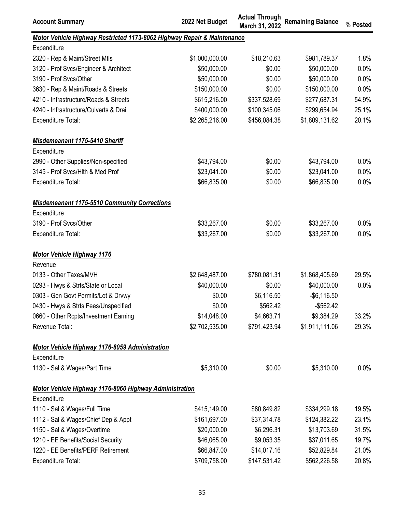| <b>Account Summary</b>                                                  | 2022 Net Budget | <b>Actual Through</b><br>March 31, 2022 | <b>Remaining Balance</b> | % Posted |
|-------------------------------------------------------------------------|-----------------|-----------------------------------------|--------------------------|----------|
| Motor Vehicle Highway Restricted 1173-8062 Highway Repair & Maintenance |                 |                                         |                          |          |
| Expenditure                                                             |                 |                                         |                          |          |
| 2320 - Rep & Maint/Street Mtls                                          | \$1,000,000.00  | \$18,210.63                             | \$981,789.37             | 1.8%     |
| 3120 - Prof Svcs/Engineer & Architect                                   | \$50,000.00     | \$0.00                                  | \$50,000.00              | 0.0%     |
| 3190 - Prof Svcs/Other                                                  | \$50,000.00     | \$0.00                                  | \$50,000.00              | 0.0%     |
| 3630 - Rep & Maint/Roads & Streets                                      | \$150,000.00    | \$0.00                                  | \$150,000.00             | 0.0%     |
| 4210 - Infrastructure/Roads & Streets                                   | \$615,216.00    | \$337,528.69                            | \$277,687.31             | 54.9%    |
| 4240 - Infrastructure/Culverts & Drai                                   | \$400,000.00    | \$100,345.06                            | \$299,654.94             | 25.1%    |
| Expenditure Total:                                                      | \$2,265,216.00  | \$456,084.38                            | \$1,809,131.62           | 20.1%    |
| Misdemeanant 1175-5410 Sheriff                                          |                 |                                         |                          |          |
| Expenditure                                                             |                 |                                         |                          |          |
| 2990 - Other Supplies/Non-specified                                     | \$43,794.00     | \$0.00                                  | \$43,794.00              | $0.0\%$  |
| 3145 - Prof Svcs/Hlth & Med Prof                                        | \$23,041.00     | \$0.00                                  | \$23,041.00              | 0.0%     |
| Expenditure Total:                                                      | \$66,835.00     | \$0.00                                  | \$66,835.00              | 0.0%     |
| <b>Misdemeanant 1175-5510 Community Corrections</b><br>Expenditure      |                 |                                         |                          |          |
| 3190 - Prof Svcs/Other                                                  | \$33,267.00     | \$0.00                                  | \$33,267.00              | $0.0\%$  |
| Expenditure Total:                                                      | \$33,267.00     | \$0.00                                  | \$33,267.00              | 0.0%     |
| <b>Motor Vehicle Highway 1176</b>                                       |                 |                                         |                          |          |
| Revenue                                                                 |                 |                                         |                          |          |
| 0133 - Other Taxes/MVH                                                  | \$2,648,487.00  | \$780,081.31                            | \$1,868,405.69           | 29.5%    |
| 0293 - Hwys & Strts/State or Local                                      | \$40,000.00     | \$0.00                                  | \$40,000.00              | 0.0%     |
| 0303 - Gen Govt Permits/Lot & Drvwy                                     | \$0.00          | \$6,116.50                              | $-$ \$6,116.50           |          |
| 0430 - Hwys & Strts Fees/Unspecified                                    | \$0.00          | \$562.42                                | $-$562.42$               |          |
| 0660 - Other Rcpts/Investment Earning                                   | \$14,048.00     | \$4,663.71                              | \$9,384.29               | 33.2%    |
| Revenue Total:                                                          | \$2,702,535.00  | \$791,423.94                            | \$1,911,111.06           | 29.3%    |
| <b>Motor Vehicle Highway 1176-8059 Administration</b>                   |                 |                                         |                          |          |
| Expenditure                                                             |                 |                                         |                          |          |
| 1130 - Sal & Wages/Part Time                                            | \$5,310.00      | \$0.00                                  | \$5,310.00               | 0.0%     |
| Motor Vehicle Highway 1176-8060 Highway Administration                  |                 |                                         |                          |          |
| Expenditure                                                             |                 |                                         |                          |          |
| 1110 - Sal & Wages/Full Time                                            | \$415,149.00    | \$80,849.82                             | \$334,299.18             | 19.5%    |
| 1112 - Sal & Wages/Chief Dep & Appt                                     | \$161,697.00    | \$37,314.78                             | \$124,382.22             | 23.1%    |
| 1150 - Sal & Wages/Overtime                                             | \$20,000.00     | \$6,296.31                              | \$13,703.69              | 31.5%    |
| 1210 - EE Benefits/Social Security                                      | \$46,065.00     | \$9,053.35                              | \$37,011.65              | 19.7%    |
| 1220 - EE Benefits/PERF Retirement                                      | \$66,847.00     | \$14,017.16                             | \$52,829.84              | 21.0%    |
| Expenditure Total:                                                      | \$709,758.00    | \$147,531.42                            | \$562,226.58             | 20.8%    |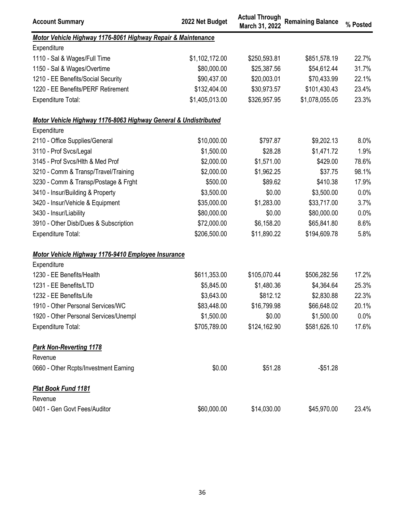| <b>Account Summary</b>                                          | 2022 Net Budget | <b>Actual Through</b><br>March 31, 2022 | <b>Remaining Balance</b> | % Posted |
|-----------------------------------------------------------------|-----------------|-----------------------------------------|--------------------------|----------|
| Motor Vehicle Highway 1176-8061 Highway Repair & Maintenance    |                 |                                         |                          |          |
| Expenditure                                                     |                 |                                         |                          |          |
| 1110 - Sal & Wages/Full Time                                    | \$1,102,172.00  | \$250,593.81                            | \$851,578.19             | 22.7%    |
| 1150 - Sal & Wages/Overtime                                     | \$80,000.00     | \$25,387.56                             | \$54,612.44              | 31.7%    |
| 1210 - EE Benefits/Social Security                              | \$90,437.00     | \$20,003.01                             | \$70,433.99              | 22.1%    |
| 1220 - EE Benefits/PERF Retirement                              | \$132,404.00    | \$30,973.57                             | \$101,430.43             | 23.4%    |
| Expenditure Total:                                              | \$1,405,013.00  | \$326,957.95                            | \$1,078,055.05           | 23.3%    |
| Motor Vehicle Highway 1176-8063 Highway General & Undistributed |                 |                                         |                          |          |
| Expenditure                                                     |                 |                                         |                          |          |
| 2110 - Office Supplies/General                                  | \$10,000.00     | \$797.87                                | \$9,202.13               | 8.0%     |
| 3110 - Prof Svcs/Legal                                          | \$1,500.00      | \$28.28                                 | \$1,471.72               | 1.9%     |
| 3145 - Prof Svcs/Hlth & Med Prof                                | \$2,000.00      | \$1,571.00                              | \$429.00                 | 78.6%    |
| 3210 - Comm & Transp/Travel/Training                            | \$2,000.00      | \$1,962.25                              | \$37.75                  | 98.1%    |
| 3230 - Comm & Transp/Postage & Frght                            | \$500.00        | \$89.62                                 | \$410.38                 | 17.9%    |
| 3410 - Insur/Building & Property                                | \$3,500.00      | \$0.00                                  | \$3,500.00               | 0.0%     |
| 3420 - Insur/Vehicle & Equipment                                | \$35,000.00     | \$1,283.00                              | \$33,717.00              | 3.7%     |
| 3430 - Insur/Liability                                          | \$80,000.00     | \$0.00                                  | \$80,000.00              | 0.0%     |
| 3910 - Other Disb/Dues & Subscription                           | \$72,000.00     | \$6,158.20                              | \$65,841.80              | 8.6%     |
| <b>Expenditure Total:</b>                                       | \$206,500.00    | \$11,890.22                             | \$194,609.78             | 5.8%     |
| Motor Vehicle Highway 1176-9410 Employee Insurance              |                 |                                         |                          |          |
| Expenditure                                                     |                 |                                         |                          |          |
| 1230 - EE Benefits/Health                                       | \$611,353.00    | \$105,070.44                            | \$506,282.56             | 17.2%    |
| 1231 - EE Benefits/LTD                                          | \$5,845.00      | \$1,480.36                              | \$4,364.64               | 25.3%    |
| 1232 - EE Benefits/Life                                         | \$3,643.00      | \$812.12                                | \$2,830.88               | 22.3%    |
| 1910 - Other Personal Services/WC                               | \$83,448.00     | \$16,799.98                             | \$66,648.02              | 20.1%    |
| 1920 - Other Personal Services/Unempl                           | \$1,500.00      | \$0.00                                  | \$1,500.00               | 0.0%     |
| <b>Expenditure Total:</b>                                       | \$705,789.00    | \$124,162.90                            | \$581,626.10             | 17.6%    |
| <b>Park Non-Reverting 1178</b><br>Revenue                       |                 |                                         |                          |          |
| 0660 - Other Rcpts/Investment Earning                           | \$0.00          | \$51.28                                 | $-$51.28$                |          |
| Plat Book Fund 1181                                             |                 |                                         |                          |          |
| Revenue                                                         |                 |                                         |                          |          |
| 0401 - Gen Govt Fees/Auditor                                    | \$60,000.00     | \$14,030.00                             | \$45,970.00              | 23.4%    |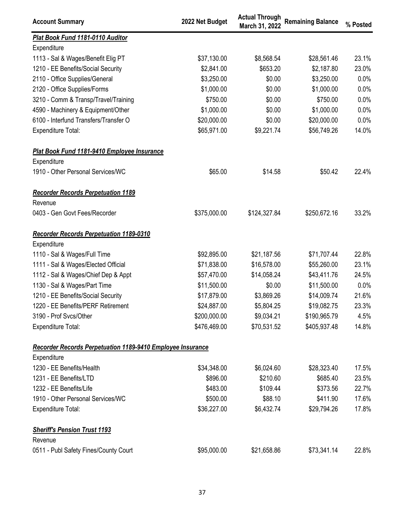| <b>Account Summary</b>                                            | 2022 Net Budget | <b>Actual Through</b><br>March 31, 2022 | <b>Remaining Balance</b> | % Posted |
|-------------------------------------------------------------------|-----------------|-----------------------------------------|--------------------------|----------|
| Plat Book Fund 1181-0110 Auditor                                  |                 |                                         |                          |          |
| Expenditure                                                       |                 |                                         |                          |          |
| 1113 - Sal & Wages/Benefit Elig PT                                | \$37,130.00     | \$8,568.54                              | \$28,561.46              | 23.1%    |
| 1210 - EE Benefits/Social Security                                | \$2,841.00      | \$653.20                                | \$2,187.80               | 23.0%    |
| 2110 - Office Supplies/General                                    | \$3,250.00      | \$0.00                                  | \$3,250.00               | 0.0%     |
| 2120 - Office Supplies/Forms                                      | \$1,000.00      | \$0.00                                  | \$1,000.00               | 0.0%     |
| 3210 - Comm & Transp/Travel/Training                              | \$750.00        | \$0.00                                  | \$750.00                 | 0.0%     |
| 4590 - Machinery & Equipment/Other                                | \$1,000.00      | \$0.00                                  | \$1,000.00               | 0.0%     |
| 6100 - Interfund Transfers/Transfer O                             | \$20,000.00     | \$0.00                                  | \$20,000.00              | 0.0%     |
| <b>Expenditure Total:</b>                                         | \$65,971.00     | \$9,221.74                              | \$56,749.26              | 14.0%    |
| Plat Book Fund 1181-9410 Employee Insurance                       |                 |                                         |                          |          |
| Expenditure                                                       |                 |                                         |                          |          |
| 1910 - Other Personal Services/WC                                 | \$65.00         | \$14.58                                 | \$50.42                  | 22.4%    |
| <b>Recorder Records Perpetuation 1189</b>                         |                 |                                         |                          |          |
| Revenue                                                           |                 |                                         |                          |          |
| 0403 - Gen Govt Fees/Recorder                                     | \$375,000.00    | \$124,327.84                            | \$250,672.16             | 33.2%    |
| <b>Recorder Records Perpetuation 1189-0310</b>                    |                 |                                         |                          |          |
| Expenditure                                                       |                 |                                         |                          |          |
| 1110 - Sal & Wages/Full Time                                      | \$92,895.00     | \$21,187.56                             | \$71,707.44              | 22.8%    |
| 1111 - Sal & Wages/Elected Official                               | \$71,838.00     | \$16,578.00                             | \$55,260.00              | 23.1%    |
| 1112 - Sal & Wages/Chief Dep & Appt                               | \$57,470.00     | \$14,058.24                             | \$43,411.76              | 24.5%    |
| 1130 - Sal & Wages/Part Time                                      | \$11,500.00     | \$0.00                                  | \$11,500.00              | 0.0%     |
| 1210 - EE Benefits/Social Security                                | \$17,879.00     | \$3,869.26                              | \$14,009.74              | 21.6%    |
| 1220 - EE Benefits/PERF Retirement                                | \$24,887.00     | \$5,804.25                              | \$19,082.75              | 23.3%    |
| 3190 - Prof Svcs/Other                                            | \$200,000.00    | \$9,034.21                              | \$190,965.79             | 4.5%     |
| <b>Expenditure Total:</b>                                         | \$476,469.00    | \$70,531.52                             | \$405,937.48             | 14.8%    |
| <b>Recorder Records Perpetuation 1189-9410 Employee Insurance</b> |                 |                                         |                          |          |
| Expenditure                                                       |                 |                                         |                          |          |
| 1230 - EE Benefits/Health                                         | \$34,348.00     | \$6,024.60                              | \$28,323.40              | 17.5%    |
| 1231 - EE Benefits/LTD                                            | \$896.00        | \$210.60                                | \$685.40                 | 23.5%    |
| 1232 - EE Benefits/Life                                           | \$483.00        | \$109.44                                | \$373.56                 | 22.7%    |
| 1910 - Other Personal Services/WC                                 | \$500.00        | \$88.10                                 | \$411.90                 | 17.6%    |
| <b>Expenditure Total:</b>                                         | \$36,227.00     | \$6,432.74                              | \$29,794.26              | 17.8%    |
| <b>Sheriff's Pension Trust 1193</b>                               |                 |                                         |                          |          |
| Revenue                                                           |                 |                                         |                          |          |
| 0511 - Publ Safety Fines/County Court                             | \$95,000.00     | \$21,658.86                             | \$73,341.14              | 22.8%    |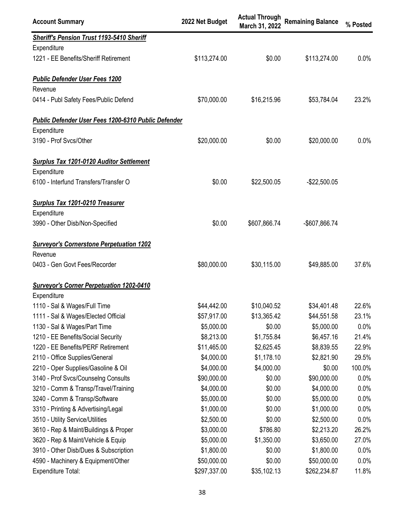| <b>Account Summary</b>                              | 2022 Net Budget | <b>Actual Through</b><br>March 31, 2022 | <b>Remaining Balance</b> | % Posted |
|-----------------------------------------------------|-----------------|-----------------------------------------|--------------------------|----------|
| Sheriff's Pension Trust 1193-5410 Sheriff           |                 |                                         |                          |          |
| Expenditure                                         |                 |                                         |                          |          |
| 1221 - EE Benefits/Sheriff Retirement               | \$113,274.00    | \$0.00                                  | \$113,274.00             | 0.0%     |
| <b>Public Defender User Fees 1200</b>               |                 |                                         |                          |          |
| Revenue                                             |                 |                                         |                          |          |
| 0414 - Publ Safety Fees/Public Defend               | \$70,000.00     | \$16,215.96                             | \$53,784.04              | 23.2%    |
| Public Defender User Fees 1200-6310 Public Defender |                 |                                         |                          |          |
| Expenditure                                         |                 |                                         |                          |          |
| 3190 - Prof Svcs/Other                              | \$20,000.00     | \$0.00                                  | \$20,000.00              | 0.0%     |
| <b>Surplus Tax 1201-0120 Auditor Settlement</b>     |                 |                                         |                          |          |
| Expenditure                                         |                 |                                         |                          |          |
| 6100 - Interfund Transfers/Transfer O               | \$0.00          | \$22,500.05                             | $-$22,500.05$            |          |
| <b>Surplus Tax 1201-0210 Treasurer</b>              |                 |                                         |                          |          |
| Expenditure                                         |                 |                                         |                          |          |
| 3990 - Other Disb/Non-Specified                     | \$0.00          | \$607,866.74                            | -\$607,866.74            |          |
| <b>Surveyor's Cornerstone Perpetuation 1202</b>     |                 |                                         |                          |          |
| Revenue                                             |                 |                                         |                          |          |
| 0403 - Gen Govt Fees/Recorder                       | \$80,000.00     | \$30,115.00                             | \$49,885.00              | 37.6%    |
| <b>Surveyor's Corner Perpetuation 1202-0410</b>     |                 |                                         |                          |          |
| Expenditure                                         |                 |                                         |                          |          |
| 1110 - Sal & Wages/Full Time                        | \$44,442.00     | \$10,040.52                             | \$34,401.48              | 22.6%    |
| 1111 - Sal & Wages/Elected Official                 | \$57,917.00     | \$13,365.42                             | \$44,551.58              | 23.1%    |
| 1130 - Sal & Wages/Part Time                        | \$5,000.00      | \$0.00                                  | \$5,000.00               | 0.0%     |
| 1210 - EE Benefits/Social Security                  | \$8,213.00      | \$1,755.84                              | \$6,457.16               | 21.4%    |
| 1220 - EE Benefits/PERF Retirement                  | \$11,465.00     | \$2,625.45                              | \$8,839.55               | 22.9%    |
| 2110 - Office Supplies/General                      | \$4,000.00      | \$1,178.10                              | \$2,821.90               | 29.5%    |
| 2210 - Oper Supplies/Gasoline & Oil                 | \$4,000.00      | \$4,000.00                              | \$0.00                   | 100.0%   |
| 3140 - Prof Svcs/Counselng Consults                 | \$90,000.00     | \$0.00                                  | \$90,000.00              | 0.0%     |
| 3210 - Comm & Transp/Travel/Training                | \$4,000.00      | \$0.00                                  | \$4,000.00               | 0.0%     |
| 3240 - Comm & Transp/Software                       | \$5,000.00      | \$0.00                                  | \$5,000.00               | 0.0%     |
| 3310 - Printing & Advertising/Legal                 | \$1,000.00      | \$0.00                                  | \$1,000.00               | 0.0%     |
| 3510 - Utility Service/Utilities                    | \$2,500.00      | \$0.00                                  | \$2,500.00               | 0.0%     |
| 3610 - Rep & Maint/Buildings & Proper               | \$3,000.00      | \$786.80                                | \$2,213.20               | 26.2%    |
| 3620 - Rep & Maint/Vehicle & Equip                  | \$5,000.00      | \$1,350.00                              | \$3,650.00               | 27.0%    |
| 3910 - Other Disb/Dues & Subscription               | \$1,800.00      | \$0.00                                  | \$1,800.00               | 0.0%     |
| 4590 - Machinery & Equipment/Other                  | \$50,000.00     | \$0.00                                  | \$50,000.00              | 0.0%     |
| <b>Expenditure Total:</b>                           | \$297,337.00    | \$35,102.13                             | \$262,234.87             | 11.8%    |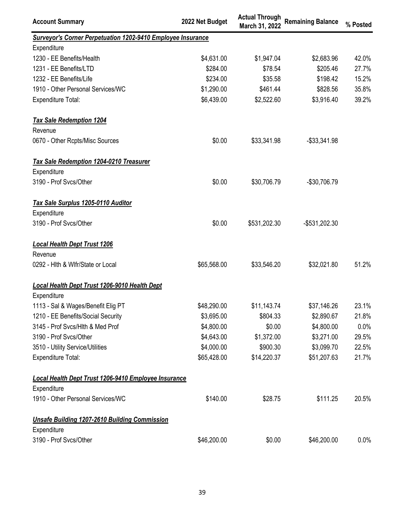| <b>Account Summary</b>                                      | 2022 Net Budget | <b>Actual Through</b><br>March 31, 2022 | <b>Remaining Balance</b> | % Posted |
|-------------------------------------------------------------|-----------------|-----------------------------------------|--------------------------|----------|
| Surveyor's Corner Perpetuation 1202-9410 Employee Insurance |                 |                                         |                          |          |
| Expenditure                                                 |                 |                                         |                          |          |
| 1230 - EE Benefits/Health                                   | \$4,631.00      | \$1,947.04                              | \$2,683.96               | 42.0%    |
| 1231 - EE Benefits/LTD                                      | \$284.00        | \$78.54                                 | \$205.46                 | 27.7%    |
| 1232 - EE Benefits/Life                                     | \$234.00        | \$35.58                                 | \$198.42                 | 15.2%    |
| 1910 - Other Personal Services/WC                           | \$1,290.00      | \$461.44                                | \$828.56                 | 35.8%    |
| <b>Expenditure Total:</b>                                   | \$6,439.00      | \$2,522.60                              | \$3,916.40               | 39.2%    |
| <b>Tax Sale Redemption 1204</b>                             |                 |                                         |                          |          |
| Revenue                                                     |                 |                                         |                          |          |
| 0670 - Other Rcpts/Misc Sources                             | \$0.00          | \$33,341.98                             | $-$ \$33,341.98          |          |
| Tax Sale Redemption 1204-0210 Treasurer                     |                 |                                         |                          |          |
| Expenditure                                                 |                 |                                         |                          |          |
| 3190 - Prof Svcs/Other                                      | \$0.00          | \$30,706.79                             | -\$30,706.79             |          |
| Tax Sale Surplus 1205-0110 Auditor                          |                 |                                         |                          |          |
| Expenditure                                                 |                 |                                         |                          |          |
| 3190 - Prof Svcs/Other                                      | \$0.00          | \$531,202.30                            | -\$531,202.30            |          |
| <b>Local Health Dept Trust 1206</b>                         |                 |                                         |                          |          |
| Revenue                                                     |                 |                                         |                          |          |
| 0292 - Hlth & Wlfr/State or Local                           | \$65,568.00     | \$33,546.20                             | \$32,021.80              | 51.2%    |
| <b>Local Health Dept Trust 1206-9010 Health Dept</b>        |                 |                                         |                          |          |
| Expenditure                                                 |                 |                                         |                          |          |
| 1113 - Sal & Wages/Benefit Elig PT                          | \$48,290.00     | \$11,143.74                             | \$37,146.26              | 23.1%    |
| 1210 - EE Benefits/Social Security                          | \$3,695.00      | \$804.33                                | \$2,890.67               | 21.8%    |
| 3145 - Prof Svcs/Hlth & Med Prof                            | \$4,800.00      | \$0.00                                  | \$4,800.00               | 0.0%     |
| 3190 - Prof Svcs/Other                                      | \$4,643.00      | \$1,372.00                              | \$3,271.00               | 29.5%    |
| 3510 - Utility Service/Utilities                            | \$4,000.00      | \$900.30                                | \$3,099.70               | 22.5%    |
| Expenditure Total:                                          | \$65,428.00     | \$14,220.37                             | \$51,207.63              | 21.7%    |
| <b>Local Health Dept Trust 1206-9410 Employee Insurance</b> |                 |                                         |                          |          |
| Expenditure                                                 |                 |                                         |                          |          |
| 1910 - Other Personal Services/WC                           | \$140.00        | \$28.75                                 | \$111.25                 | 20.5%    |
| <b>Unsafe Building 1207-2610 Building Commission</b>        |                 |                                         |                          |          |
| Expenditure                                                 |                 |                                         |                          |          |
| 3190 - Prof Svcs/Other                                      | \$46,200.00     | \$0.00                                  | \$46,200.00              | $0.0\%$  |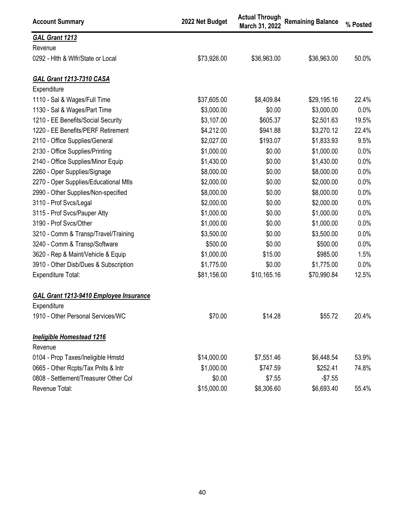| <b>Account Summary</b>                 | 2022 Net Budget | <b>Actual Through</b><br>March 31, 2022 | <b>Remaining Balance</b> | % Posted |
|----------------------------------------|-----------------|-----------------------------------------|--------------------------|----------|
| GAL Grant 1213                         |                 |                                         |                          |          |
| Revenue                                |                 |                                         |                          |          |
| 0292 - Hith & Wifr/State or Local      | \$73,926.00     | \$36,963.00                             | \$36,963.00              | 50.0%    |
| <b>GAL Grant 1213-7310 CASA</b>        |                 |                                         |                          |          |
| Expenditure                            |                 |                                         |                          |          |
| 1110 - Sal & Wages/Full Time           | \$37,605.00     | \$8,409.84                              | \$29,195.16              | 22.4%    |
| 1130 - Sal & Wages/Part Time           | \$3,000.00      | \$0.00                                  | \$3,000.00               | 0.0%     |
| 1210 - EE Benefits/Social Security     | \$3,107.00      | \$605.37                                | \$2,501.63               | 19.5%    |
| 1220 - EE Benefits/PERF Retirement     | \$4,212.00      | \$941.88                                | \$3,270.12               | 22.4%    |
| 2110 - Office Supplies/General         | \$2,027.00      | \$193.07                                | \$1,833.93               | 9.5%     |
| 2130 - Office Supplies/Printing        | \$1,000.00      | \$0.00                                  | \$1,000.00               | 0.0%     |
| 2140 - Office Supplies/Minor Equip     | \$1,430.00      | \$0.00                                  | \$1,430.00               | 0.0%     |
| 2260 - Oper Supplies/Signage           | \$8,000.00      | \$0.00                                  | \$8,000.00               | 0.0%     |
| 2270 - Oper Supplies/Educational Mtls  | \$2,000.00      | \$0.00                                  | \$2,000.00               | 0.0%     |
| 2990 - Other Supplies/Non-specified    | \$8,000.00      | \$0.00                                  | \$8,000.00               | 0.0%     |
| 3110 - Prof Svcs/Legal                 | \$2,000.00      | \$0.00                                  | \$2,000.00               | 0.0%     |
| 3115 - Prof Svcs/Pauper Atty           | \$1,000.00      | \$0.00                                  | \$1,000.00               | 0.0%     |
| 3190 - Prof Svcs/Other                 | \$1,000.00      | \$0.00                                  | \$1,000.00               | 0.0%     |
| 3210 - Comm & Transp/Travel/Training   | \$3,500.00      | \$0.00                                  | \$3,500.00               | 0.0%     |
| 3240 - Comm & Transp/Software          | \$500.00        | \$0.00                                  | \$500.00                 | 0.0%     |
| 3620 - Rep & Maint/Vehicle & Equip     | \$1,000.00      | \$15.00                                 | \$985.00                 | 1.5%     |
| 3910 - Other Disb/Dues & Subscription  | \$1,775.00      | \$0.00                                  | \$1,775.00               | 0.0%     |
| <b>Expenditure Total:</b>              | \$81,156.00     | \$10,165.16                             | \$70,990.84              | 12.5%    |
| GAL Grant 1213-9410 Employee Insurance |                 |                                         |                          |          |
| Expenditure                            |                 |                                         |                          |          |
| 1910 - Other Personal Services/WC      | \$70.00         | \$14.28                                 | \$55.72                  | 20.4%    |
| <b>Ineligible Homestead 1216</b>       |                 |                                         |                          |          |
| Revenue                                |                 |                                         |                          |          |
| 0104 - Prop Taxes/Ineligible Hmstd     | \$14,000.00     | \$7,551.46                              | \$6,448.54               | 53.9%    |
| 0665 - Other Rcpts/Tax Pnlts & Intr    | \$1,000.00      | \$747.59                                | \$252.41                 | 74.8%    |
| 0808 - Settlement/Treasurer Other Col  | \$0.00          | \$7.55                                  | $-$7.55$                 |          |
| Revenue Total:                         | \$15,000.00     | \$8,306.60                              | \$6,693.40               | 55.4%    |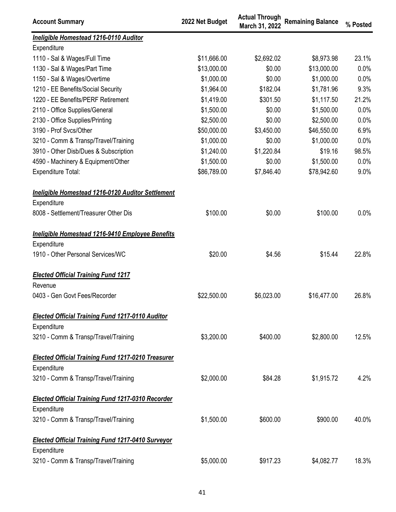| <b>Account Summary</b>                                                  | 2022 Net Budget | <b>Actual Through</b><br>March 31, 2022 | <b>Remaining Balance</b> | % Posted |
|-------------------------------------------------------------------------|-----------------|-----------------------------------------|--------------------------|----------|
| Ineligible Homestead 1216-0110 Auditor                                  |                 |                                         |                          |          |
| Expenditure                                                             |                 |                                         |                          |          |
| 1110 - Sal & Wages/Full Time                                            | \$11,666.00     | \$2,692.02                              | \$8,973.98               | 23.1%    |
| 1130 - Sal & Wages/Part Time                                            | \$13,000.00     | \$0.00                                  | \$13,000.00              | 0.0%     |
| 1150 - Sal & Wages/Overtime                                             | \$1,000.00      | \$0.00                                  | \$1,000.00               | 0.0%     |
| 1210 - EE Benefits/Social Security                                      | \$1,964.00      | \$182.04                                | \$1,781.96               | 9.3%     |
| 1220 - EE Benefits/PERF Retirement                                      | \$1,419.00      | \$301.50                                | \$1,117.50               | 21.2%    |
| 2110 - Office Supplies/General                                          | \$1,500.00      | \$0.00                                  | \$1,500.00               | 0.0%     |
| 2130 - Office Supplies/Printing                                         | \$2,500.00      | \$0.00                                  | \$2,500.00               | 0.0%     |
| 3190 - Prof Svcs/Other                                                  | \$50,000.00     | \$3,450.00                              | \$46,550.00              | 6.9%     |
| 3210 - Comm & Transp/Travel/Training                                    | \$1,000.00      | \$0.00                                  | \$1,000.00               | 0.0%     |
| 3910 - Other Disb/Dues & Subscription                                   | \$1,240.00      | \$1,220.84                              | \$19.16                  | 98.5%    |
| 4590 - Machinery & Equipment/Other                                      | \$1,500.00      | \$0.00                                  | \$1,500.00               | 0.0%     |
| Expenditure Total:                                                      | \$86,789.00     | \$7,846.40                              | \$78,942.60              | 9.0%     |
| <b>Ineligible Homestead 1216-0120 Auditor Settlement</b>                |                 |                                         |                          |          |
| Expenditure                                                             |                 |                                         |                          |          |
| 8008 - Settlement/Treasurer Other Dis                                   | \$100.00        | \$0.00                                  | \$100.00                 | 0.0%     |
| Ineligible Homestead 1216-9410 Employee Benefits                        |                 |                                         |                          |          |
| Expenditure                                                             |                 |                                         |                          |          |
| 1910 - Other Personal Services/WC                                       | \$20.00         | \$4.56                                  | \$15.44                  | 22.8%    |
| <b>Elected Official Training Fund 1217</b>                              |                 |                                         |                          |          |
| Revenue                                                                 |                 |                                         |                          |          |
| 0403 - Gen Govt Fees/Recorder                                           | \$22,500.00     | \$6,023.00                              | \$16,477.00              | 26.8%    |
| <b>Elected Official Training Fund 1217-0110 Auditor</b>                 |                 |                                         |                          |          |
| Expenditure                                                             |                 |                                         |                          |          |
| 3210 - Comm & Transp/Travel/Training                                    | \$3,200.00      | \$400.00                                | \$2,800.00               | 12.5%    |
| <b>Elected Official Training Fund 1217-0210 Treasurer</b>               |                 |                                         |                          |          |
| Expenditure                                                             |                 |                                         |                          |          |
| 3210 - Comm & Transp/Travel/Training                                    | \$2,000.00      | \$84.28                                 | \$1,915.72               | 4.2%     |
| <b>Elected Official Training Fund 1217-0310 Recorder</b>                |                 |                                         |                          |          |
| Expenditure                                                             |                 |                                         |                          |          |
| 3210 - Comm & Transp/Travel/Training                                    | \$1,500.00      | \$600.00                                | \$900.00                 | 40.0%    |
| <b>Elected Official Training Fund 1217-0410 Surveyor</b><br>Expenditure |                 |                                         |                          |          |
| 3210 - Comm & Transp/Travel/Training                                    | \$5,000.00      | \$917.23                                | \$4,082.77               | 18.3%    |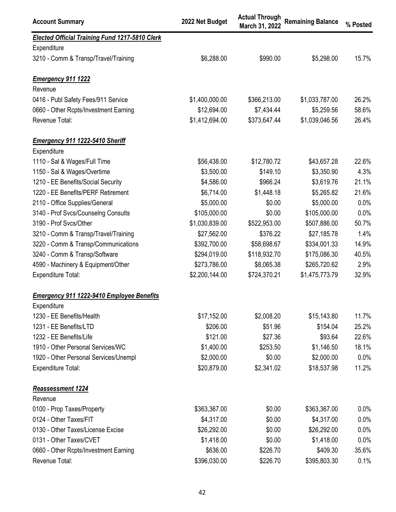| <b>Account Summary</b>                                | 2022 Net Budget | <b>Actual Through</b><br>March 31, 2022 | <b>Remaining Balance</b> | % Posted |
|-------------------------------------------------------|-----------------|-----------------------------------------|--------------------------|----------|
| <b>Elected Official Training Fund 1217-5810 Clerk</b> |                 |                                         |                          |          |
| Expenditure                                           |                 |                                         |                          |          |
| 3210 - Comm & Transp/Travel/Training                  | \$6,288.00      | \$990.00                                | \$5,298.00               | 15.7%    |
| <b>Emergency 911 1222</b>                             |                 |                                         |                          |          |
| Revenue                                               |                 |                                         |                          |          |
| 0416 - Publ Safety Fees/911 Service                   | \$1,400,000.00  | \$366,213.00                            | \$1,033,787.00           | 26.2%    |
| 0660 - Other Rcpts/Investment Earning                 | \$12,694.00     | \$7,434.44                              | \$5,259.56               | 58.6%    |
| Revenue Total:                                        | \$1,412,694.00  | \$373,647.44                            | \$1,039,046.56           | 26.4%    |
| Emergency 911 1222-5410 Sheriff                       |                 |                                         |                          |          |
| Expenditure                                           |                 |                                         |                          |          |
| 1110 - Sal & Wages/Full Time                          | \$56,438.00     | \$12,780.72                             | \$43,657.28              | 22.6%    |
| 1150 - Sal & Wages/Overtime                           | \$3,500.00      | \$149.10                                | \$3,350.90               | 4.3%     |
| 1210 - EE Benefits/Social Security                    | \$4,586.00      | \$966.24                                | \$3,619.76               | 21.1%    |
| 1220 - EE Benefits/PERF Retirement                    | \$6,714.00      | \$1,448.18                              | \$5,265.82               | 21.6%    |
| 2110 - Office Supplies/General                        | \$5,000.00      | \$0.00                                  | \$5,000.00               | 0.0%     |
| 3140 - Prof Svcs/Counselng Consults                   | \$105,000.00    | \$0.00                                  | \$105,000.00             | 0.0%     |
| 3190 - Prof Svcs/Other                                | \$1,030,839.00  | \$522,953.00                            | \$507,886.00             | 50.7%    |
| 3210 - Comm & Transp/Travel/Training                  | \$27,562.00     | \$376.22                                | \$27,185.78              | 1.4%     |
| 3220 - Comm & Transp/Communications                   | \$392,700.00    | \$58,698.67                             | \$334,001.33             | 14.9%    |
| 3240 - Comm & Transp/Software                         | \$294,019.00    | \$118,932.70                            | \$175,086.30             | 40.5%    |
| 4590 - Machinery & Equipment/Other                    | \$273,786.00    | \$8,065.38                              | \$265,720.62             | 2.9%     |
| <b>Expenditure Total:</b>                             | \$2,200,144.00  | \$724,370.21                            | \$1,475,773.79           | 32.9%    |
| <b>Emergency 911 1222-9410 Employee Benefits</b>      |                 |                                         |                          |          |
| Expenditure                                           |                 |                                         |                          |          |
| 1230 - EE Benefits/Health                             | \$17,152.00     | \$2,008.20                              | \$15,143.80              | 11.7%    |
| 1231 - EE Benefits/LTD                                | \$206.00        | \$51.96                                 | \$154.04                 | 25.2%    |
| 1232 - EE Benefits/Life                               | \$121.00        | \$27.36                                 | \$93.64                  | 22.6%    |
| 1910 - Other Personal Services/WC                     | \$1,400.00      | \$253.50                                | \$1,146.50               | 18.1%    |
| 1920 - Other Personal Services/Unempl                 | \$2,000.00      | \$0.00                                  | \$2,000.00               | 0.0%     |
| Expenditure Total:                                    | \$20,879.00     | \$2,341.02                              | \$18,537.98              | 11.2%    |
| <b>Reassessment 1224</b>                              |                 |                                         |                          |          |
| Revenue                                               |                 |                                         |                          |          |
| 0100 - Prop Taxes/Property                            | \$363,367.00    | \$0.00                                  | \$363,367.00             | 0.0%     |
| 0124 - Other Taxes/FIT                                | \$4,317.00      | \$0.00                                  | \$4,317.00               | 0.0%     |
| 0130 - Other Taxes/License Excise                     | \$26,292.00     | \$0.00                                  | \$26,292.00              | 0.0%     |
| 0131 - Other Taxes/CVET                               | \$1,418.00      | \$0.00                                  | \$1,418.00               | 0.0%     |
| 0660 - Other Rcpts/Investment Earning                 | \$636.00        | \$226.70                                | \$409.30                 | 35.6%    |
| Revenue Total:                                        | \$396,030.00    | \$226.70                                | \$395,803.30             | 0.1%     |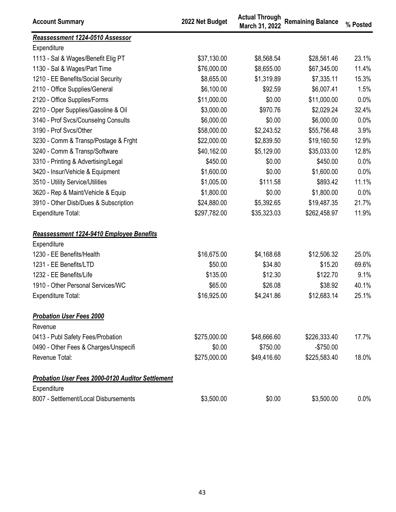| <b>Account Summary</b>                           | 2022 Net Budget | <b>Actual Through</b><br>March 31, 2022 | <b>Remaining Balance</b> | % Posted |
|--------------------------------------------------|-----------------|-----------------------------------------|--------------------------|----------|
| Reassessment 1224-0510 Assessor                  |                 |                                         |                          |          |
| Expenditure                                      |                 |                                         |                          |          |
| 1113 - Sal & Wages/Benefit Elig PT               | \$37,130.00     | \$8,568.54                              | \$28,561.46              | 23.1%    |
| 1130 - Sal & Wages/Part Time                     | \$76,000.00     | \$8,655.00                              | \$67,345.00              | 11.4%    |
| 1210 - EE Benefits/Social Security               | \$8,655.00      | \$1,319.89                              | \$7,335.11               | 15.3%    |
| 2110 - Office Supplies/General                   | \$6,100.00      | \$92.59                                 | \$6,007.41               | 1.5%     |
| 2120 - Office Supplies/Forms                     | \$11,000.00     | \$0.00                                  | \$11,000.00              | 0.0%     |
| 2210 - Oper Supplies/Gasoline & Oil              | \$3,000.00      | \$970.76                                | \$2,029.24               | 32.4%    |
| 3140 - Prof Svcs/Counselng Consults              | \$6,000.00      | \$0.00                                  | \$6,000.00               | 0.0%     |
| 3190 - Prof Svcs/Other                           | \$58,000.00     | \$2,243.52                              | \$55,756.48              | 3.9%     |
| 3230 - Comm & Transp/Postage & Frght             | \$22,000.00     | \$2,839.50                              | \$19,160.50              | 12.9%    |
| 3240 - Comm & Transp/Software                    | \$40,162.00     | \$5,129.00                              | \$35,033.00              | 12.8%    |
| 3310 - Printing & Advertising/Legal              | \$450.00        | \$0.00                                  | \$450.00                 | 0.0%     |
| 3420 - Insur/Vehicle & Equipment                 | \$1,600.00      | \$0.00                                  | \$1,600.00               | 0.0%     |
| 3510 - Utility Service/Utilities                 | \$1,005.00      | \$111.58                                | \$893.42                 | 11.1%    |
| 3620 - Rep & Maint/Vehicle & Equip               | \$1,800.00      | \$0.00                                  | \$1,800.00               | 0.0%     |
| 3910 - Other Disb/Dues & Subscription            | \$24,880.00     | \$5,392.65                              | \$19,487.35              | 21.7%    |
| Expenditure Total:                               | \$297,782.00    | \$35,323.03                             | \$262,458.97             | 11.9%    |
| <b>Reassessment 1224-9410 Employee Benefits</b>  |                 |                                         |                          |          |
| Expenditure                                      |                 |                                         |                          |          |
| 1230 - EE Benefits/Health                        | \$16,675.00     | \$4,168.68                              | \$12,506.32              | 25.0%    |
| 1231 - EE Benefits/LTD                           | \$50.00         | \$34.80                                 | \$15.20                  | 69.6%    |
| 1232 - EE Benefits/Life                          | \$135.00        | \$12.30                                 | \$122.70                 | 9.1%     |
| 1910 - Other Personal Services/WC                | \$65.00         | \$26.08                                 | \$38.92                  | 40.1%    |
| Expenditure Total:                               | \$16,925.00     | \$4,241.86                              | \$12,683.14              | 25.1%    |
| <b>Probation User Fees 2000</b><br>Revenue       |                 |                                         |                          |          |
| 0413 - Publ Safety Fees/Probation                | \$275,000.00    | \$48,666.60                             | \$226,333.40             | 17.7%    |
| 0490 - Other Fees & Charges/Unspecifi            | \$0.00          | \$750.00                                | $-$750.00$               |          |
| Revenue Total:                                   | \$275,000.00    | \$49,416.60                             | \$225,583.40             | 18.0%    |
| Probation User Fees 2000-0120 Auditor Settlement |                 |                                         |                          |          |
| Expenditure                                      |                 |                                         |                          |          |
| 8007 - Settlement/Local Disbursements            | \$3,500.00      | \$0.00                                  | \$3,500.00               | 0.0%     |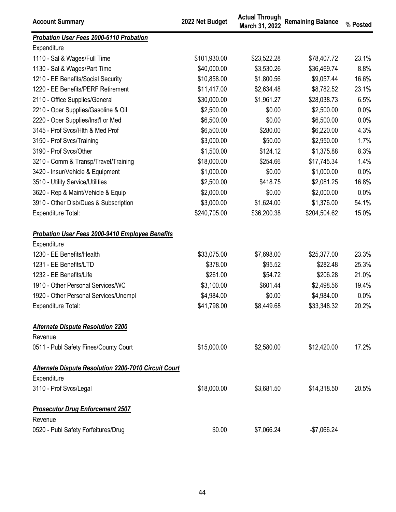| <b>Account Summary</b>                                      | 2022 Net Budget | <b>Actual Through</b><br>March 31, 2022 | <b>Remaining Balance</b> | % Posted |
|-------------------------------------------------------------|-----------------|-----------------------------------------|--------------------------|----------|
| <b>Probation User Fees 2000-6110 Probation</b>              |                 |                                         |                          |          |
| Expenditure                                                 |                 |                                         |                          |          |
| 1110 - Sal & Wages/Full Time                                | \$101,930.00    | \$23,522.28                             | \$78,407.72              | 23.1%    |
| 1130 - Sal & Wages/Part Time                                | \$40,000.00     | \$3,530.26                              | \$36,469.74              | 8.8%     |
| 1210 - EE Benefits/Social Security                          | \$10,858.00     | \$1,800.56                              | \$9,057.44               | 16.6%    |
| 1220 - EE Benefits/PERF Retirement                          | \$11,417.00     | \$2,634.48                              | \$8,782.52               | 23.1%    |
| 2110 - Office Supplies/General                              | \$30,000.00     | \$1,961.27                              | \$28,038.73              | 6.5%     |
| 2210 - Oper Supplies/Gasoline & Oil                         | \$2,500.00      | \$0.00                                  | \$2,500.00               | 0.0%     |
| 2220 - Oper Supplies/Inst'l or Med                          | \$6,500.00      | \$0.00                                  | \$6,500.00               | 0.0%     |
| 3145 - Prof Svcs/Hlth & Med Prof                            | \$6,500.00      | \$280.00                                | \$6,220.00               | 4.3%     |
| 3150 - Prof Svcs/Training                                   | \$3,000.00      | \$50.00                                 | \$2,950.00               | 1.7%     |
| 3190 - Prof Svcs/Other                                      | \$1,500.00      | \$124.12                                | \$1,375.88               | 8.3%     |
| 3210 - Comm & Transp/Travel/Training                        | \$18,000.00     | \$254.66                                | \$17,745.34              | 1.4%     |
| 3420 - Insur/Vehicle & Equipment                            | \$1,000.00      | \$0.00                                  | \$1,000.00               | 0.0%     |
| 3510 - Utility Service/Utilities                            | \$2,500.00      | \$418.75                                | \$2,081.25               | 16.8%    |
| 3620 - Rep & Maint/Vehicle & Equip                          | \$2,000.00      | \$0.00                                  | \$2,000.00               | 0.0%     |
| 3910 - Other Disb/Dues & Subscription                       | \$3,000.00      | \$1,624.00                              | \$1,376.00               | 54.1%    |
| Expenditure Total:                                          | \$240,705.00    | \$36,200.38                             | \$204,504.62             | 15.0%    |
| <b>Probation User Fees 2000-9410 Employee Benefits</b>      |                 |                                         |                          |          |
| Expenditure                                                 |                 |                                         |                          |          |
| 1230 - EE Benefits/Health                                   | \$33,075.00     | \$7,698.00                              | \$25,377.00              | 23.3%    |
| 1231 - EE Benefits/LTD                                      | \$378.00        | \$95.52                                 | \$282.48                 | 25.3%    |
| 1232 - EE Benefits/Life                                     | \$261.00        | \$54.72                                 | \$206.28                 | 21.0%    |
| 1910 - Other Personal Services/WC                           | \$3,100.00      | \$601.44                                | \$2,498.56               | 19.4%    |
| 1920 - Other Personal Services/Unempl                       | \$4,984.00      | \$0.00                                  | \$4,984.00               | 0.0%     |
| <b>Expenditure Total:</b>                                   | \$41,798.00     | \$8,449.68                              | \$33,348.32              | 20.2%    |
| <b>Alternate Dispute Resolution 2200</b>                    |                 |                                         |                          |          |
| Revenue                                                     |                 |                                         |                          |          |
| 0511 - Publ Safety Fines/County Court                       | \$15,000.00     | \$2,580.00                              | \$12,420.00              | 17.2%    |
| <b>Alternate Dispute Resolution 2200-7010 Circuit Court</b> |                 |                                         |                          |          |
| Expenditure                                                 |                 |                                         |                          |          |
| 3110 - Prof Svcs/Legal                                      | \$18,000.00     | \$3,681.50                              | \$14,318.50              | 20.5%    |
| <b>Prosecutor Drug Enforcement 2507</b>                     |                 |                                         |                          |          |
| Revenue                                                     |                 |                                         |                          |          |
| 0520 - Publ Safety Forfeitures/Drug                         | \$0.00          | \$7,066.24                              | $-$7,066.24$             |          |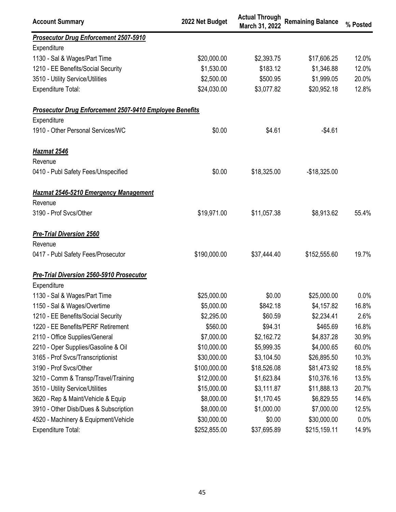| <b>Account Summary</b>                                         | 2022 Net Budget | <b>Actual Through</b><br>March 31, 2022 | <b>Remaining Balance</b> | % Posted |
|----------------------------------------------------------------|-----------------|-----------------------------------------|--------------------------|----------|
| <b>Prosecutor Drug Enforcement 2507-5910</b>                   |                 |                                         |                          |          |
| Expenditure                                                    |                 |                                         |                          |          |
| 1130 - Sal & Wages/Part Time                                   | \$20,000.00     | \$2,393.75                              | \$17,606.25              | 12.0%    |
| 1210 - EE Benefits/Social Security                             | \$1,530.00      | \$183.12                                | \$1,346.88               | 12.0%    |
| 3510 - Utility Service/Utilities                               | \$2,500.00      | \$500.95                                | \$1,999.05               | 20.0%    |
| Expenditure Total:                                             | \$24,030.00     | \$3,077.82                              | \$20,952.18              | 12.8%    |
| <b>Prosecutor Drug Enforcement 2507-9410 Employee Benefits</b> |                 |                                         |                          |          |
| Expenditure                                                    |                 |                                         |                          |          |
| 1910 - Other Personal Services/WC                              | \$0.00          | \$4.61                                  | $-$4.61$                 |          |
| <b>Hazmat 2546</b>                                             |                 |                                         |                          |          |
| Revenue                                                        |                 |                                         |                          |          |
| 0410 - Publ Safety Fees/Unspecified                            | \$0.00          | \$18,325.00                             | $-$18,325.00$            |          |
| Hazmat 2546-5210 Emergency Management                          |                 |                                         |                          |          |
| Revenue                                                        |                 |                                         |                          |          |
| 3190 - Prof Svcs/Other                                         | \$19,971.00     | \$11,057.38                             | \$8,913.62               | 55.4%    |
| <b>Pre-Trial Diversion 2560</b>                                |                 |                                         |                          |          |
| Revenue                                                        |                 |                                         |                          |          |
| 0417 - Publ Safety Fees/Prosecutor                             | \$190,000.00    | \$37,444.40                             | \$152,555.60             | 19.7%    |
| <b>Pre-Trial Diversion 2560-5910 Prosecutor</b>                |                 |                                         |                          |          |
| Expenditure                                                    |                 |                                         |                          |          |
| 1130 - Sal & Wages/Part Time                                   | \$25,000.00     | \$0.00                                  | \$25,000.00              | 0.0%     |
| 1150 - Sal & Wages/Overtime                                    | \$5,000.00      | \$842.18                                | \$4,157.82               | 16.8%    |
| 1210 - EE Benefits/Social Security                             | \$2,295.00      | \$60.59                                 | \$2,234.41               | 2.6%     |
| 1220 - EE Benefits/PERF Retirement                             | \$560.00        | \$94.31                                 | \$465.69                 | 16.8%    |
| 2110 - Office Supplies/General                                 | \$7,000.00      | \$2,162.72                              | \$4,837.28               | 30.9%    |
| 2210 - Oper Supplies/Gasoline & Oil                            | \$10,000.00     | \$5,999.35                              | \$4,000.65               | 60.0%    |
| 3165 - Prof Svcs/Transcriptionist                              | \$30,000.00     | \$3,104.50                              | \$26,895.50              | 10.3%    |
| 3190 - Prof Svcs/Other                                         | \$100,000.00    | \$18,526.08                             | \$81,473.92              | 18.5%    |
| 3210 - Comm & Transp/Travel/Training                           | \$12,000.00     | \$1,623.84                              | \$10,376.16              | 13.5%    |
| 3510 - Utility Service/Utilities                               | \$15,000.00     | \$3,111.87                              | \$11,888.13              | 20.7%    |
| 3620 - Rep & Maint/Vehicle & Equip                             | \$8,000.00      | \$1,170.45                              | \$6,829.55               | 14.6%    |
| 3910 - Other Disb/Dues & Subscription                          | \$8,000.00      | \$1,000.00                              | \$7,000.00               | 12.5%    |
| 4520 - Machinery & Equipment/Vehicle                           | \$30,000.00     | \$0.00                                  | \$30,000.00              | 0.0%     |
| Expenditure Total:                                             | \$252,855.00    | \$37,695.89                             | \$215,159.11             | 14.9%    |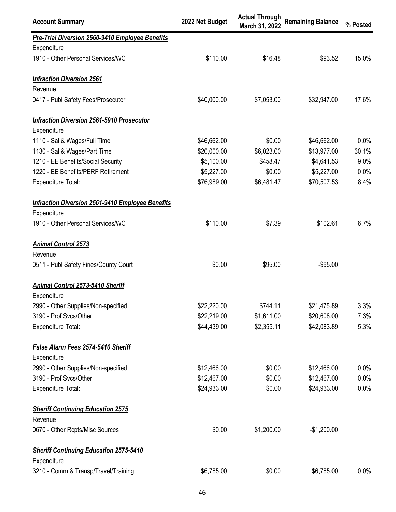| <b>Account Summary</b>                                  | 2022 Net Budget | <b>Actual Through</b><br>March 31, 2022 | <b>Remaining Balance</b> | % Posted |
|---------------------------------------------------------|-----------------|-----------------------------------------|--------------------------|----------|
| Pre-Trial Diversion 2560-9410 Employee Benefits         |                 |                                         |                          |          |
| Expenditure                                             |                 |                                         |                          |          |
| 1910 - Other Personal Services/WC                       | \$110.00        | \$16.48                                 | \$93.52                  | 15.0%    |
| <b>Infraction Diversion 2561</b>                        |                 |                                         |                          |          |
| Revenue                                                 |                 |                                         |                          |          |
| 0417 - Publ Safety Fees/Prosecutor                      | \$40,000.00     | \$7,053.00                              | \$32,947.00              | 17.6%    |
| <b>Infraction Diversion 2561-5910 Prosecutor</b>        |                 |                                         |                          |          |
| Expenditure                                             |                 |                                         |                          |          |
| 1110 - Sal & Wages/Full Time                            | \$46,662.00     | \$0.00                                  | \$46,662.00              | 0.0%     |
| 1130 - Sal & Wages/Part Time                            | \$20,000.00     | \$6,023.00                              | \$13,977.00              | 30.1%    |
| 1210 - EE Benefits/Social Security                      | \$5,100.00      | \$458.47                                | \$4,641.53               | 9.0%     |
| 1220 - EE Benefits/PERF Retirement                      | \$5,227.00      | \$0.00                                  | \$5,227.00               | 0.0%     |
| Expenditure Total:                                      | \$76,989.00     | \$6,481.47                              | \$70,507.53              | 8.4%     |
| <b>Infraction Diversion 2561-9410 Employee Benefits</b> |                 |                                         |                          |          |
| Expenditure                                             |                 |                                         |                          |          |
| 1910 - Other Personal Services/WC                       | \$110.00        | \$7.39                                  | \$102.61                 | 6.7%     |
| <b>Animal Control 2573</b>                              |                 |                                         |                          |          |
| Revenue                                                 |                 |                                         |                          |          |
| 0511 - Publ Safety Fines/County Court                   | \$0.00          | \$95.00                                 | $-$95.00$                |          |
| Animal Control 2573-5410 Sheriff                        |                 |                                         |                          |          |
| Expenditure                                             |                 |                                         |                          |          |
| 2990 - Other Supplies/Non-specified                     | \$22,220.00     | \$744.11                                | \$21,475.89              | 3.3%     |
| 3190 - Prof Svcs/Other                                  | \$22,219.00     | \$1,611.00                              | \$20,608.00              | 7.3%     |
| Expenditure Total:                                      | \$44,439.00     | \$2,355.11                              | \$42,083.89              | 5.3%     |
| False Alarm Fees 2574-5410 Sheriff                      |                 |                                         |                          |          |
| Expenditure                                             |                 |                                         |                          |          |
| 2990 - Other Supplies/Non-specified                     | \$12,466.00     | \$0.00                                  | \$12,466.00              | $0.0\%$  |
| 3190 - Prof Svcs/Other                                  | \$12,467.00     | \$0.00                                  | \$12,467.00              | $0.0\%$  |
| <b>Expenditure Total:</b>                               | \$24,933.00     | \$0.00                                  | \$24,933.00              | 0.0%     |
| <b>Sheriff Continuing Education 2575</b>                |                 |                                         |                          |          |
| Revenue                                                 |                 |                                         |                          |          |
| 0670 - Other Rcpts/Misc Sources                         | \$0.00          | \$1,200.00                              | $-$1,200.00$             |          |
| <b>Sheriff Continuing Education 2575-5410</b>           |                 |                                         |                          |          |
| Expenditure                                             |                 |                                         |                          |          |
| 3210 - Comm & Transp/Travel/Training                    | \$6,785.00      | \$0.00                                  | \$6,785.00               | $0.0\%$  |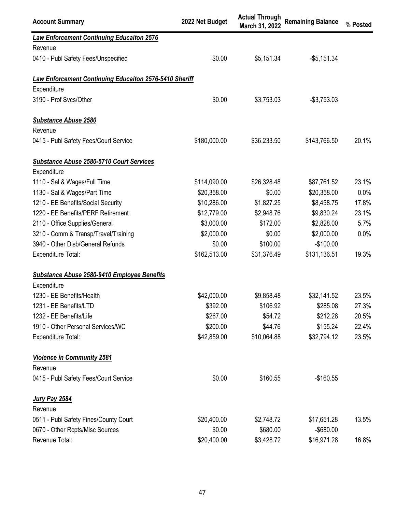| <b>Account Summary</b>                                        | 2022 Net Budget | <b>Actual Through</b><br>March 31, 2022 | <b>Remaining Balance</b> | % Posted |
|---------------------------------------------------------------|-----------------|-----------------------------------------|--------------------------|----------|
| <b>Law Enforcement Continuing Educaiton 2576</b>              |                 |                                         |                          |          |
| Revenue                                                       |                 |                                         |                          |          |
| 0410 - Publ Safety Fees/Unspecified                           | \$0.00          | \$5,151.34                              | $-$5,151.34$             |          |
| <b>Law Enforcement Continuing Educaiton 2576-5410 Sheriff</b> |                 |                                         |                          |          |
| Expenditure                                                   |                 |                                         |                          |          |
| 3190 - Prof Svcs/Other                                        | \$0.00          | \$3,753.03                              | $-$ \$3,753.03           |          |
| <b>Substance Abuse 2580</b>                                   |                 |                                         |                          |          |
| Revenue                                                       |                 |                                         |                          |          |
| 0415 - Publ Safety Fees/Court Service                         | \$180,000.00    | \$36,233.50                             | \$143,766.50             | 20.1%    |
| Substance Abuse 2580-5710 Court Services                      |                 |                                         |                          |          |
| Expenditure                                                   |                 |                                         |                          |          |
| 1110 - Sal & Wages/Full Time                                  | \$114,090.00    | \$26,328.48                             | \$87,761.52              | 23.1%    |
| 1130 - Sal & Wages/Part Time                                  | \$20,358.00     | \$0.00                                  | \$20,358.00              | 0.0%     |
| 1210 - EE Benefits/Social Security                            | \$10,286.00     | \$1,827.25                              | \$8,458.75               | 17.8%    |
| 1220 - EE Benefits/PERF Retirement                            | \$12,779.00     | \$2,948.76                              | \$9,830.24               | 23.1%    |
| 2110 - Office Supplies/General                                | \$3,000.00      | \$172.00                                | \$2,828.00               | 5.7%     |
| 3210 - Comm & Transp/Travel/Training                          | \$2,000.00      | \$0.00                                  | \$2,000.00               | 0.0%     |
| 3940 - Other Disb/General Refunds                             | \$0.00          | \$100.00                                | $-$100.00$               |          |
| Expenditure Total:                                            | \$162,513.00    | \$31,376.49                             | \$131,136.51             | 19.3%    |
| Substance Abuse 2580-9410 Employee Benefits                   |                 |                                         |                          |          |
| Expenditure                                                   |                 |                                         |                          |          |
| 1230 - EE Benefits/Health                                     | \$42,000.00     | \$9,858.48                              | \$32,141.52              | 23.5%    |
| 1231 - EE Benefits/LTD                                        | \$392.00        | \$106.92                                | \$285.08                 | 27.3%    |
| 1232 - EE Benefits/Life                                       | \$267.00        | \$54.72                                 | \$212.28                 | 20.5%    |
| 1910 - Other Personal Services/WC                             | \$200.00        | \$44.76                                 | \$155.24                 | 22.4%    |
| Expenditure Total:                                            | \$42,859.00     | \$10,064.88                             | \$32,794.12              | 23.5%    |
| <b>Violence in Community 2581</b>                             |                 |                                         |                          |          |
| Revenue                                                       |                 |                                         |                          |          |
| 0415 - Publ Safety Fees/Court Service                         | \$0.00          | \$160.55                                | $-$160.55$               |          |
| <b>Jury Pay 2584</b>                                          |                 |                                         |                          |          |
| Revenue                                                       |                 |                                         |                          |          |
| 0511 - Publ Safety Fines/County Court                         | \$20,400.00     | \$2,748.72                              | \$17,651.28              | 13.5%    |
| 0670 - Other Rcpts/Misc Sources                               | \$0.00          | \$680.00                                | $-$ \$680.00             |          |
| Revenue Total:                                                | \$20,400.00     | \$3,428.72                              | \$16,971.28              | 16.8%    |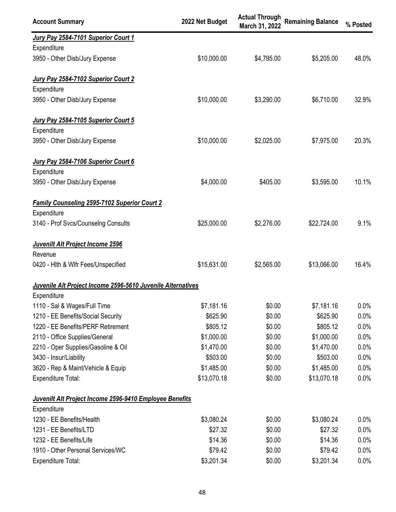| <b>Account Summary</b>                                      | 2022 Net Budget | <b>Actual Through</b><br>March 31, 2022 | <b>Remaining Balance</b> | % Posted |
|-------------------------------------------------------------|-----------------|-----------------------------------------|--------------------------|----------|
| Jury Pay 2584-7101 Superior Court 1                         |                 |                                         |                          |          |
| Expenditure                                                 |                 |                                         |                          |          |
| 3950 - Other Disb/Jury Expense                              | \$10,000.00     | \$4,795.00                              | \$5,205.00               | 48.0%    |
| Jury Pay 2584-7102 Superior Court 2                         |                 |                                         |                          |          |
| Expenditure                                                 |                 |                                         |                          |          |
| 3950 - Other Disb/Jury Expense                              | \$10,000.00     | \$3,290.00                              | \$6,710.00               | 32.9%    |
| Jury Pay 2584-7105 Superior Court 5                         |                 |                                         |                          |          |
| Expenditure                                                 |                 |                                         |                          |          |
| 3950 - Other Disb/Jury Expense                              | \$10,000.00     | \$2,025.00                              | \$7,975.00               | 20.3%    |
| Jury Pay 2584-7106 Superior Court 6                         |                 |                                         |                          |          |
| Expenditure                                                 |                 |                                         |                          |          |
| 3950 - Other Disb/Jury Expense                              | \$4,000.00      | \$405.00                                | \$3,595.00               | 10.1%    |
| <b>Family Counseling 2595-7102 Superior Court 2</b>         |                 |                                         |                          |          |
| Expenditure                                                 |                 |                                         |                          |          |
| 3140 - Prof Svcs/Counselng Consults                         | \$25,000.00     | \$2,276.00                              | \$22,724.00              | 9.1%     |
| <b>Juvenilt Alt Project Income 2596</b>                     |                 |                                         |                          |          |
| Revenue                                                     |                 |                                         |                          |          |
| 0420 - Hith & Wifr Fees/Unspecified                         | \$15,631.00     | \$2,565.00                              | \$13,066.00              | 16.4%    |
| Juvenile Alt Project Income 2596-5610 Juvenile Alternatives |                 |                                         |                          |          |
| Expenditure                                                 |                 |                                         |                          |          |
| 1110 - Sal & Wages/Full Time                                | \$7,181.16      | \$0.00                                  | \$7,181.16               | $0.0\%$  |
| 1210 - EE Benefits/Social Security                          | \$625.90        | \$0.00                                  | \$625.90                 | $0.0\%$  |
| 1220 - EE Benefits/PERF Retirement                          | \$805.12        | \$0.00                                  | \$805.12                 | 0.0%     |
| 2110 - Office Supplies/General                              | \$1,000.00      | \$0.00                                  | \$1,000.00               | 0.0%     |
| 2210 - Oper Supplies/Gasoline & Oil                         | \$1,470.00      | \$0.00                                  | \$1,470.00               | 0.0%     |
| 3430 - Insur/Liability                                      | \$503.00        | \$0.00                                  | \$503.00                 | 0.0%     |
| 3620 - Rep & Maint/Vehicle & Equip                          | \$1,485.00      | \$0.00                                  | \$1,485.00               | $0.0\%$  |
| <b>Expenditure Total:</b>                                   | \$13,070.18     | \$0.00                                  | \$13,070.18              | 0.0%     |
| Juvenilt Alt Project Income 2596-9410 Employee Benefits     |                 |                                         |                          |          |
| Expenditure                                                 |                 |                                         |                          |          |
| 1230 - EE Benefits/Health                                   | \$3,080.24      | \$0.00                                  | \$3,080.24               | $0.0\%$  |
| 1231 - EE Benefits/LTD                                      | \$27.32         | \$0.00                                  | \$27.32                  | $0.0\%$  |
| 1232 - EE Benefits/Life                                     | \$14.36         | \$0.00                                  | \$14.36                  | 0.0%     |
| 1910 - Other Personal Services/WC                           | \$79.42         | \$0.00                                  | \$79.42                  | $0.0\%$  |
| Expenditure Total:                                          | \$3,201.34      | \$0.00                                  | \$3,201.34               | 0.0%     |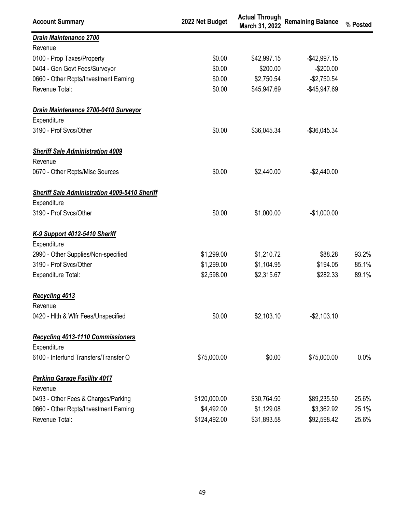| <b>Account Summary</b>                               | 2022 Net Budget | <b>Actual Through</b><br>March 31, 2022 | <b>Remaining Balance</b> | % Posted |
|------------------------------------------------------|-----------------|-----------------------------------------|--------------------------|----------|
| Drain Maintenance 2700                               |                 |                                         |                          |          |
| Revenue                                              |                 |                                         |                          |          |
| 0100 - Prop Taxes/Property                           | \$0.00          | \$42,997.15                             | $-$42,997.15$            |          |
| 0404 - Gen Govt Fees/Surveyor                        | \$0.00          | \$200.00                                | $-$200.00$               |          |
| 0660 - Other Rcpts/Investment Earning                | \$0.00          | \$2,750.54                              | $-$2,750.54$             |          |
| Revenue Total:                                       | \$0.00          | \$45,947.69                             | $-$45,947.69$            |          |
| Drain Maintenance 2700-0410 Surveyor                 |                 |                                         |                          |          |
| Expenditure                                          |                 |                                         |                          |          |
| 3190 - Prof Svcs/Other                               | \$0.00          | \$36,045.34                             | -\$36,045.34             |          |
| <b>Sheriff Sale Administration 4009</b>              |                 |                                         |                          |          |
| Revenue                                              |                 |                                         |                          |          |
| 0670 - Other Rcpts/Misc Sources                      | \$0.00          | \$2,440.00                              | $-$2,440.00$             |          |
| <b>Sheriff Sale Administration 4009-5410 Sheriff</b> |                 |                                         |                          |          |
| Expenditure                                          |                 |                                         |                          |          |
| 3190 - Prof Svcs/Other                               | \$0.00          | \$1,000.00                              | $-$1,000.00$             |          |
| K-9 Support 4012-5410 Sheriff                        |                 |                                         |                          |          |
| Expenditure                                          |                 |                                         |                          |          |
| 2990 - Other Supplies/Non-specified                  | \$1,299.00      | \$1,210.72                              | \$88.28                  | 93.2%    |
| 3190 - Prof Svcs/Other                               | \$1,299.00      | \$1,104.95                              | \$194.05                 | 85.1%    |
| Expenditure Total:                                   | \$2,598.00      | \$2,315.67                              | \$282.33                 | 89.1%    |
| <b>Recycling 4013</b>                                |                 |                                         |                          |          |
| Revenue                                              |                 |                                         |                          |          |
| 0420 - Hith & Wifr Fees/Unspecified                  | \$0.00          | \$2,103.10                              | $-$2,103.10$             |          |
| <b>Recycling 4013-1110 Commissioners</b>             |                 |                                         |                          |          |
| Expenditure                                          |                 |                                         |                          |          |
| 6100 - Interfund Transfers/Transfer O                | \$75,000.00     | \$0.00                                  | \$75,000.00              | 0.0%     |
| <b>Parking Garage Facility 4017</b>                  |                 |                                         |                          |          |
| Revenue                                              |                 |                                         |                          |          |
| 0493 - Other Fees & Charges/Parking                  | \$120,000.00    | \$30,764.50                             | \$89,235.50              | 25.6%    |
| 0660 - Other Rcpts/Investment Earning                | \$4,492.00      | \$1,129.08                              | \$3,362.92               | 25.1%    |
| Revenue Total:                                       | \$124,492.00    | \$31,893.58                             | \$92,598.42              | 25.6%    |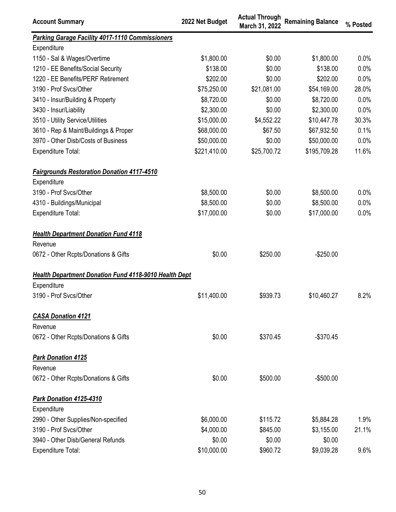| <b>Account Summary</b>                                       | 2022 Net Budget | <b>Actual Through</b><br>March 31, 2022 | <b>Remaining Balance</b> | % Posted |
|--------------------------------------------------------------|-----------------|-----------------------------------------|--------------------------|----------|
| <b>Parking Garage Facility 4017-1110 Commissioners</b>       |                 |                                         |                          |          |
| Expenditure                                                  |                 |                                         |                          |          |
| 1150 - Sal & Wages/Overtime                                  | \$1,800.00      | \$0.00                                  | \$1,800.00               | 0.0%     |
| 1210 - EE Benefits/Social Security                           | \$138.00        | \$0.00                                  | \$138.00                 | 0.0%     |
| 1220 - EE Benefits/PERF Retirement                           | \$202.00        | \$0.00                                  | \$202.00                 | 0.0%     |
| 3190 - Prof Svcs/Other                                       | \$75,250.00     | \$21,081.00                             | \$54,169.00              | 28.0%    |
| 3410 - Insur/Building & Property                             | \$8,720.00      | \$0.00                                  | \$8,720.00               | 0.0%     |
| 3430 - Insur/Liability                                       | \$2,300.00      | \$0.00                                  | \$2,300.00               | 0.0%     |
| 3510 - Utility Service/Utilities                             | \$15,000.00     | \$4,552.22                              | \$10,447.78              | 30.3%    |
| 3610 - Rep & Maint/Buildings & Proper                        | \$68,000.00     | \$67.50                                 | \$67,932.50              | 0.1%     |
| 3970 - Other Disb/Costs of Business                          | \$50,000.00     | \$0.00                                  | \$50,000.00              | 0.0%     |
| <b>Expenditure Total:</b>                                    | \$221,410.00    | \$25,700.72                             | \$195,709.28             | 11.6%    |
| <b>Fairgrounds Restoration Donation 4117-4510</b>            |                 |                                         |                          |          |
| Expenditure                                                  |                 |                                         |                          |          |
| 3190 - Prof Svcs/Other                                       | \$8,500.00      | \$0.00                                  | \$8,500.00               | 0.0%     |
| 4310 - Buildings/Municipal                                   | \$8,500.00      | \$0.00                                  | \$8,500.00               | 0.0%     |
| Expenditure Total:                                           | \$17,000.00     | \$0.00                                  | \$17,000.00              | 0.0%     |
| <b>Health Department Donation Fund 4118</b>                  |                 |                                         |                          |          |
| Revenue                                                      |                 |                                         |                          |          |
| 0672 - Other Rcpts/Donations & Gifts                         | \$0.00          | \$250.00                                | $-$250.00$               |          |
| <b>Health Department Donation Fund 4118-9010 Health Dept</b> |                 |                                         |                          |          |
| Expenditure                                                  |                 |                                         |                          |          |
| 3190 - Prof Svcs/Other                                       | \$11,400.00     | \$939.73                                | \$10,460.27              | 8.2%     |
| <b>CASA Donation 4121</b>                                    |                 |                                         |                          |          |
| Revenue                                                      |                 |                                         |                          |          |
| 0672 - Other Rcpts/Donations & Gifts                         | \$0.00          | \$370.45                                | $-$370.45$               |          |
| <b>Park Donation 4125</b>                                    |                 |                                         |                          |          |
| Revenue                                                      |                 |                                         |                          |          |
| 0672 - Other Rcpts/Donations & Gifts                         | \$0.00          | \$500.00                                | $-$500.00$               |          |
| Park Donation 4125-4310                                      |                 |                                         |                          |          |
| Expenditure                                                  |                 |                                         |                          |          |
| 2990 - Other Supplies/Non-specified                          | \$6,000.00      | \$115.72                                | \$5,884.28               | 1.9%     |
| 3190 - Prof Svcs/Other                                       | \$4,000.00      | \$845.00                                | \$3,155.00               | 21.1%    |
| 3940 - Other Disb/General Refunds                            | \$0.00          | \$0.00                                  | \$0.00                   |          |
| Expenditure Total:                                           | \$10,000.00     | \$960.72                                | \$9,039.28               | 9.6%     |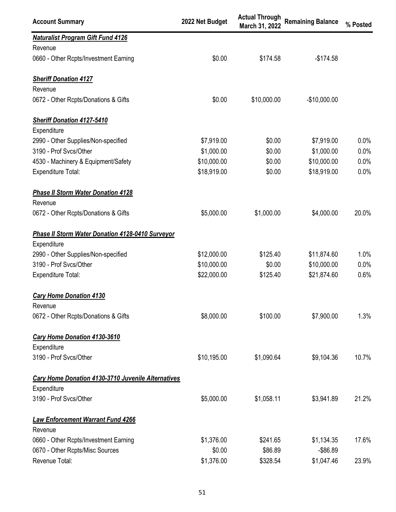| <b>Account Summary</b>                                    | 2022 Net Budget | <b>Actual Through</b><br>March 31, 2022 | <b>Remaining Balance</b> | % Posted |
|-----------------------------------------------------------|-----------------|-----------------------------------------|--------------------------|----------|
| <b>Naturalist Program Gift Fund 4126</b>                  |                 |                                         |                          |          |
| Revenue                                                   |                 |                                         |                          |          |
| 0660 - Other Rcpts/Investment Earning                     | \$0.00          | \$174.58                                | $-$174.58$               |          |
| <b>Sheriff Donation 4127</b>                              |                 |                                         |                          |          |
| Revenue                                                   |                 |                                         |                          |          |
| 0672 - Other Rcpts/Donations & Gifts                      | \$0.00          | \$10,000.00                             | $-$10,000.00$            |          |
| <b>Sheriff Donation 4127-5410</b>                         |                 |                                         |                          |          |
| Expenditure                                               |                 |                                         |                          |          |
| 2990 - Other Supplies/Non-specified                       | \$7,919.00      | \$0.00                                  | \$7,919.00               | 0.0%     |
| 3190 - Prof Svcs/Other                                    | \$1,000.00      | \$0.00                                  | \$1,000.00               | 0.0%     |
| 4530 - Machinery & Equipment/Safety                       | \$10,000.00     | \$0.00                                  | \$10,000.00              | 0.0%     |
| Expenditure Total:                                        | \$18,919.00     | \$0.00                                  | \$18,919.00              | 0.0%     |
| <b>Phase II Storm Water Donation 4128</b>                 |                 |                                         |                          |          |
| Revenue                                                   |                 |                                         |                          |          |
| 0672 - Other Rcpts/Donations & Gifts                      | \$5,000.00      | \$1,000.00                              | \$4,000.00               | 20.0%    |
| <b>Phase II Storm Water Donation 4128-0410 Surveyor</b>   |                 |                                         |                          |          |
| Expenditure                                               |                 |                                         |                          |          |
| 2990 - Other Supplies/Non-specified                       | \$12,000.00     | \$125.40                                | \$11,874.60              | 1.0%     |
| 3190 - Prof Svcs/Other                                    | \$10,000.00     | \$0.00                                  | \$10,000.00              | 0.0%     |
| Expenditure Total:                                        | \$22,000.00     | \$125.40                                | \$21,874.60              | 0.6%     |
| <b>Cary Home Donation 4130</b>                            |                 |                                         |                          |          |
| Revenue                                                   |                 |                                         |                          |          |
| 0672 - Other Rcpts/Donations & Gifts                      | \$8,000.00      | \$100.00                                | \$7,900.00               | 1.3%     |
| Cary Home Donation 4130-3610                              |                 |                                         |                          |          |
| Expenditure                                               |                 |                                         |                          |          |
| 3190 - Prof Svcs/Other                                    | \$10,195.00     | \$1,090.64                              | \$9,104.36               | 10.7%    |
| <b>Cary Home Donation 4130-3710 Juvenile Alternatives</b> |                 |                                         |                          |          |
| Expenditure                                               |                 |                                         |                          |          |
| 3190 - Prof Svcs/Other                                    | \$5,000.00      | \$1,058.11                              | \$3,941.89               | 21.2%    |
| <b>Law Enforcement Warrant Fund 4266</b>                  |                 |                                         |                          |          |
| Revenue                                                   |                 |                                         |                          |          |
| 0660 - Other Rcpts/Investment Earning                     | \$1,376.00      | \$241.65                                | \$1,134.35               | 17.6%    |
| 0670 - Other Rcpts/Misc Sources                           | \$0.00          | \$86.89                                 | $-$ \$86.89              |          |
| Revenue Total:                                            | \$1,376.00      | \$328.54                                | \$1,047.46               | 23.9%    |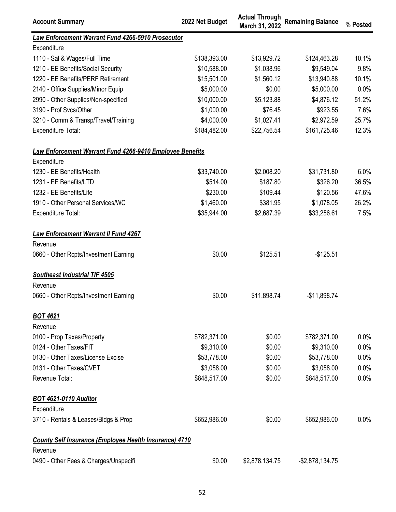| <b>Account Summary</b>                                                   | 2022 Net Budget | <b>Actual Through</b><br>March 31, 2022 | <b>Remaining Balance</b> | % Posted |
|--------------------------------------------------------------------------|-----------------|-----------------------------------------|--------------------------|----------|
| Law Enforcement Warrant Fund 4266-5910 Prosecutor                        |                 |                                         |                          |          |
| Expenditure                                                              |                 |                                         |                          |          |
| 1110 - Sal & Wages/Full Time                                             | \$138,393.00    | \$13,929.72                             | \$124,463.28             | 10.1%    |
| 1210 - EE Benefits/Social Security                                       | \$10,588.00     | \$1,038.96                              | \$9,549.04               | 9.8%     |
| 1220 - EE Benefits/PERF Retirement                                       | \$15,501.00     | \$1,560.12                              | \$13,940.88              | 10.1%    |
| 2140 - Office Supplies/Minor Equip                                       | \$5,000.00      | \$0.00                                  | \$5,000.00               | 0.0%     |
| 2990 - Other Supplies/Non-specified                                      | \$10,000.00     | \$5,123.88                              | \$4,876.12               | 51.2%    |
| 3190 - Prof Svcs/Other                                                   | \$1,000.00      | \$76.45                                 | \$923.55                 | 7.6%     |
| 3210 - Comm & Transp/Travel/Training                                     | \$4,000.00      | \$1,027.41                              | \$2,972.59               | 25.7%    |
| <b>Expenditure Total:</b>                                                | \$184,482.00    | \$22,756.54                             | \$161,725.46             | 12.3%    |
| <b>Law Enforcement Warrant Fund 4266-9410 Employee Benefits</b>          |                 |                                         |                          |          |
| Expenditure                                                              |                 |                                         |                          |          |
| 1230 - EE Benefits/Health                                                | \$33,740.00     | \$2,008.20                              | \$31,731.80              | 6.0%     |
| 1231 - EE Benefits/LTD                                                   | \$514.00        | \$187.80                                | \$326.20                 | 36.5%    |
| 1232 - EE Benefits/Life                                                  | \$230.00        | \$109.44                                | \$120.56                 | 47.6%    |
| 1910 - Other Personal Services/WC                                        | \$1,460.00      | \$381.95                                | \$1,078.05               | 26.2%    |
| Expenditure Total:                                                       | \$35,944.00     | \$2,687.39                              | \$33,256.61              | 7.5%     |
| <b>Law Enforcement Warrant II Fund 4267</b>                              |                 |                                         |                          |          |
| Revenue                                                                  |                 |                                         |                          |          |
| 0660 - Other Rcpts/Investment Earning                                    | \$0.00          | \$125.51                                | $-$125.51$               |          |
| <b>Southeast Industrial TIF 4505</b>                                     |                 |                                         |                          |          |
| Revenue                                                                  |                 |                                         |                          |          |
| 0660 - Other Rcpts/Investment Earning                                    | \$0.00          | \$11,898.74                             | $-$11,898.74$            |          |
| <b>BOT 4621</b>                                                          |                 |                                         |                          |          |
| Revenue                                                                  |                 |                                         |                          |          |
| 0100 - Prop Taxes/Property                                               | \$782,371.00    | \$0.00                                  | \$782,371.00             | $0.0\%$  |
| 0124 - Other Taxes/FIT                                                   | \$9,310.00      | \$0.00                                  | \$9,310.00               | 0.0%     |
| 0130 - Other Taxes/License Excise                                        | \$53,778.00     | \$0.00                                  | \$53,778.00              | 0.0%     |
| 0131 - Other Taxes/CVET                                                  | \$3,058.00      | \$0.00                                  | \$3,058.00               | 0.0%     |
| Revenue Total:                                                           | \$848,517.00    | \$0.00                                  | \$848,517.00             | 0.0%     |
| <b>BOT 4621-0110 Auditor</b>                                             |                 |                                         |                          |          |
| Expenditure                                                              |                 |                                         |                          |          |
| 3710 - Rentals & Leases/Bldgs & Prop                                     | \$652,986.00    | \$0.00                                  | \$652,986.00             | 0.0%     |
| <b>County Self Insurance (Employee Health Insurance) 4710</b><br>Revenue |                 |                                         |                          |          |
| 0490 - Other Fees & Charges/Unspecifi                                    | \$0.00          | \$2,878,134.75                          | $-$2,878,134.75$         |          |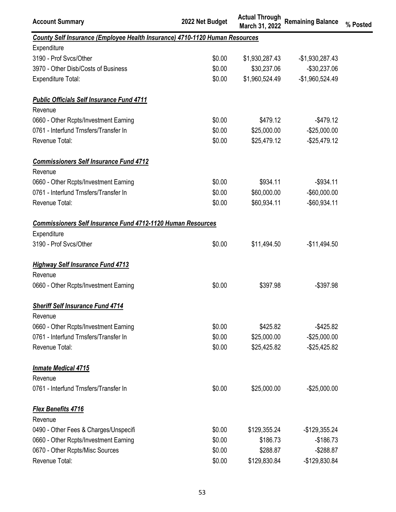| <b>Account Summary</b>                                                      | 2022 Net Budget | <b>Actual Through</b><br>March 31, 2022 | <b>Remaining Balance</b> | % Posted |
|-----------------------------------------------------------------------------|-----------------|-----------------------------------------|--------------------------|----------|
| County Self Insurance (Employee Health Insurance) 4710-1120 Human Resources |                 |                                         |                          |          |
| Expenditure                                                                 |                 |                                         |                          |          |
| 3190 - Prof Svcs/Other                                                      | \$0.00          | \$1,930,287.43                          | $-$1,930,287.43$         |          |
| 3970 - Other Disb/Costs of Business                                         | \$0.00          | \$30,237.06                             | -\$30,237.06             |          |
| <b>Expenditure Total:</b>                                                   | \$0.00          | \$1,960,524.49                          | -\$1,960,524.49          |          |
| <b>Public Officials Self Insurance Fund 4711</b>                            |                 |                                         |                          |          |
| Revenue                                                                     |                 |                                         |                          |          |
| 0660 - Other Rcpts/Investment Earning                                       | \$0.00          | \$479.12                                | $-$479.12$               |          |
| 0761 - Interfund Trnsfers/Transfer In                                       | \$0.00          | \$25,000.00                             | $-$25,000.00$            |          |
| Revenue Total:                                                              | \$0.00          | \$25,479.12                             | $-$25,479.12$            |          |
| <b>Commissioners Self Insurance Fund 4712</b>                               |                 |                                         |                          |          |
| Revenue                                                                     |                 |                                         |                          |          |
| 0660 - Other Rcpts/Investment Earning                                       | \$0.00          | \$934.11                                | $-$934.11$               |          |
| 0761 - Interfund Trnsfers/Transfer In                                       | \$0.00          | \$60,000.00                             | $-$60,000.00$            |          |
| Revenue Total:                                                              | \$0.00          | \$60,934.11                             | $-$60,934.11$            |          |
| <b>Commissioners Self Insurance Fund 4712-1120 Human Resources</b>          |                 |                                         |                          |          |
| Expenditure                                                                 |                 |                                         |                          |          |
| 3190 - Prof Svcs/Other                                                      | \$0.00          | \$11,494.50                             | $-$11,494.50$            |          |
| <b>Highway Self Insurance Fund 4713</b>                                     |                 |                                         |                          |          |
| Revenue                                                                     |                 |                                         |                          |          |
| 0660 - Other Rcpts/Investment Earning                                       | \$0.00          | \$397.98                                | $-$397.98$               |          |
| <b>Sheriff Self Insurance Fund 4714</b>                                     |                 |                                         |                          |          |
| Revenue                                                                     |                 |                                         |                          |          |
| 0660 - Other Rcpts/Investment Earning                                       | \$0.00          | \$425.82                                | $-$425.82$               |          |
| 0761 - Interfund Trnsfers/Transfer In                                       | \$0.00          | \$25,000.00                             | $-$25,000.00$            |          |
| Revenue Total:                                                              | \$0.00          | \$25,425.82                             | $-$25,425.82$            |          |
| <b>Inmate Medical 4715</b>                                                  |                 |                                         |                          |          |
| Revenue                                                                     |                 |                                         |                          |          |
| 0761 - Interfund Trnsfers/Transfer In                                       | \$0.00          | \$25,000.00                             | $-$25,000.00$            |          |
| <b>Flex Benefits 4716</b>                                                   |                 |                                         |                          |          |
| Revenue                                                                     |                 |                                         |                          |          |
| 0490 - Other Fees & Charges/Unspecifi                                       | \$0.00          | \$129,355.24                            | $-$129,355.24$           |          |
| 0660 - Other Rcpts/Investment Earning                                       | \$0.00          | \$186.73                                | $-$186.73$               |          |
| 0670 - Other Rcpts/Misc Sources                                             | \$0.00          | \$288.87                                | $-$288.87$               |          |
| Revenue Total:                                                              | \$0.00          | \$129,830.84                            | -\$129,830.84            |          |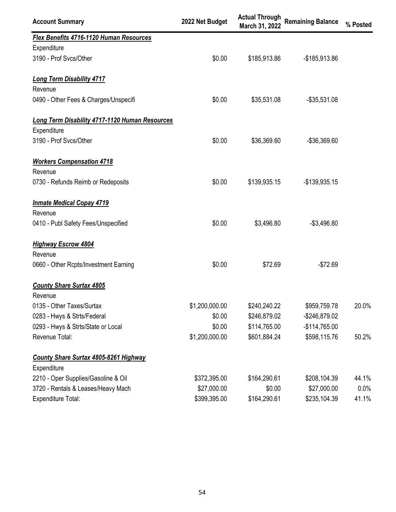| <b>Account Summary</b>                                | 2022 Net Budget | <b>Actual Through</b><br>March 31, 2022 | <b>Remaining Balance</b> | % Posted |
|-------------------------------------------------------|-----------------|-----------------------------------------|--------------------------|----------|
| Flex Benefits 4716-1120 Human Resources               |                 |                                         |                          |          |
| Expenditure                                           |                 |                                         |                          |          |
| 3190 - Prof Svcs/Other                                | \$0.00          | \$185,913.86                            | -\$185,913.86            |          |
| <b>Long Term Disability 4717</b>                      |                 |                                         |                          |          |
| Revenue                                               |                 |                                         |                          |          |
| 0490 - Other Fees & Charges/Unspecifi                 | \$0.00          | \$35,531.08                             | $-$35,531.08$            |          |
| <b>Long Term Disability 4717-1120 Human Resources</b> |                 |                                         |                          |          |
| Expenditure                                           |                 |                                         |                          |          |
| 3190 - Prof Svcs/Other                                | \$0.00          | \$36,369.60                             | -\$36,369.60             |          |
| <b>Workers Compensation 4718</b>                      |                 |                                         |                          |          |
| Revenue                                               |                 |                                         |                          |          |
| 0730 - Refunds Reimb or Redeposits                    | \$0.00          | \$139,935.15                            | $-$139,935.15$           |          |
| <b>Inmate Medical Copay 4719</b>                      |                 |                                         |                          |          |
| Revenue                                               |                 |                                         |                          |          |
| 0410 - Publ Safety Fees/Unspecified                   | \$0.00          | \$3,496.80                              | $-$3,496.80$             |          |
| <b>Highway Escrow 4804</b>                            |                 |                                         |                          |          |
| Revenue                                               |                 |                                         |                          |          |
| 0660 - Other Rcpts/Investment Earning                 | \$0.00          | \$72.69                                 | $-$72.69$                |          |
| <b>County Share Surtax 4805</b>                       |                 |                                         |                          |          |
| Revenue                                               |                 |                                         |                          |          |
| 0135 - Other Taxes/Surtax                             | \$1,200,000.00  | \$240,240.22                            | \$959,759.78             | 20.0%    |
| 0283 - Hwys & Strts/Federal                           | \$0.00          | \$246,879.02                            | -\$246,879.02            |          |
| 0293 - Hwys & Strts/State or Local                    | \$0.00          | \$114,765.00                            | $-$114,765.00$           |          |
| Revenue Total:                                        | \$1,200,000.00  | \$601,884.24                            | \$598,115.76             | 50.2%    |
| <b>County Share Surtax 4805-8261 Highway</b>          |                 |                                         |                          |          |
| Expenditure                                           |                 |                                         |                          |          |
| 2210 - Oper Supplies/Gasoline & Oil                   | \$372,395.00    | \$164,290.61                            | \$208,104.39             | 44.1%    |
| 3720 - Rentals & Leases/Heavy Mach                    | \$27,000.00     | \$0.00                                  | \$27,000.00              | $0.0\%$  |
| Expenditure Total:                                    | \$399,395.00    | \$164,290.61                            | \$235,104.39             | 41.1%    |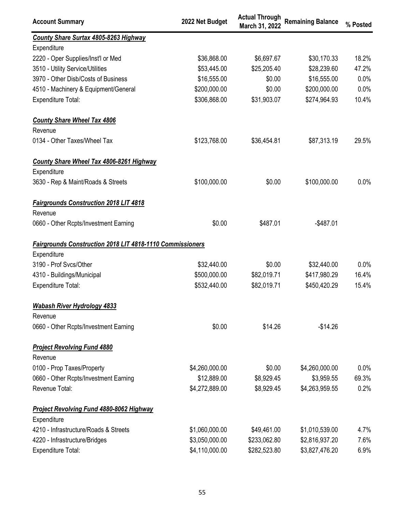| <b>Account Summary</b>                                           | 2022 Net Budget | <b>Actual Through</b><br>March 31, 2022 | <b>Remaining Balance</b> | % Posted |
|------------------------------------------------------------------|-----------------|-----------------------------------------|--------------------------|----------|
| <b>County Share Surtax 4805-8263 Highway</b>                     |                 |                                         |                          |          |
| Expenditure                                                      |                 |                                         |                          |          |
| 2220 - Oper Supplies/Inst'l or Med                               | \$36,868.00     | \$6,697.67                              | \$30,170.33              | 18.2%    |
| 3510 - Utility Service/Utilities                                 | \$53,445.00     | \$25,205.40                             | \$28,239.60              | 47.2%    |
| 3970 - Other Disb/Costs of Business                              | \$16,555.00     | \$0.00                                  | \$16,555.00              | 0.0%     |
| 4510 - Machinery & Equipment/General                             | \$200,000.00    | \$0.00                                  | \$200,000.00             | 0.0%     |
| Expenditure Total:                                               | \$306,868.00    | \$31,903.07                             | \$274,964.93             | 10.4%    |
| <b>County Share Wheel Tax 4806</b>                               |                 |                                         |                          |          |
| Revenue                                                          |                 |                                         |                          |          |
| 0134 - Other Taxes/Wheel Tax                                     | \$123,768.00    | \$36,454.81                             | \$87,313.19              | 29.5%    |
| <b>County Share Wheel Tax 4806-8261 Highway</b>                  |                 |                                         |                          |          |
| Expenditure                                                      |                 |                                         |                          |          |
| 3630 - Rep & Maint/Roads & Streets                               | \$100,000.00    | \$0.00                                  | \$100,000.00             | 0.0%     |
| <b>Fairgrounds Construction 2018 LIT 4818</b>                    |                 |                                         |                          |          |
| Revenue                                                          |                 |                                         |                          |          |
| 0660 - Other Rcpts/Investment Earning                            | \$0.00          | \$487.01                                | $-$487.01$               |          |
| <b>Fairgrounds Construction 2018 LIT 4818-1110 Commissioners</b> |                 |                                         |                          |          |
| Expenditure                                                      |                 |                                         |                          |          |
| 3190 - Prof Svcs/Other                                           | \$32,440.00     | \$0.00                                  | \$32,440.00              | 0.0%     |
| 4310 - Buildings/Municipal                                       | \$500,000.00    | \$82,019.71                             | \$417,980.29             | 16.4%    |
| Expenditure Total:                                               | \$532,440.00    | \$82,019.71                             | \$450,420.29             | 15.4%    |
| <b>Wabash River Hydrology 4833</b>                               |                 |                                         |                          |          |
| Revenue                                                          |                 |                                         |                          |          |
| 0660 - Other Rcpts/Investment Earning                            | \$0.00          | \$14.26                                 | $-$14.26$                |          |
| <b>Project Revolving Fund 4880</b>                               |                 |                                         |                          |          |
| Revenue                                                          |                 |                                         |                          |          |
| 0100 - Prop Taxes/Property                                       | \$4,260,000.00  | \$0.00                                  | \$4,260,000.00           | $0.0\%$  |
| 0660 - Other Rcpts/Investment Earning                            | \$12,889.00     | \$8,929.45                              | \$3,959.55               | 69.3%    |
| Revenue Total:                                                   | \$4,272,889.00  | \$8,929.45                              | \$4,263,959.55           | 0.2%     |
| <b>Project Revolving Fund 4880-8062 Highway</b>                  |                 |                                         |                          |          |
| Expenditure                                                      |                 |                                         |                          |          |
| 4210 - Infrastructure/Roads & Streets                            | \$1,060,000.00  | \$49,461.00                             | \$1,010,539.00           | 4.7%     |
| 4220 - Infrastructure/Bridges                                    | \$3,050,000.00  | \$233,062.80                            | \$2,816,937.20           | 7.6%     |
| Expenditure Total:                                               | \$4,110,000.00  | \$282,523.80                            | \$3,827,476.20           | 6.9%     |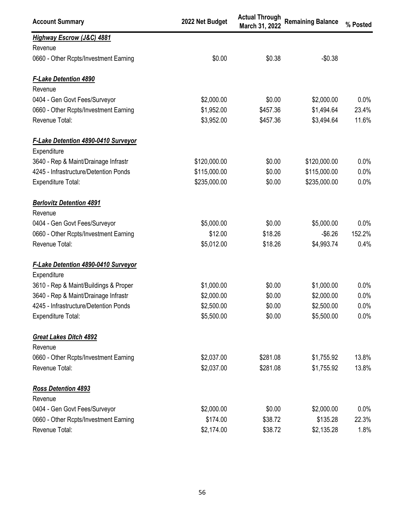| <b>Account Summary</b>                     | 2022 Net Budget | <b>Actual Through</b><br>March 31, 2022 | <b>Remaining Balance</b> | % Posted |
|--------------------------------------------|-----------------|-----------------------------------------|--------------------------|----------|
| <b>Highway Escrow (J&amp;C) 4881</b>       |                 |                                         |                          |          |
| Revenue                                    |                 |                                         |                          |          |
| 0660 - Other Rcpts/Investment Earning      | \$0.00          | \$0.38                                  | $-$0.38$                 |          |
| F-Lake Detention 4890                      |                 |                                         |                          |          |
| Revenue                                    |                 |                                         |                          |          |
| 0404 - Gen Govt Fees/Surveyor              | \$2,000.00      | \$0.00                                  | \$2,000.00               | $0.0\%$  |
| 0660 - Other Rcpts/Investment Earning      | \$1,952.00      | \$457.36                                | \$1,494.64               | 23.4%    |
| Revenue Total:                             | \$3,952.00      | \$457.36                                | \$3,494.64               | 11.6%    |
| <b>F-Lake Detention 4890-0410 Surveyor</b> |                 |                                         |                          |          |
| Expenditure                                |                 |                                         |                          |          |
| 3640 - Rep & Maint/Drainage Infrastr       | \$120,000.00    | \$0.00                                  | \$120,000.00             | $0.0\%$  |
| 4245 - Infrastructure/Detention Ponds      | \$115,000.00    | \$0.00                                  | \$115,000.00             | 0.0%     |
| <b>Expenditure Total:</b>                  | \$235,000.00    | \$0.00                                  | \$235,000.00             | 0.0%     |
| <b>Berlovitz Detention 4891</b>            |                 |                                         |                          |          |
| Revenue                                    |                 |                                         |                          |          |
| 0404 - Gen Govt Fees/Surveyor              | \$5,000.00      | \$0.00                                  | \$5,000.00               | $0.0\%$  |
| 0660 - Other Rcpts/Investment Earning      | \$12.00         | \$18.26                                 | $-$ \$6.26               | 152.2%   |
| Revenue Total:                             | \$5,012.00      | \$18.26                                 | \$4,993.74               | 0.4%     |
| <b>F-Lake Detention 4890-0410 Surveyor</b> |                 |                                         |                          |          |
| Expenditure                                |                 |                                         |                          |          |
| 3610 - Rep & Maint/Buildings & Proper      | \$1,000.00      | \$0.00                                  | \$1,000.00               | $0.0\%$  |
| 3640 - Rep & Maint/Drainage Infrastr       | \$2,000.00      | \$0.00                                  | \$2,000.00               | 0.0%     |
| 4245 - Infrastructure/Detention Ponds      | \$2,500.00      | \$0.00                                  | \$2,500.00               | $0.0\%$  |
| <b>Expenditure Total:</b>                  | \$5,500.00      | \$0.00                                  | \$5,500.00               | 0.0%     |
| <b>Great Lakes Ditch 4892</b>              |                 |                                         |                          |          |
| Revenue                                    |                 |                                         |                          |          |
| 0660 - Other Rcpts/Investment Earning      | \$2,037.00      | \$281.08                                | \$1,755.92               | 13.8%    |
| Revenue Total:                             | \$2,037.00      | \$281.08                                | \$1,755.92               | 13.8%    |
| <b>Ross Detention 4893</b>                 |                 |                                         |                          |          |
| Revenue                                    |                 |                                         |                          |          |
| 0404 - Gen Govt Fees/Surveyor              | \$2,000.00      | \$0.00                                  | \$2,000.00               | $0.0\%$  |
| 0660 - Other Rcpts/Investment Earning      | \$174.00        | \$38.72                                 | \$135.28                 | 22.3%    |
| Revenue Total:                             | \$2,174.00      | \$38.72                                 | \$2,135.28               | 1.8%     |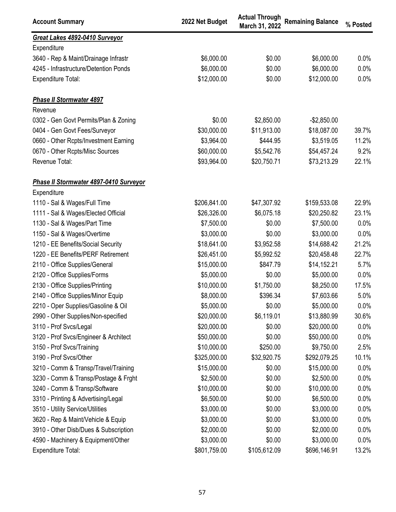| <b>Account Summary</b>                        | 2022 Net Budget | <b>Actual Through</b><br>March 31, 2022 | <b>Remaining Balance</b> | % Posted |
|-----------------------------------------------|-----------------|-----------------------------------------|--------------------------|----------|
| Great Lakes 4892-0410 Surveyor                |                 |                                         |                          |          |
| Expenditure                                   |                 |                                         |                          |          |
| 3640 - Rep & Maint/Drainage Infrastr          | \$6,000.00      | \$0.00                                  | \$6,000.00               | 0.0%     |
| 4245 - Infrastructure/Detention Ponds         | \$6,000.00      | \$0.00                                  | \$6,000.00               | 0.0%     |
| <b>Expenditure Total:</b>                     | \$12,000.00     | \$0.00                                  | \$12,000.00              | 0.0%     |
| <b>Phase II Stormwater 4897</b>               |                 |                                         |                          |          |
| Revenue                                       |                 |                                         |                          |          |
| 0302 - Gen Govt Permits/Plan & Zoning         | \$0.00          | \$2,850.00                              | $-$2,850.00$             |          |
| 0404 - Gen Govt Fees/Surveyor                 | \$30,000.00     | \$11,913.00                             | \$18,087.00              | 39.7%    |
| 0660 - Other Rcpts/Investment Earning         | \$3,964.00      | \$444.95                                | \$3,519.05               | 11.2%    |
| 0670 - Other Rcpts/Misc Sources               | \$60,000.00     | \$5,542.76                              | \$54,457.24              | 9.2%     |
| Revenue Total:                                | \$93,964.00     | \$20,750.71                             | \$73,213.29              | 22.1%    |
| <b>Phase II Stormwater 4897-0410 Surveyor</b> |                 |                                         |                          |          |
| Expenditure                                   |                 |                                         |                          |          |
| 1110 - Sal & Wages/Full Time                  | \$206,841.00    | \$47,307.92                             | \$159,533.08             | 22.9%    |
| 1111 - Sal & Wages/Elected Official           | \$26,326.00     | \$6,075.18                              | \$20,250.82              | 23.1%    |
| 1130 - Sal & Wages/Part Time                  | \$7,500.00      | \$0.00                                  | \$7,500.00               | 0.0%     |
| 1150 - Sal & Wages/Overtime                   | \$3,000.00      | \$0.00                                  | \$3,000.00               | 0.0%     |
| 1210 - EE Benefits/Social Security            | \$18,641.00     | \$3,952.58                              | \$14,688.42              | 21.2%    |
| 1220 - EE Benefits/PERF Retirement            | \$26,451.00     | \$5,992.52                              | \$20,458.48              | 22.7%    |
| 2110 - Office Supplies/General                | \$15,000.00     | \$847.79                                | \$14,152.21              | 5.7%     |
| 2120 - Office Supplies/Forms                  | \$5,000.00      | \$0.00                                  | \$5,000.00               | 0.0%     |
| 2130 - Office Supplies/Printing               | \$10,000.00     | \$1,750.00                              | \$8,250.00               | 17.5%    |
| 2140 - Office Supplies/Minor Equip            | \$8,000.00      | \$396.34                                | \$7,603.66               | 5.0%     |
| 2210 - Oper Supplies/Gasoline & Oil           | \$5,000.00      | \$0.00                                  | \$5,000.00               | $0.0\%$  |
| 2990 - Other Supplies/Non-specified           | \$20,000.00     | \$6,119.01                              | \$13,880.99              | 30.6%    |
| 3110 - Prof Svcs/Legal                        | \$20,000.00     | \$0.00                                  | \$20,000.00              | 0.0%     |
| 3120 - Prof Svcs/Engineer & Architect         | \$50,000.00     | \$0.00                                  | \$50,000.00              | 0.0%     |
| 3150 - Prof Svcs/Training                     | \$10,000.00     | \$250.00                                | \$9,750.00               | 2.5%     |
| 3190 - Prof Svcs/Other                        | \$325,000.00    | \$32,920.75                             | \$292,079.25             | 10.1%    |
| 3210 - Comm & Transp/Travel/Training          | \$15,000.00     | \$0.00                                  | \$15,000.00              | 0.0%     |
| 3230 - Comm & Transp/Postage & Frght          | \$2,500.00      | \$0.00                                  | \$2,500.00               | 0.0%     |
| 3240 - Comm & Transp/Software                 | \$10,000.00     | \$0.00                                  | \$10,000.00              | 0.0%     |
| 3310 - Printing & Advertising/Legal           | \$6,500.00      | \$0.00                                  | \$6,500.00               | 0.0%     |
| 3510 - Utility Service/Utilities              | \$3,000.00      | \$0.00                                  | \$3,000.00               | 0.0%     |
| 3620 - Rep & Maint/Vehicle & Equip            | \$3,000.00      | \$0.00                                  | \$3,000.00               | 0.0%     |
| 3910 - Other Disb/Dues & Subscription         | \$2,000.00      | \$0.00                                  | \$2,000.00               | 0.0%     |
| 4590 - Machinery & Equipment/Other            | \$3,000.00      | \$0.00                                  | \$3,000.00               | 0.0%     |
| <b>Expenditure Total:</b>                     | \$801,759.00    | \$105,612.09                            | \$696,146.91             | 13.2%    |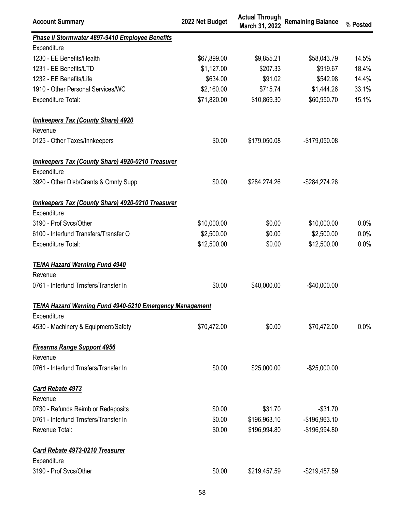| <b>Account Summary</b>                                   | 2022 Net Budget | <b>Actual Through</b><br>March 31, 2022 | <b>Remaining Balance</b> | % Posted |
|----------------------------------------------------------|-----------------|-----------------------------------------|--------------------------|----------|
| Phase II Stormwater 4897-9410 Employee Benefits          |                 |                                         |                          |          |
| Expenditure                                              |                 |                                         |                          |          |
| 1230 - EE Benefits/Health                                | \$67,899.00     | \$9,855.21                              | \$58,043.79              | 14.5%    |
| 1231 - EE Benefits/LTD                                   | \$1,127.00      | \$207.33                                | \$919.67                 | 18.4%    |
| 1232 - EE Benefits/Life                                  | \$634.00        | \$91.02                                 | \$542.98                 | 14.4%    |
| 1910 - Other Personal Services/WC                        | \$2,160.00      | \$715.74                                | \$1,444.26               | 33.1%    |
| <b>Expenditure Total:</b>                                | \$71,820.00     | \$10,869.30                             | \$60,950.70              | 15.1%    |
| <b>Innkeepers Tax (County Share) 4920</b>                |                 |                                         |                          |          |
| Revenue                                                  |                 |                                         |                          |          |
| 0125 - Other Taxes/Innkeepers                            | \$0.00          | \$179,050.08                            | -\$179,050.08            |          |
| <b>Innkeepers Tax (County Share) 4920-0210 Treasurer</b> |                 |                                         |                          |          |
| Expenditure                                              |                 |                                         |                          |          |
| 3920 - Other Disb/Grants & Cmnty Supp                    | \$0.00          | \$284,274.26                            | $-$284,274.26$           |          |
| <b>Innkeepers Tax (County Share) 4920-0210 Treasurer</b> |                 |                                         |                          |          |
| Expenditure                                              |                 |                                         |                          |          |
| 3190 - Prof Svcs/Other                                   | \$10,000.00     | \$0.00                                  | \$10,000.00              | 0.0%     |
| 6100 - Interfund Transfers/Transfer O                    | \$2,500.00      | \$0.00                                  | \$2,500.00               | 0.0%     |
| Expenditure Total:                                       | \$12,500.00     | \$0.00                                  | \$12,500.00              | 0.0%     |
| <b>TEMA Hazard Warning Fund 4940</b>                     |                 |                                         |                          |          |
| Revenue                                                  |                 |                                         |                          |          |
| 0761 - Interfund Trnsfers/Transfer In                    | \$0.00          | \$40,000.00                             | $-$40,000.00$            |          |
| TEMA Hazard Warning Fund 4940-5210 Emergency Management  |                 |                                         |                          |          |
| Expenditure                                              |                 |                                         |                          |          |
| 4530 - Machinery & Equipment/Safety                      | \$70,472.00     | \$0.00                                  | \$70,472.00              | $0.0\%$  |
| <b>Firearms Range Support 4956</b>                       |                 |                                         |                          |          |
| Revenue                                                  |                 |                                         |                          |          |
| 0761 - Interfund Trnsfers/Transfer In                    | \$0.00          | \$25,000.00                             | $-$25,000.00$            |          |
| <b>Card Rebate 4973</b>                                  |                 |                                         |                          |          |
| Revenue                                                  |                 |                                         |                          |          |
| 0730 - Refunds Reimb or Redeposits                       | \$0.00          | \$31.70                                 | $-$31.70$                |          |
| 0761 - Interfund Trnsfers/Transfer In                    | \$0.00          | \$196,963.10                            | $-$196,963.10$           |          |
| Revenue Total:                                           | \$0.00          | \$196,994.80                            | -\$196,994.80            |          |
| Card Rebate 4973-0210 Treasurer                          |                 |                                         |                          |          |
| Expenditure                                              |                 |                                         |                          |          |
| 3190 - Prof Svcs/Other                                   | \$0.00          | \$219,457.59                            | $-$ \$219,457.59         |          |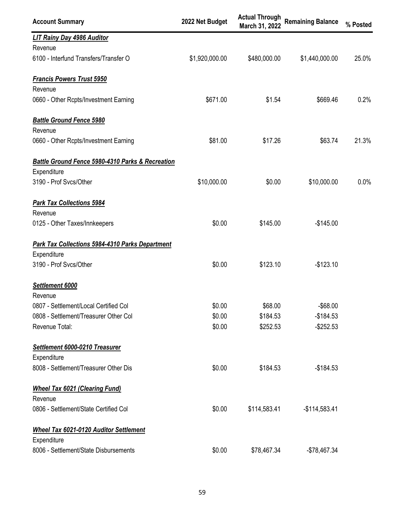| <b>Account Summary</b>                                 | 2022 Net Budget | <b>Actual Through</b><br>March 31, 2022 | <b>Remaining Balance</b> | % Posted |
|--------------------------------------------------------|-----------------|-----------------------------------------|--------------------------|----------|
| LIT Rainy Day 4986 Auditor                             |                 |                                         |                          |          |
| Revenue                                                |                 |                                         |                          |          |
| 6100 - Interfund Transfers/Transfer O                  | \$1,920,000.00  | \$480,000.00                            | \$1,440,000.00           | 25.0%    |
| <b>Francis Powers Trust 5950</b>                       |                 |                                         |                          |          |
| Revenue                                                |                 |                                         |                          |          |
| 0660 - Other Rcpts/Investment Earning                  | \$671.00        | \$1.54                                  | \$669.46                 | 0.2%     |
| <b>Battle Ground Fence 5980</b>                        |                 |                                         |                          |          |
| Revenue                                                |                 |                                         |                          |          |
| 0660 - Other Rcpts/Investment Earning                  | \$81.00         | \$17.26                                 | \$63.74                  | 21.3%    |
| Battle Ground Fence 5980-4310 Parks & Recreation       |                 |                                         |                          |          |
| Expenditure                                            |                 |                                         |                          |          |
| 3190 - Prof Svcs/Other                                 | \$10,000.00     | \$0.00                                  | \$10,000.00              | 0.0%     |
| <b>Park Tax Collections 5984</b>                       |                 |                                         |                          |          |
| Revenue                                                |                 |                                         |                          |          |
| 0125 - Other Taxes/Innkeepers                          | \$0.00          | \$145.00                                | $-$145.00$               |          |
| <b>Park Tax Collections 5984-4310 Parks Department</b> |                 |                                         |                          |          |
| Expenditure                                            |                 |                                         |                          |          |
| 3190 - Prof Svcs/Other                                 | \$0.00          | \$123.10                                | $-$123.10$               |          |
| Settlement 6000                                        |                 |                                         |                          |          |
| Revenue                                                |                 |                                         |                          |          |
| 0807 - Settlement/Local Certified Col                  | \$0.00          | \$68.00                                 | $-$ \$68.00              |          |
| 0808 - Settlement/Treasurer Other Col                  | \$0.00          | \$184.53                                | $-$184.53$               |          |
| Revenue Total:                                         | \$0.00          | \$252.53                                | $-$252.53$               |          |
| Settlement 6000-0210 Treasurer                         |                 |                                         |                          |          |
| Expenditure                                            |                 |                                         |                          |          |
| 8008 - Settlement/Treasurer Other Dis                  | \$0.00          | \$184.53                                | $-$184.53$               |          |
| <b>Wheel Tax 6021 (Clearing Fund)</b>                  |                 |                                         |                          |          |
| Revenue                                                |                 |                                         |                          |          |
| 0806 - Settlement/State Certified Col                  | \$0.00          | \$114,583.41                            | $-$114,583.41$           |          |
| <b>Wheel Tax 6021-0120 Auditor Settlement</b>          |                 |                                         |                          |          |
| Expenditure                                            |                 |                                         |                          |          |
| 8006 - Settlement/State Disbursements                  | \$0.00          | \$78,467.34                             | $-$78,467.34$            |          |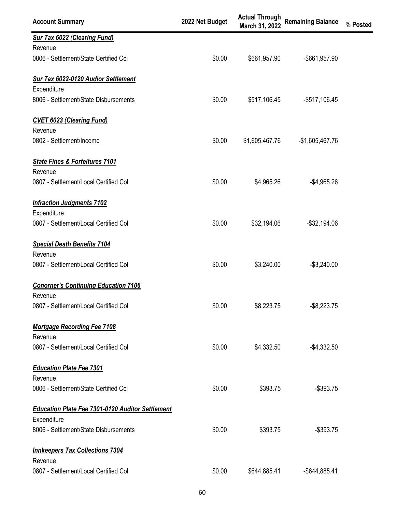| <b>Account Summary</b>                                  | 2022 Net Budget | <b>Actual Through</b><br>March 31, 2022 | <b>Remaining Balance</b> | % Posted |
|---------------------------------------------------------|-----------------|-----------------------------------------|--------------------------|----------|
| <b>Sur Tax 6022 (Clearing Fund)</b>                     |                 |                                         |                          |          |
| Revenue                                                 |                 |                                         |                          |          |
| 0806 - Settlement/State Certified Col                   | \$0.00          | \$661,957.90                            | -\$661,957.90            |          |
| Sur Tax 6022-0120 Audior Settlement                     |                 |                                         |                          |          |
| Expenditure                                             |                 |                                         |                          |          |
| 8006 - Settlement/State Disbursements                   | \$0.00          | \$517,106.45                            | $-$517,106.45$           |          |
| <b>CVET 6023 (Clearing Fund)</b>                        |                 |                                         |                          |          |
| Revenue                                                 |                 |                                         |                          |          |
| 0802 - Settlement/Income                                | \$0.00          | \$1,605,467.76                          | -\$1,605,467.76          |          |
| <b>State Fines &amp; Forfeitures 7101</b>               |                 |                                         |                          |          |
| Revenue                                                 |                 |                                         |                          |          |
| 0807 - Settlement/Local Certified Col                   | \$0.00          | \$4,965.26                              | $-$4,965.26$             |          |
| <b>Infraction Judgments 7102</b>                        |                 |                                         |                          |          |
| Expenditure                                             |                 |                                         |                          |          |
| 0807 - Settlement/Local Certified Col                   | \$0.00          | \$32,194.06                             | $-$ \$32,194.06          |          |
| <b>Special Death Benefits 7104</b>                      |                 |                                         |                          |          |
| Revenue                                                 |                 |                                         |                          |          |
| 0807 - Settlement/Local Certified Col                   | \$0.00          | \$3,240.00                              | $-$3,240.00$             |          |
| <b>Conorner's Continuing Education 7106</b>             |                 |                                         |                          |          |
| Revenue                                                 |                 |                                         |                          |          |
| 0807 - Settlement/Local Certified Col                   | \$0.00          | \$8,223.75                              | $-$ \$8,223.75           |          |
| <b>Mortgage Recording Fee 7108</b>                      |                 |                                         |                          |          |
| Revenue                                                 |                 |                                         |                          |          |
| 0807 - Settlement/Local Certified Col                   | \$0.00          | \$4,332.50                              | $-$4,332.50$             |          |
| <b>Education Plate Fee 7301</b>                         |                 |                                         |                          |          |
| Revenue                                                 |                 |                                         |                          |          |
| 0806 - Settlement/State Certified Col                   | \$0.00          | \$393.75                                | $-$393.75$               |          |
| <b>Education Plate Fee 7301-0120 Auditor Settlement</b> |                 |                                         |                          |          |
| Expenditure                                             |                 |                                         |                          |          |
| 8006 - Settlement/State Disbursements                   | \$0.00          | \$393.75                                | $-$393.75$               |          |
| <b>Innkeepers Tax Collections 7304</b>                  |                 |                                         |                          |          |
| Revenue                                                 |                 |                                         |                          |          |
| 0807 - Settlement/Local Certified Col                   | \$0.00          | \$644,885.41                            | $-$ \$644,885.41         |          |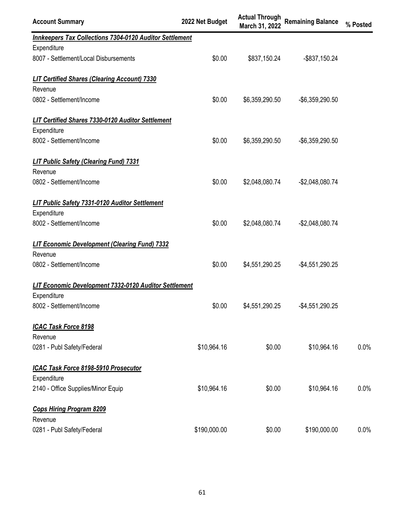| <b>Account Summary</b>                                         | 2022 Net Budget | <b>Actual Through</b><br>March 31, 2022 | <b>Remaining Balance</b> | % Posted |
|----------------------------------------------------------------|-----------------|-----------------------------------------|--------------------------|----------|
| <b>Innkeepers Tax Collections 7304-0120 Auditor Settlement</b> |                 |                                         |                          |          |
| Expenditure                                                    |                 |                                         |                          |          |
| 8007 - Settlement/Local Disbursements                          | \$0.00          | \$837,150.24                            | -\$837,150.24            |          |
| <b>LIT Certified Shares (Clearing Account) 7330</b>            |                 |                                         |                          |          |
| Revenue                                                        |                 |                                         |                          |          |
| 0802 - Settlement/Income                                       | \$0.00          | \$6,359,290.50                          | $-$ \$6,359,290.50       |          |
| <b>LIT Certified Shares 7330-0120 Auditor Settlement</b>       |                 |                                         |                          |          |
| Expenditure                                                    |                 |                                         |                          |          |
| 8002 - Settlement/Income                                       | \$0.00          | \$6,359,290.50                          | $-$ \$6,359,290.50       |          |
| <b>LIT Public Safety (Clearing Fund) 7331</b>                  |                 |                                         |                          |          |
| Revenue                                                        |                 |                                         |                          |          |
| 0802 - Settlement/Income                                       | \$0.00          | \$2,048,080.74                          | $-$2,048,080.74$         |          |
| <b>LIT Public Safety 7331-0120 Auditor Settlement</b>          |                 |                                         |                          |          |
| Expenditure                                                    |                 |                                         |                          |          |
| 8002 - Settlement/Income                                       | \$0.00          | \$2,048,080.74                          | $-$2,048,080.74$         |          |
| <b>LIT Economic Development (Clearing Fund) 7332</b>           |                 |                                         |                          |          |
| Revenue                                                        |                 |                                         |                          |          |
| 0802 - Settlement/Income                                       | \$0.00          | \$4,551,290.25                          | $-$4,551,290.25$         |          |
| <b>LIT Economic Development 7332-0120 Auditor Settlement</b>   |                 |                                         |                          |          |
| Expenditure                                                    |                 |                                         |                          |          |
| 8002 - Settlement/Income                                       | \$0.00          | \$4,551,290.25                          | $-$4,551,290.25$         |          |
| <b>ICAC Task Force 8198</b>                                    |                 |                                         |                          |          |
| Revenue                                                        |                 |                                         |                          |          |
| 0281 - Publ Safety/Federal                                     | \$10,964.16     | \$0.00                                  | \$10,964.16              | 0.0%     |
| ICAC Task Force 8198-5910 Prosecutor                           |                 |                                         |                          |          |
| Expenditure                                                    |                 |                                         |                          |          |
| 2140 - Office Supplies/Minor Equip                             | \$10,964.16     | \$0.00                                  | \$10,964.16              | 0.0%     |
| <b>Cops Hiring Program 8209</b>                                |                 |                                         |                          |          |
| Revenue                                                        |                 |                                         |                          |          |
| 0281 - Publ Safety/Federal                                     | \$190,000.00    | \$0.00                                  | \$190,000.00             | 0.0%     |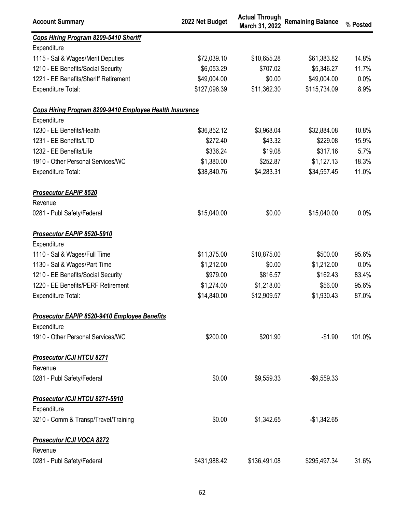| <b>Account Summary</b>                                  | 2022 Net Budget | <b>Actual Through</b><br>March 31, 2022 | <b>Remaining Balance</b> | % Posted |
|---------------------------------------------------------|-----------------|-----------------------------------------|--------------------------|----------|
| Cops Hiring Program 8209-5410 Sheriff                   |                 |                                         |                          |          |
| Expenditure                                             |                 |                                         |                          |          |
| 1115 - Sal & Wages/Merit Deputies                       | \$72,039.10     | \$10,655.28                             | \$61,383.82              | 14.8%    |
| 1210 - EE Benefits/Social Security                      | \$6,053.29      | \$707.02                                | \$5,346.27               | 11.7%    |
| 1221 - EE Benefits/Sheriff Retirement                   | \$49,004.00     | \$0.00                                  | \$49,004.00              | 0.0%     |
| <b>Expenditure Total:</b>                               | \$127,096.39    | \$11,362.30                             | \$115,734.09             | 8.9%     |
| Cops Hiring Program 8209-9410 Employee Health Insurance |                 |                                         |                          |          |
| Expenditure                                             |                 |                                         |                          |          |
| 1230 - EE Benefits/Health                               | \$36,852.12     | \$3,968.04                              | \$32,884.08              | 10.8%    |
| 1231 - EE Benefits/LTD                                  | \$272.40        | \$43.32                                 | \$229.08                 | 15.9%    |
| 1232 - EE Benefits/Life                                 | \$336.24        | \$19.08                                 | \$317.16                 | 5.7%     |
| 1910 - Other Personal Services/WC                       | \$1,380.00      | \$252.87                                | \$1,127.13               | 18.3%    |
| <b>Expenditure Total:</b>                               | \$38,840.76     | \$4,283.31                              | \$34,557.45              | 11.0%    |
| <b>Prosecutor EAPIP 8520</b>                            |                 |                                         |                          |          |
| Revenue                                                 |                 |                                         |                          |          |
| 0281 - Publ Safety/Federal                              | \$15,040.00     | \$0.00                                  | \$15,040.00              | 0.0%     |
| Prosecutor EAPIP 8520-5910                              |                 |                                         |                          |          |
| Expenditure                                             |                 |                                         |                          |          |
| 1110 - Sal & Wages/Full Time                            | \$11,375.00     | \$10,875.00                             | \$500.00                 | 95.6%    |
| 1130 - Sal & Wages/Part Time                            | \$1,212.00      | \$0.00                                  | \$1,212.00               | 0.0%     |
| 1210 - EE Benefits/Social Security                      | \$979.00        | \$816.57                                | \$162.43                 | 83.4%    |
| 1220 - EE Benefits/PERF Retirement                      | \$1,274.00      | \$1,218.00                              | \$56.00                  | 95.6%    |
| Expenditure Total:                                      | \$14,840.00     | \$12,909.57                             | \$1,930.43               | 87.0%    |
| Prosecutor EAPIP 8520-9410 Employee Benefits            |                 |                                         |                          |          |
| Expenditure                                             |                 |                                         |                          |          |
| 1910 - Other Personal Services/WC                       | \$200.00        | \$201.90                                | $-$1.90$                 | 101.0%   |
| <b>Prosecutor ICJI HTCU 8271</b>                        |                 |                                         |                          |          |
| Revenue                                                 |                 |                                         |                          |          |
| 0281 - Publ Safety/Federal                              | \$0.00          | \$9,559.33                              | $-$9,559.33$             |          |
| <b>Prosecutor ICJI HTCU 8271-5910</b>                   |                 |                                         |                          |          |
| Expenditure                                             |                 |                                         |                          |          |
| 3210 - Comm & Transp/Travel/Training                    | \$0.00          | \$1,342.65                              | $-$1,342.65$             |          |
| <b>Prosecutor ICJI VOCA 8272</b>                        |                 |                                         |                          |          |
| Revenue                                                 |                 |                                         |                          |          |
| 0281 - Publ Safety/Federal                              | \$431,988.42    | \$136,491.08                            | \$295,497.34             | 31.6%    |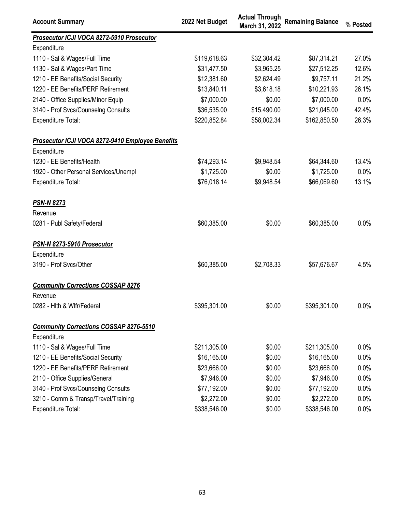| <b>Account Summary</b>                           | 2022 Net Budget | <b>Actual Through</b><br>March 31, 2022 | <b>Remaining Balance</b> | % Posted |
|--------------------------------------------------|-----------------|-----------------------------------------|--------------------------|----------|
| Prosecutor ICJI VOCA 8272-5910 Prosecutor        |                 |                                         |                          |          |
| Expenditure                                      |                 |                                         |                          |          |
| 1110 - Sal & Wages/Full Time                     | \$119,618.63    | \$32,304.42                             | \$87,314.21              | 27.0%    |
| 1130 - Sal & Wages/Part Time                     | \$31,477.50     | \$3,965.25                              | \$27,512.25              | 12.6%    |
| 1210 - EE Benefits/Social Security               | \$12,381.60     | \$2,624.49                              | \$9,757.11               | 21.2%    |
| 1220 - EE Benefits/PERF Retirement               | \$13,840.11     | \$3,618.18                              | \$10,221.93              | 26.1%    |
| 2140 - Office Supplies/Minor Equip               | \$7,000.00      | \$0.00                                  | \$7,000.00               | 0.0%     |
| 3140 - Prof Svcs/Counselng Consults              | \$36,535.00     | \$15,490.00                             | \$21,045.00              | 42.4%    |
| Expenditure Total:                               | \$220,852.84    | \$58,002.34                             | \$162,850.50             | 26.3%    |
| Prosecutor ICJI VOCA 8272-9410 Employee Benefits |                 |                                         |                          |          |
| Expenditure                                      |                 |                                         |                          |          |
| 1230 - EE Benefits/Health                        | \$74,293.14     | \$9,948.54                              | \$64,344.60              | 13.4%    |
| 1920 - Other Personal Services/Unempl            | \$1,725.00      | \$0.00                                  | \$1,725.00               | 0.0%     |
| Expenditure Total:                               | \$76,018.14     | \$9,948.54                              | \$66,069.60              | 13.1%    |
| <b>PSN-N 8273</b>                                |                 |                                         |                          |          |
| Revenue                                          |                 |                                         |                          |          |
| 0281 - Publ Safety/Federal                       | \$60,385.00     | \$0.00                                  | \$60,385.00              | 0.0%     |
| PSN-N 8273-5910 Prosecutor                       |                 |                                         |                          |          |
| Expenditure                                      |                 |                                         |                          |          |
| 3190 - Prof Svcs/Other                           | \$60,385.00     | \$2,708.33                              | \$57,676.67              | 4.5%     |
| <b>Community Corrections COSSAP 8276</b>         |                 |                                         |                          |          |
| Revenue                                          |                 |                                         |                          |          |
| 0282 - Hith & Wifr/Federal                       | \$395,301.00    | \$0.00                                  | \$395,301.00             | $0.0\%$  |
| <b>Community Corrections COSSAP 8276-5510</b>    |                 |                                         |                          |          |
| Expenditure                                      |                 |                                         |                          |          |
| 1110 - Sal & Wages/Full Time                     | \$211,305.00    | \$0.00                                  | \$211,305.00             | 0.0%     |
| 1210 - EE Benefits/Social Security               | \$16,165.00     | \$0.00                                  | \$16,165.00              | 0.0%     |
| 1220 - EE Benefits/PERF Retirement               | \$23,666.00     | \$0.00                                  | \$23,666.00              | 0.0%     |
| 2110 - Office Supplies/General                   | \$7,946.00      | \$0.00                                  | \$7,946.00               | 0.0%     |
| 3140 - Prof Svcs/Counselng Consults              | \$77,192.00     | \$0.00                                  | \$77,192.00              | 0.0%     |
| 3210 - Comm & Transp/Travel/Training             | \$2,272.00      | \$0.00                                  | \$2,272.00               | 0.0%     |
| Expenditure Total:                               | \$338,546.00    | \$0.00                                  | \$338,546.00             | 0.0%     |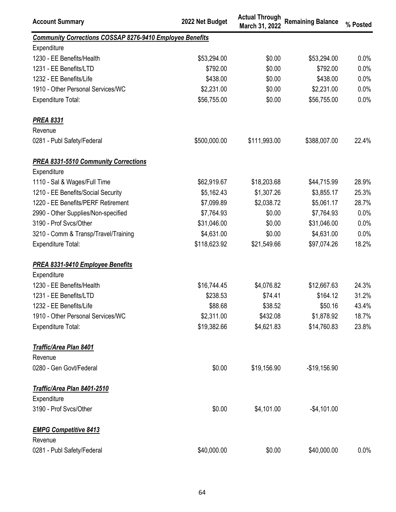| <b>Account Summary</b>                                          | 2022 Net Budget | <b>Actual Through</b><br>March 31, 2022 | <b>Remaining Balance</b> | % Posted |
|-----------------------------------------------------------------|-----------------|-----------------------------------------|--------------------------|----------|
| <b>Community Corrections COSSAP 8276-9410 Employee Benefits</b> |                 |                                         |                          |          |
| Expenditure                                                     |                 |                                         |                          |          |
| 1230 - EE Benefits/Health                                       | \$53,294.00     | \$0.00                                  | \$53,294.00              | $0.0\%$  |
| 1231 - EE Benefits/LTD                                          | \$792.00        | \$0.00                                  | \$792.00                 | 0.0%     |
| 1232 - EE Benefits/Life                                         | \$438.00        | \$0.00                                  | \$438.00                 | 0.0%     |
| 1910 - Other Personal Services/WC                               | \$2,231.00      | \$0.00                                  | \$2,231.00               | 0.0%     |
| <b>Expenditure Total:</b>                                       | \$56,755.00     | \$0.00                                  | \$56,755.00              | 0.0%     |
| <b>PREA 8331</b>                                                |                 |                                         |                          |          |
| Revenue                                                         |                 |                                         |                          |          |
| 0281 - Publ Safety/Federal                                      | \$500,000.00    | \$111,993.00                            | \$388,007.00             | 22.4%    |
| <b>PREA 8331-5510 Community Corrections</b>                     |                 |                                         |                          |          |
| Expenditure                                                     |                 |                                         |                          |          |
| 1110 - Sal & Wages/Full Time                                    | \$62,919.67     | \$18,203.68                             | \$44,715.99              | 28.9%    |
| 1210 - EE Benefits/Social Security                              | \$5,162.43      | \$1,307.26                              | \$3,855.17               | 25.3%    |
| 1220 - EE Benefits/PERF Retirement                              | \$7,099.89      | \$2,038.72                              | \$5,061.17               | 28.7%    |
| 2990 - Other Supplies/Non-specified                             | \$7,764.93      | \$0.00                                  | \$7,764.93               | 0.0%     |
| 3190 - Prof Svcs/Other                                          | \$31,046.00     | \$0.00                                  | \$31,046.00              | 0.0%     |
| 3210 - Comm & Transp/Travel/Training                            | \$4,631.00      | \$0.00                                  | \$4,631.00               | 0.0%     |
| <b>Expenditure Total:</b>                                       | \$118,623.92    | \$21,549.66                             | \$97,074.26              | 18.2%    |
| PREA 8331-9410 Employee Benefits                                |                 |                                         |                          |          |
| Expenditure                                                     |                 |                                         |                          |          |
| 1230 - EE Benefits/Health                                       | \$16,744.45     | \$4,076.82                              | \$12,667.63              | 24.3%    |
| 1231 - EE Benefits/LTD                                          | \$238.53        | \$74.41                                 | \$164.12                 | 31.2%    |
| 1232 - EE Benefits/Life                                         | \$88.68         | \$38.52                                 | \$50.16                  | 43.4%    |
| 1910 - Other Personal Services/WC                               | \$2,311.00      | \$432.08                                | \$1,878.92               | 18.7%    |
| <b>Expenditure Total:</b>                                       | \$19,382.66     | \$4,621.83                              | \$14,760.83              | 23.8%    |
| <b>Traffic/Area Plan 8401</b>                                   |                 |                                         |                          |          |
| Revenue                                                         |                 |                                         |                          |          |
| 0280 - Gen Govt/Federal                                         | \$0.00          | \$19,156.90                             | $-$19,156.90$            |          |
| Traffic/Area Plan 8401-2510                                     |                 |                                         |                          |          |
| Expenditure                                                     |                 |                                         |                          |          |
| 3190 - Prof Svcs/Other                                          | \$0.00          | \$4,101.00                              | $-$4,101.00$             |          |
| <b>EMPG Competitive 8413</b>                                    |                 |                                         |                          |          |
| Revenue                                                         |                 |                                         |                          |          |
| 0281 - Publ Safety/Federal                                      | \$40,000.00     | \$0.00                                  | \$40,000.00              | $0.0\%$  |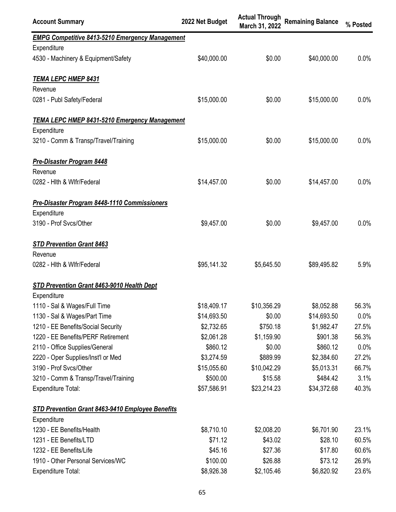| <b>Account Summary</b>                                  | 2022 Net Budget | <b>Actual Through</b><br>March 31, 2022 | <b>Remaining Balance</b> | % Posted |
|---------------------------------------------------------|-----------------|-----------------------------------------|--------------------------|----------|
| <b>EMPG Competitive 8413-5210 Emergency Management</b>  |                 |                                         |                          |          |
| Expenditure                                             |                 |                                         |                          |          |
| 4530 - Machinery & Equipment/Safety                     | \$40,000.00     | \$0.00                                  | \$40,000.00              | 0.0%     |
| <b>TEMA LEPC HMEP 8431</b>                              |                 |                                         |                          |          |
| Revenue                                                 |                 |                                         |                          |          |
| 0281 - Publ Safety/Federal                              | \$15,000.00     | \$0.00                                  | \$15,000.00              | 0.0%     |
| <b>TEMA LEPC HMEP 8431-5210 Emergency Management</b>    |                 |                                         |                          |          |
| Expenditure                                             |                 |                                         |                          |          |
| 3210 - Comm & Transp/Travel/Training                    | \$15,000.00     | \$0.00                                  | \$15,000.00              | 0.0%     |
| Pre-Disaster Program 8448                               |                 |                                         |                          |          |
| Revenue                                                 |                 |                                         |                          |          |
| 0282 - Hith & Wifr/Federal                              | \$14,457.00     | \$0.00                                  | \$14,457.00              | 0.0%     |
| Pre-Disaster Program 8448-1110 Commissioners            |                 |                                         |                          |          |
| Expenditure                                             |                 |                                         |                          |          |
| 3190 - Prof Svcs/Other                                  | \$9,457.00      | \$0.00                                  | \$9,457.00               | 0.0%     |
| <b>STD Prevention Grant 8463</b>                        |                 |                                         |                          |          |
| Revenue                                                 |                 |                                         |                          |          |
| 0282 - Hith & Wifr/Federal                              | \$95,141.32     | \$5,645.50                              | \$89,495.82              | 5.9%     |
| STD Prevention Grant 8463-9010 Health Dept              |                 |                                         |                          |          |
| Expenditure                                             |                 |                                         |                          |          |
| 1110 - Sal & Wages/Full Time                            | \$18,409.17     | \$10,356.29                             | \$8,052.88               | 56.3%    |
| 1130 - Sal & Wages/Part Time                            | \$14,693.50     | \$0.00                                  | \$14,693.50              | $0.0\%$  |
| 1210 - EE Benefits/Social Security                      | \$2,732.65      | \$750.18                                | \$1,982.47               | 27.5%    |
| 1220 - EE Benefits/PERF Retirement                      | \$2,061.28      | \$1,159.90                              | \$901.38                 | 56.3%    |
| 2110 - Office Supplies/General                          | \$860.12        | \$0.00                                  | \$860.12                 | $0.0\%$  |
| 2220 - Oper Supplies/Inst'l or Med                      | \$3,274.59      | \$889.99                                | \$2,384.60               | 27.2%    |
| 3190 - Prof Svcs/Other                                  | \$15,055.60     | \$10,042.29                             | \$5,013.31               | 66.7%    |
| 3210 - Comm & Transp/Travel/Training                    | \$500.00        | \$15.58                                 | \$484.42                 | 3.1%     |
| <b>Expenditure Total:</b>                               | \$57,586.91     | \$23,214.23                             | \$34,372.68              | 40.3%    |
| <b>STD Prevention Grant 8463-9410 Employee Benefits</b> |                 |                                         |                          |          |
| Expenditure                                             |                 |                                         |                          |          |
| 1230 - EE Benefits/Health                               | \$8,710.10      | \$2,008.20                              | \$6,701.90               | 23.1%    |
| 1231 - EE Benefits/LTD                                  | \$71.12         | \$43.02                                 | \$28.10                  | 60.5%    |
| 1232 - EE Benefits/Life                                 | \$45.16         | \$27.36                                 | \$17.80                  | 60.6%    |
| 1910 - Other Personal Services/WC                       | \$100.00        | \$26.88                                 | \$73.12                  | 26.9%    |
| Expenditure Total:                                      | \$8,926.38      | \$2,105.46                              | \$6,820.92               | 23.6%    |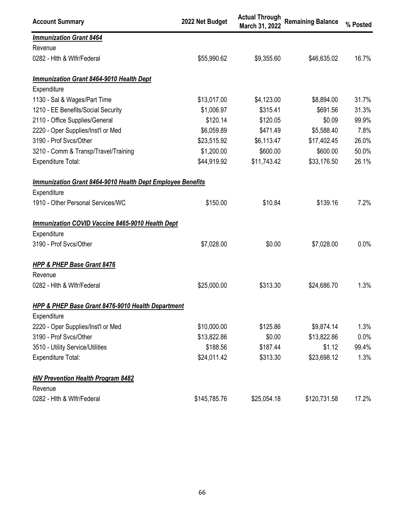| <b>Account Summary</b>                                            | 2022 Net Budget | <b>Actual Through</b><br>March 31, 2022 | <b>Remaining Balance</b> | % Posted |
|-------------------------------------------------------------------|-----------------|-----------------------------------------|--------------------------|----------|
| <b>Immunization Grant 8464</b>                                    |                 |                                         |                          |          |
| Revenue                                                           |                 |                                         |                          |          |
| 0282 - Hith & Wifr/Federal                                        | \$55,990.62     | \$9,355.60                              | \$46,635.02              | 16.7%    |
| Immunization Grant 8464-9010 Health Dept                          |                 |                                         |                          |          |
| Expenditure                                                       |                 |                                         |                          |          |
| 1130 - Sal & Wages/Part Time                                      | \$13,017.00     | \$4,123.00                              | \$8,894.00               | 31.7%    |
| 1210 - EE Benefits/Social Security                                | \$1,006.97      | \$315.41                                | \$691.56                 | 31.3%    |
| 2110 - Office Supplies/General                                    | \$120.14        | \$120.05                                | \$0.09                   | 99.9%    |
| 2220 - Oper Supplies/Inst'l or Med                                | \$6,059.89      | \$471.49                                | \$5,588.40               | 7.8%     |
| 3190 - Prof Svcs/Other                                            | \$23,515.92     | \$6,113.47                              | \$17,402.45              | 26.0%    |
| 3210 - Comm & Transp/Travel/Training                              | \$1,200.00      | \$600.00                                | \$600.00                 | 50.0%    |
| <b>Expenditure Total:</b>                                         | \$44,919.92     | \$11,743.42                             | \$33,176.50              | 26.1%    |
| <b>Immunization Grant 8464-9010 Health Dept Employee Benefits</b> |                 |                                         |                          |          |
| Expenditure                                                       |                 |                                         |                          |          |
| 1910 - Other Personal Services/WC                                 | \$150.00        | \$10.84                                 | \$139.16                 | 7.2%     |
| <b>Immunization COVID Vaccine 8465-9010 Health Dept</b>           |                 |                                         |                          |          |
| Expenditure                                                       |                 |                                         |                          |          |
| 3190 - Prof Svcs/Other                                            | \$7,028.00      | \$0.00                                  | \$7,028.00               | 0.0%     |
| <b>HPP &amp; PHEP Base Grant 8476</b>                             |                 |                                         |                          |          |
| Revenue                                                           |                 |                                         |                          |          |
| 0282 - Hith & Wifr/Federal                                        | \$25,000.00     | \$313.30                                | \$24,686.70              | 1.3%     |
| <b>HPP &amp; PHEP Base Grant 8476-9010 Health Department</b>      |                 |                                         |                          |          |
| Expenditure                                                       |                 |                                         |                          |          |
| 2220 - Oper Supplies/Inst'l or Med                                | \$10,000.00     | \$125.86                                | \$9,874.14               | 1.3%     |
| 3190 - Prof Svcs/Other                                            | \$13,822.86     | \$0.00                                  | \$13,822.86              | $0.0\%$  |
| 3510 - Utility Service/Utilities                                  | \$188.56        | \$187.44                                | \$1.12                   | 99.4%    |
| <b>Expenditure Total:</b>                                         | \$24,011.42     | \$313.30                                | \$23,698.12              | 1.3%     |
| <b>HIV Prevention Health Program 8482</b>                         |                 |                                         |                          |          |
| Revenue                                                           |                 |                                         |                          |          |
| 0282 - Hith & Wifr/Federal                                        | \$145,785.76    | \$25,054.18                             | \$120,731.58             | 17.2%    |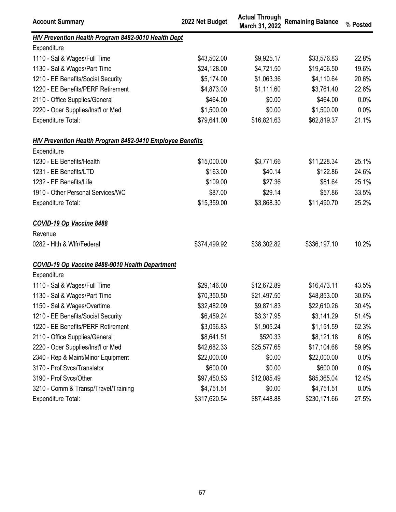| <b>Account Summary</b>                                           | 2022 Net Budget | <b>Actual Through</b><br>March 31, 2022 | <b>Remaining Balance</b> | % Posted |
|------------------------------------------------------------------|-----------------|-----------------------------------------|--------------------------|----------|
| HIV Prevention Health Program 8482-9010 Health Dept              |                 |                                         |                          |          |
| Expenditure                                                      |                 |                                         |                          |          |
| 1110 - Sal & Wages/Full Time                                     | \$43,502.00     | \$9,925.17                              | \$33,576.83              | 22.8%    |
| 1130 - Sal & Wages/Part Time                                     | \$24,128.00     | \$4,721.50                              | \$19,406.50              | 19.6%    |
| 1210 - EE Benefits/Social Security                               | \$5,174.00      | \$1,063.36                              | \$4,110.64               | 20.6%    |
| 1220 - EE Benefits/PERF Retirement                               | \$4,873.00      | \$1,111.60                              | \$3,761.40               | 22.8%    |
| 2110 - Office Supplies/General                                   | \$464.00        | \$0.00                                  | \$464.00                 | 0.0%     |
| 2220 - Oper Supplies/Inst'l or Med                               | \$1,500.00      | \$0.00                                  | \$1,500.00               | 0.0%     |
| Expenditure Total:                                               | \$79,641.00     | \$16,821.63                             | \$62,819.37              | 21.1%    |
| <b>HIV Prevention Health Program 8482-9410 Employee Benefits</b> |                 |                                         |                          |          |
| Expenditure                                                      |                 |                                         |                          |          |
| 1230 - EE Benefits/Health                                        | \$15,000.00     | \$3,771.66                              | \$11,228.34              | 25.1%    |
| 1231 - EE Benefits/LTD                                           | \$163.00        | \$40.14                                 | \$122.86                 | 24.6%    |
| 1232 - EE Benefits/Life                                          | \$109.00        | \$27.36                                 | \$81.64                  | 25.1%    |
| 1910 - Other Personal Services/WC                                | \$87.00         | \$29.14                                 | \$57.86                  | 33.5%    |
| Expenditure Total:                                               | \$15,359.00     | \$3,868.30                              | \$11,490.70              | 25.2%    |
| COVID-19 Op Vaccine 8488                                         |                 |                                         |                          |          |
| Revenue                                                          |                 |                                         |                          |          |
| 0282 - Hith & Wifr/Federal                                       | \$374,499.92    | \$38,302.82                             | \$336,197.10             | 10.2%    |
| COVID-19 Op Vaccine 8488-9010 Health Department                  |                 |                                         |                          |          |
| Expenditure                                                      |                 |                                         |                          |          |
| 1110 - Sal & Wages/Full Time                                     | \$29,146.00     | \$12,672.89                             | \$16,473.11              | 43.5%    |
| 1130 - Sal & Wages/Part Time                                     | \$70,350.50     | \$21,497.50                             | \$48,853.00              | 30.6%    |
| 1150 - Sal & Wages/Overtime                                      | \$32,482.09     | \$9,871.83                              | \$22,610.26              | 30.4%    |
| 1210 - EE Benefits/Social Security                               | \$6,459.24      | \$3,317.95                              | \$3,141.29               | 51.4%    |
| 1220 - EE Benefits/PERF Retirement                               | \$3,056.83      | \$1,905.24                              | \$1,151.59               | 62.3%    |
| 2110 - Office Supplies/General                                   | \$8,641.51      | \$520.33                                | \$8,121.18               | 6.0%     |
| 2220 - Oper Supplies/Inst'l or Med                               | \$42,682.33     | \$25,577.65                             | \$17,104.68              | 59.9%    |
| 2340 - Rep & Maint/Minor Equipment                               | \$22,000.00     | \$0.00                                  | \$22,000.00              | 0.0%     |
| 3170 - Prof Svcs/Translator                                      | \$600.00        | \$0.00                                  | \$600.00                 | $0.0\%$  |
| 3190 - Prof Svcs/Other                                           | \$97,450.53     | \$12,085.49                             | \$85,365.04              | 12.4%    |
| 3210 - Comm & Transp/Travel/Training                             | \$4,751.51      | \$0.00                                  | \$4,751.51               | 0.0%     |
| <b>Expenditure Total:</b>                                        | \$317,620.54    | \$87,448.88                             | \$230,171.66             | 27.5%    |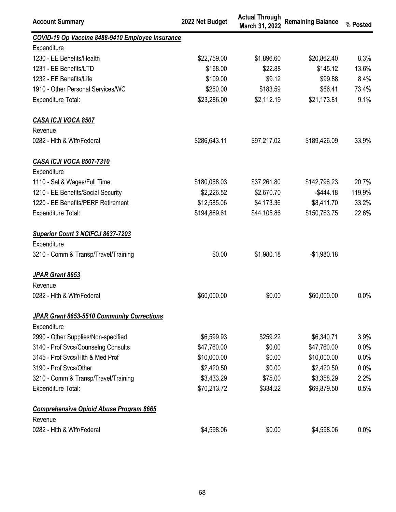| <b>Account Summary</b>                           | 2022 Net Budget | <b>Actual Through</b><br>March 31, 2022 | <b>Remaining Balance</b> | % Posted |
|--------------------------------------------------|-----------------|-----------------------------------------|--------------------------|----------|
| COVID-19 Op Vaccine 8488-9410 Employee Insurance |                 |                                         |                          |          |
| Expenditure                                      |                 |                                         |                          |          |
| 1230 - EE Benefits/Health                        | \$22,759.00     | \$1,896.60                              | \$20,862.40              | 8.3%     |
| 1231 - EE Benefits/LTD                           | \$168.00        | \$22.88                                 | \$145.12                 | 13.6%    |
| 1232 - EE Benefits/Life                          | \$109.00        | \$9.12                                  | \$99.88                  | 8.4%     |
| 1910 - Other Personal Services/WC                | \$250.00        | \$183.59                                | \$66.41                  | 73.4%    |
| Expenditure Total:                               | \$23,286.00     | \$2,112.19                              | \$21,173.81              | 9.1%     |
| <b>CASA ICJI VOCA 8507</b>                       |                 |                                         |                          |          |
| Revenue                                          |                 |                                         |                          |          |
| 0282 - Hith & Wifr/Federal                       | \$286,643.11    | \$97,217.02                             | \$189,426.09             | 33.9%    |
| <b>CASA ICJI VOCA 8507-7310</b>                  |                 |                                         |                          |          |
| Expenditure                                      |                 |                                         |                          |          |
| 1110 - Sal & Wages/Full Time                     | \$180,058.03    | \$37,261.80                             | \$142,796.23             | 20.7%    |
| 1210 - EE Benefits/Social Security               | \$2,226.52      | \$2,670.70                              | $-$444.18$               | 119.9%   |
| 1220 - EE Benefits/PERF Retirement               | \$12,585.06     | \$4,173.36                              | \$8,411.70               | 33.2%    |
| Expenditure Total:                               | \$194,869.61    | \$44,105.86                             | \$150,763.75             | 22.6%    |
| Superior Court 3 NCIFCJ 8637-7203                |                 |                                         |                          |          |
| Expenditure                                      |                 |                                         |                          |          |
| 3210 - Comm & Transp/Travel/Training             | \$0.00          | \$1,980.18                              | $-$1,980.18$             |          |
| JPAR Grant 8653                                  |                 |                                         |                          |          |
| Revenue                                          |                 |                                         |                          |          |
| 0282 - Hith & Wifr/Federal                       | \$60,000.00     | \$0.00                                  | \$60,000.00              | 0.0%     |
| JPAR Grant 8653-5510 Community Corrections       |                 |                                         |                          |          |
| Expenditure                                      |                 |                                         |                          |          |
| 2990 - Other Supplies/Non-specified              | \$6,599.93      | \$259.22                                | \$6,340.71               | 3.9%     |
| 3140 - Prof Svcs/Counselng Consults              | \$47,760.00     | \$0.00                                  | \$47,760.00              | 0.0%     |
| 3145 - Prof Svcs/Hlth & Med Prof                 | \$10,000.00     | \$0.00                                  | \$10,000.00              | 0.0%     |
| 3190 - Prof Svcs/Other                           | \$2,420.50      | \$0.00                                  | \$2,420.50               | 0.0%     |
| 3210 - Comm & Transp/Travel/Training             | \$3,433.29      | \$75.00                                 | \$3,358.29               | 2.2%     |
| Expenditure Total:                               | \$70,213.72     | \$334.22                                | \$69,879.50              | 0.5%     |
| <b>Comprehensive Opioid Abuse Program 8665</b>   |                 |                                         |                          |          |
| Revenue<br>0282 - Hith & Wifr/Federal            | \$4,598.06      | \$0.00                                  | \$4,598.06               | 0.0%     |
|                                                  |                 |                                         |                          |          |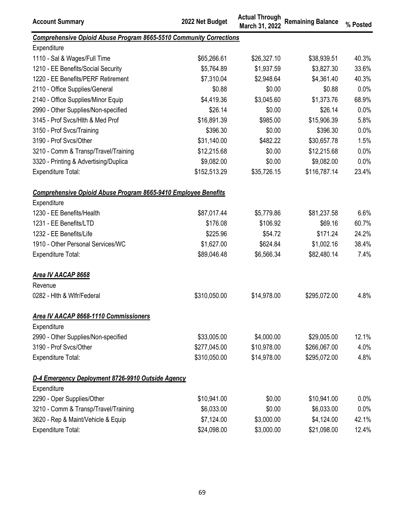| <b>Account Summary</b>                                                               | 2022 Net Budget | <b>Actual Through</b><br>March 31, 2022 | <b>Remaining Balance</b> | % Posted |
|--------------------------------------------------------------------------------------|-----------------|-----------------------------------------|--------------------------|----------|
| <b>Comprehensive Opioid Abuse Program 8665-5510 Community Corrections</b>            |                 |                                         |                          |          |
| Expenditure                                                                          |                 |                                         |                          |          |
| 1110 - Sal & Wages/Full Time                                                         | \$65,266.61     | \$26,327.10                             | \$38,939.51              | 40.3%    |
| 1210 - EE Benefits/Social Security                                                   | \$5,764.89      | \$1,937.59                              | \$3,827.30               | 33.6%    |
| 1220 - EE Benefits/PERF Retirement                                                   | \$7,310.04      | \$2,948.64                              | \$4,361.40               | 40.3%    |
| 2110 - Office Supplies/General                                                       | \$0.88          | \$0.00                                  | \$0.88                   | 0.0%     |
| 2140 - Office Supplies/Minor Equip                                                   | \$4,419.36      | \$3,045.60                              | \$1,373.76               | 68.9%    |
| 2990 - Other Supplies/Non-specified                                                  | \$26.14         | \$0.00                                  | \$26.14                  | 0.0%     |
| 3145 - Prof Svcs/Hlth & Med Prof                                                     | \$16,891.39     | \$985.00                                | \$15,906.39              | 5.8%     |
| 3150 - Prof Svcs/Training                                                            | \$396.30        | \$0.00                                  | \$396.30                 | 0.0%     |
| 3190 - Prof Svcs/Other                                                               | \$31,140.00     | \$482.22                                | \$30,657.78              | 1.5%     |
| 3210 - Comm & Transp/Travel/Training                                                 | \$12,215.68     | \$0.00                                  | \$12,215.68              | 0.0%     |
| 3320 - Printing & Advertising/Duplica                                                | \$9,082.00      | \$0.00                                  | \$9,082.00               | 0.0%     |
| Expenditure Total:                                                                   | \$152,513.29    | \$35,726.15                             | \$116,787.14             | 23.4%    |
| <b>Comprehensive Opioid Abuse Program 8665-9410 Employee Benefits</b><br>Expenditure |                 |                                         |                          |          |
| 1230 - EE Benefits/Health                                                            | \$87,017.44     | \$5,779.86                              | \$81,237.58              | 6.6%     |
| 1231 - EE Benefits/LTD                                                               | \$176.08        | \$106.92                                | \$69.16                  | 60.7%    |
| 1232 - EE Benefits/Life                                                              | \$225.96        | \$54.72                                 | \$171.24                 | 24.2%    |
| 1910 - Other Personal Services/WC                                                    | \$1,627.00      | \$624.84                                | \$1,002.16               | 38.4%    |
| Expenditure Total:                                                                   | \$89,046.48     | \$6,566.34                              | \$82,480.14              | 7.4%     |
| <b>Area IV AACAP 8668</b><br>Revenue                                                 |                 |                                         |                          |          |
| 0282 - Hith & Wifr/Federal                                                           | \$310,050.00    | \$14,978.00                             | \$295,072.00             | 4.8%     |
| <b>Area IV AACAP 8668-1110 Commissioners</b><br>Expenditure                          |                 |                                         |                          |          |
| 2990 - Other Supplies/Non-specified                                                  | \$33,005.00     | \$4,000.00                              | \$29,005.00              | 12.1%    |
| 3190 - Prof Svcs/Other                                                               | \$277,045.00    | \$10,978.00                             | \$266,067.00             | 4.0%     |
| Expenditure Total:                                                                   | \$310,050.00    | \$14,978.00                             | \$295,072.00             | 4.8%     |
| D-4 Emergency Deployment 8726-9910 Outside Agency<br>Expenditure                     |                 |                                         |                          |          |
| 2290 - Oper Supplies/Other                                                           | \$10,941.00     | \$0.00                                  | \$10,941.00              | 0.0%     |
| 3210 - Comm & Transp/Travel/Training                                                 | \$6,033.00      | \$0.00                                  | \$6,033.00               | 0.0%     |
| 3620 - Rep & Maint/Vehicle & Equip                                                   | \$7,124.00      | \$3,000.00                              | \$4,124.00               | 42.1%    |
| Expenditure Total:                                                                   | \$24,098.00     | \$3,000.00                              | \$21,098.00              | 12.4%    |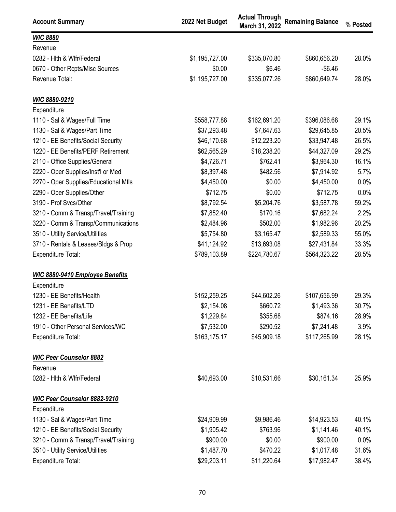| <b>Account Summary</b>                 | 2022 Net Budget | <b>Actual Through</b><br>March 31, 2022 | <b>Remaining Balance</b> | % Posted |
|----------------------------------------|-----------------|-----------------------------------------|--------------------------|----------|
| <b>WIC 8880</b>                        |                 |                                         |                          |          |
| Revenue                                |                 |                                         |                          |          |
| 0282 - Hith & Wifr/Federal             | \$1,195,727.00  | \$335,070.80                            | \$860,656.20             | 28.0%    |
| 0670 - Other Rcpts/Misc Sources        | \$0.00          | \$6.46                                  | $-$6.46$                 |          |
| Revenue Total:                         | \$1,195,727.00  | \$335,077.26                            | \$860,649.74             | 28.0%    |
| WIC 8880-9210                          |                 |                                         |                          |          |
| Expenditure                            |                 |                                         |                          |          |
| 1110 - Sal & Wages/Full Time           | \$558,777.88    | \$162,691.20                            | \$396,086.68             | 29.1%    |
| 1130 - Sal & Wages/Part Time           | \$37,293.48     | \$7,647.63                              | \$29,645.85              | 20.5%    |
| 1210 - EE Benefits/Social Security     | \$46,170.68     | \$12,223.20                             | \$33,947.48              | 26.5%    |
| 1220 - EE Benefits/PERF Retirement     | \$62,565.29     | \$18,238.20                             | \$44,327.09              | 29.2%    |
| 2110 - Office Supplies/General         | \$4,726.71      | \$762.41                                | \$3,964.30               | 16.1%    |
| 2220 - Oper Supplies/Inst'l or Med     | \$8,397.48      | \$482.56                                | \$7,914.92               | 5.7%     |
| 2270 - Oper Supplies/Educational Mtls  | \$4,450.00      | \$0.00                                  | \$4,450.00               | 0.0%     |
| 2290 - Oper Supplies/Other             | \$712.75        | \$0.00                                  | \$712.75                 | 0.0%     |
| 3190 - Prof Svcs/Other                 | \$8,792.54      | \$5,204.76                              | \$3,587.78               | 59.2%    |
| 3210 - Comm & Transp/Travel/Training   | \$7,852.40      | \$170.16                                | \$7,682.24               | 2.2%     |
| 3220 - Comm & Transp/Communications    | \$2,484.96      | \$502.00                                | \$1,982.96               | 20.2%    |
| 3510 - Utility Service/Utilities       | \$5,754.80      | \$3,165.47                              | \$2,589.33               | 55.0%    |
| 3710 - Rentals & Leases/Bldgs & Prop   | \$41,124.92     | \$13,693.08                             | \$27,431.84              | 33.3%    |
| Expenditure Total:                     | \$789,103.89    | \$224,780.67                            | \$564,323.22             | 28.5%    |
| <b>WIC 8880-9410 Employee Benefits</b> |                 |                                         |                          |          |
| Expenditure                            |                 |                                         |                          |          |
| 1230 - EE Benefits/Health              | \$152,259.25    | \$44,602.26                             | \$107,656.99             | 29.3%    |
| 1231 - EE Benefits/LTD                 | \$2,154.08      | \$660.72                                | \$1,493.36               | 30.7%    |
| 1232 - EE Benefits/Life                | \$1,229.84      | \$355.68                                | \$874.16                 | 28.9%    |
| 1910 - Other Personal Services/WC      | \$7,532.00      | \$290.52                                | \$7,241.48               | 3.9%     |
| <b>Expenditure Total:</b>              | \$163,175.17    | \$45,909.18                             | \$117,265.99             | 28.1%    |
| <b>WIC Peer Counselor 8882</b>         |                 |                                         |                          |          |
| Revenue                                |                 |                                         |                          |          |
| 0282 - Hith & Wifr/Federal             | \$40,693.00     | \$10,531.66                             | \$30,161.34              | 25.9%    |
| WIC Peer Counselor 8882-9210           |                 |                                         |                          |          |
| Expenditure                            |                 |                                         |                          |          |
| 1130 - Sal & Wages/Part Time           | \$24,909.99     | \$9,986.46                              | \$14,923.53              | 40.1%    |
| 1210 - EE Benefits/Social Security     | \$1,905.42      | \$763.96                                | \$1,141.46               | 40.1%    |
| 3210 - Comm & Transp/Travel/Training   | \$900.00        | \$0.00                                  | \$900.00                 | $0.0\%$  |
| 3510 - Utility Service/Utilities       | \$1,487.70      | \$470.22                                | \$1,017.48               | 31.6%    |
| Expenditure Total:                     | \$29,203.11     | \$11,220.64                             | \$17,982.47              | 38.4%    |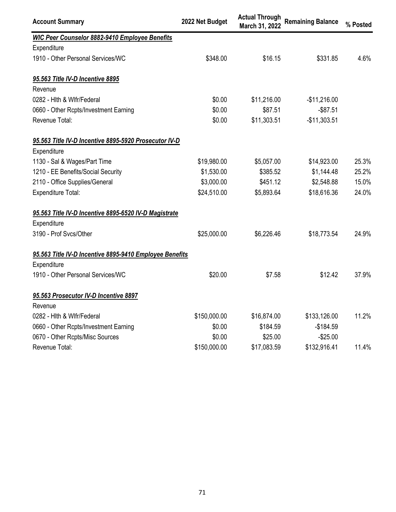| <b>Account Summary</b>                                  | 2022 Net Budget | <b>Actual Through</b><br>March 31, 2022 | <b>Remaining Balance</b> | % Posted |
|---------------------------------------------------------|-----------------|-----------------------------------------|--------------------------|----------|
| <b>WIC Peer Counselor 8882-9410 Employee Benefits</b>   |                 |                                         |                          |          |
| Expenditure                                             |                 |                                         |                          |          |
| 1910 - Other Personal Services/WC                       | \$348.00        | \$16.15                                 | \$331.85                 | 4.6%     |
| 95.563 Title IV-D Incentive 8895                        |                 |                                         |                          |          |
| Revenue                                                 |                 |                                         |                          |          |
| 0282 - Hith & Wifr/Federal                              | \$0.00          | \$11,216.00                             | $-$11,216.00$            |          |
| 0660 - Other Rcpts/Investment Earning                   | \$0.00          | \$87.51                                 | $-$ \$87.51              |          |
| Revenue Total:                                          | \$0.00          | \$11,303.51                             | $-$11,303.51$            |          |
| 95.563 Title IV-D Incentive 8895-5920 Prosecutor IV-D   |                 |                                         |                          |          |
| Expenditure                                             |                 |                                         |                          |          |
| 1130 - Sal & Wages/Part Time                            | \$19,980.00     | \$5,057.00                              | \$14,923.00              | 25.3%    |
| 1210 - EE Benefits/Social Security                      | \$1,530.00      | \$385.52                                | \$1,144.48               | 25.2%    |
| 2110 - Office Supplies/General                          | \$3,000.00      | \$451.12                                | \$2,548.88               | 15.0%    |
| <b>Expenditure Total:</b>                               | \$24,510.00     | \$5,893.64                              | \$18,616.36              | 24.0%    |
| 95.563 Title IV-D Incentive 8895-6520 IV-D Magistrate   |                 |                                         |                          |          |
| Expenditure                                             |                 |                                         |                          |          |
| 3190 - Prof Svcs/Other                                  | \$25,000.00     | \$6,226.46                              | \$18,773.54              | 24.9%    |
| 95.563 Title IV-D Incentive 8895-9410 Employee Benefits |                 |                                         |                          |          |
| Expenditure                                             |                 |                                         |                          |          |
| 1910 - Other Personal Services/WC                       | \$20.00         | \$7.58                                  | \$12.42                  | 37.9%    |
| 95.563 Prosecutor IV-D Incentive 8897                   |                 |                                         |                          |          |
| Revenue                                                 |                 |                                         |                          |          |
| 0282 - Hith & Wifr/Federal                              | \$150,000.00    | \$16,874.00                             | \$133,126.00             | 11.2%    |
| 0660 - Other Rcpts/Investment Earning                   | \$0.00          | \$184.59                                | $-$184.59$               |          |
| 0670 - Other Rcpts/Misc Sources                         | \$0.00          | \$25.00                                 | $-$25.00$                |          |
| Revenue Total:                                          | \$150,000.00    | \$17,083.59                             | \$132,916.41             | 11.4%    |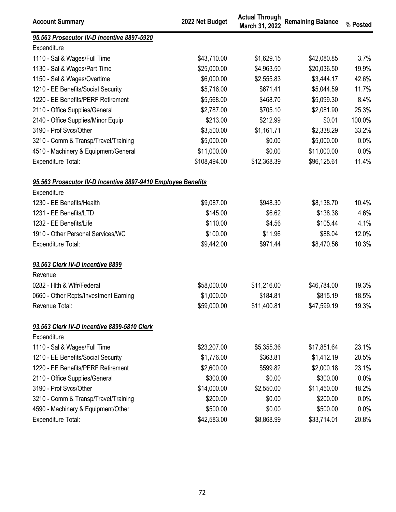| <b>Account Summary</b>                                       | 2022 Net Budget | <b>Actual Through</b><br>March 31, 2022 | <b>Remaining Balance</b> | % Posted |
|--------------------------------------------------------------|-----------------|-----------------------------------------|--------------------------|----------|
| 95.563 Prosecutor IV-D Incentive 8897-5920                   |                 |                                         |                          |          |
| Expenditure                                                  |                 |                                         |                          |          |
| 1110 - Sal & Wages/Full Time                                 | \$43,710.00     | \$1,629.15                              | \$42,080.85              | 3.7%     |
| 1130 - Sal & Wages/Part Time                                 | \$25,000.00     | \$4,963.50                              | \$20,036.50              | 19.9%    |
| 1150 - Sal & Wages/Overtime                                  | \$6,000.00      | \$2,555.83                              | \$3,444.17               | 42.6%    |
| 1210 - EE Benefits/Social Security                           | \$5,716.00      | \$671.41                                | \$5,044.59               | 11.7%    |
| 1220 - EE Benefits/PERF Retirement                           | \$5,568.00      | \$468.70                                | \$5,099.30               | 8.4%     |
| 2110 - Office Supplies/General                               | \$2,787.00      | \$705.10                                | \$2,081.90               | 25.3%    |
| 2140 - Office Supplies/Minor Equip                           | \$213.00        | \$212.99                                | \$0.01                   | 100.0%   |
| 3190 - Prof Svcs/Other                                       | \$3,500.00      | \$1,161.71                              | \$2,338.29               | 33.2%    |
| 3210 - Comm & Transp/Travel/Training                         | \$5,000.00      | \$0.00                                  | \$5,000.00               | 0.0%     |
| 4510 - Machinery & Equipment/General                         | \$11,000.00     | \$0.00                                  | \$11,000.00              | 0.0%     |
| Expenditure Total:                                           | \$108,494.00    | \$12,368.39                             | \$96,125.61              | 11.4%    |
| 95.563 Prosecutor IV-D Incentive 8897-9410 Employee Benefits |                 |                                         |                          |          |
| Expenditure                                                  |                 |                                         |                          |          |
| 1230 - EE Benefits/Health                                    | \$9,087.00      | \$948.30                                | \$8,138.70               | 10.4%    |
| 1231 - EE Benefits/LTD                                       | \$145.00        | \$6.62                                  | \$138.38                 | 4.6%     |
| 1232 - EE Benefits/Life                                      | \$110.00        | \$4.56                                  | \$105.44                 | 4.1%     |
| 1910 - Other Personal Services/WC                            | \$100.00        | \$11.96                                 | \$88.04                  | 12.0%    |
| Expenditure Total:                                           | \$9,442.00      | \$971.44                                | \$8,470.56               | 10.3%    |
| 93.563 Clerk IV-D Incentive 8899                             |                 |                                         |                          |          |
| Revenue                                                      |                 |                                         |                          |          |
| 0282 - Hith & Wifr/Federal                                   | \$58,000.00     | \$11,216.00                             | \$46,784.00              | 19.3%    |
| 0660 - Other Rcpts/Investment Earning                        | \$1,000.00      | \$184.81                                | \$815.19                 | 18.5%    |
| Revenue Total:                                               | \$59,000.00     | \$11,400.81                             | \$47,599.19              | 19.3%    |
| 93.563 Clerk IV-D Incentive 8899-5810 Clerk                  |                 |                                         |                          |          |
| Expenditure                                                  |                 |                                         |                          |          |
| 1110 - Sal & Wages/Full Time                                 | \$23,207.00     | \$5,355.36                              | \$17,851.64              | 23.1%    |
| 1210 - EE Benefits/Social Security                           | \$1,776.00      | \$363.81                                | \$1,412.19               | 20.5%    |
| 1220 - EE Benefits/PERF Retirement                           | \$2,600.00      | \$599.82                                | \$2,000.18               | 23.1%    |
| 2110 - Office Supplies/General                               | \$300.00        | \$0.00                                  | \$300.00                 | 0.0%     |
| 3190 - Prof Svcs/Other                                       | \$14,000.00     | \$2,550.00                              | \$11,450.00              | 18.2%    |
| 3210 - Comm & Transp/Travel/Training                         | \$200.00        | \$0.00                                  | \$200.00                 | 0.0%     |
| 4590 - Machinery & Equipment/Other                           | \$500.00        | \$0.00                                  | \$500.00                 | 0.0%     |
| Expenditure Total:                                           | \$42,583.00     | \$8,868.99                              | \$33,714.01              | 20.8%    |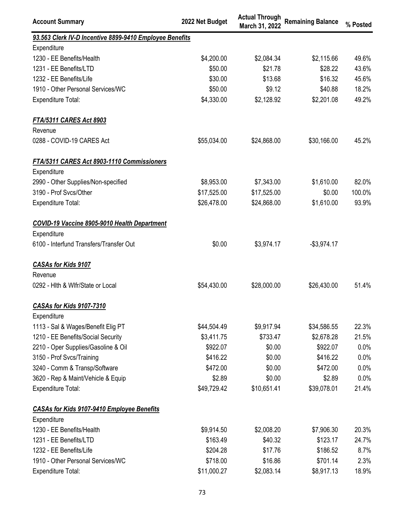| <b>Account Summary</b>                                  | 2022 Net Budget | <b>Actual Through</b><br>March 31, 2022 | <b>Remaining Balance</b> | % Posted |
|---------------------------------------------------------|-----------------|-----------------------------------------|--------------------------|----------|
| 93.563 Clerk IV-D Incentive 8899-9410 Employee Benefits |                 |                                         |                          |          |
| Expenditure                                             |                 |                                         |                          |          |
| 1230 - EE Benefits/Health                               | \$4,200.00      | \$2,084.34                              | \$2,115.66               | 49.6%    |
| 1231 - EE Benefits/LTD                                  | \$50.00         | \$21.78                                 | \$28.22                  | 43.6%    |
| 1232 - EE Benefits/Life                                 | \$30.00         | \$13.68                                 | \$16.32                  | 45.6%    |
| 1910 - Other Personal Services/WC                       | \$50.00         | \$9.12                                  | \$40.88                  | 18.2%    |
| <b>Expenditure Total:</b>                               | \$4,330.00      | \$2,128.92                              | \$2,201.08               | 49.2%    |
| <b>FTA/5311 CARES Act 8903</b>                          |                 |                                         |                          |          |
| Revenue                                                 |                 |                                         |                          |          |
| 0288 - COVID-19 CARES Act                               | \$55,034.00     | \$24,868.00                             | \$30,166.00              | 45.2%    |
| FTA/5311 CARES Act 8903-1110 Commissioners              |                 |                                         |                          |          |
| Expenditure                                             |                 |                                         |                          |          |
| 2990 - Other Supplies/Non-specified                     | \$8,953.00      | \$7,343.00                              | \$1,610.00               | 82.0%    |
| 3190 - Prof Svcs/Other                                  | \$17,525.00     | \$17,525.00                             | \$0.00                   | 100.0%   |
| <b>Expenditure Total:</b>                               | \$26,478.00     | \$24,868.00                             | \$1,610.00               | 93.9%    |
| COVID-19 Vaccine 8905-9010 Health Department            |                 |                                         |                          |          |
| Expenditure                                             |                 |                                         |                          |          |
| 6100 - Interfund Transfers/Transfer Out                 | \$0.00          | \$3,974.17                              | $-$3,974.17$             |          |
| <b>CASAs for Kids 9107</b>                              |                 |                                         |                          |          |
| Revenue                                                 |                 |                                         |                          |          |
| 0292 - Hith & Wifr/State or Local                       | \$54,430.00     | \$28,000.00                             | \$26,430.00              | 51.4%    |
| <b>CASAs for Kids 9107-7310</b>                         |                 |                                         |                          |          |
| Expenditure                                             |                 |                                         |                          |          |
| 1113 - Sal & Wages/Benefit Elig PT                      | \$44,504.49     | \$9,917.94                              | \$34,586.55              | 22.3%    |
| 1210 - EE Benefits/Social Security                      | \$3,411.75      | \$733.47                                | \$2,678.28               | 21.5%    |
| 2210 - Oper Supplies/Gasoline & Oil                     | \$922.07        | \$0.00                                  | \$922.07                 | 0.0%     |
| 3150 - Prof Svcs/Training                               | \$416.22        | \$0.00                                  | \$416.22                 | 0.0%     |
| 3240 - Comm & Transp/Software                           | \$472.00        | \$0.00                                  | \$472.00                 | 0.0%     |
| 3620 - Rep & Maint/Vehicle & Equip                      | \$2.89          | \$0.00                                  | \$2.89                   | 0.0%     |
| Expenditure Total:                                      | \$49,729.42     | \$10,651.41                             | \$39,078.01              | 21.4%    |
| <b>CASAs for Kids 9107-9410 Employee Benefits</b>       |                 |                                         |                          |          |
| Expenditure                                             |                 |                                         |                          |          |
| 1230 - EE Benefits/Health                               | \$9,914.50      | \$2,008.20                              | \$7,906.30               | 20.3%    |
| 1231 - EE Benefits/LTD                                  | \$163.49        | \$40.32                                 | \$123.17                 | 24.7%    |
| 1232 - EE Benefits/Life                                 | \$204.28        | \$17.76                                 | \$186.52                 | 8.7%     |
| 1910 - Other Personal Services/WC                       | \$718.00        | \$16.86                                 | \$701.14                 | 2.3%     |
| Expenditure Total:                                      | \$11,000.27     | \$2,083.14                              | \$8,917.13               | 18.9%    |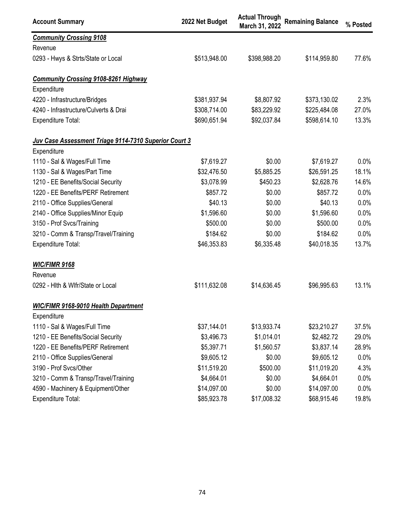| <b>Account Summary</b>                                | 2022 Net Budget | <b>Actual Through</b><br>March 31, 2022 | <b>Remaining Balance</b> | % Posted |
|-------------------------------------------------------|-----------------|-----------------------------------------|--------------------------|----------|
| <b>Community Crossing 9108</b>                        |                 |                                         |                          |          |
| Revenue                                               |                 |                                         |                          |          |
| 0293 - Hwys & Strts/State or Local                    | \$513,948.00    | \$398,988.20                            | \$114,959.80             | 77.6%    |
| <b>Community Crossing 9108-8261 Highway</b>           |                 |                                         |                          |          |
| Expenditure                                           |                 |                                         |                          |          |
| 4220 - Infrastructure/Bridges                         | \$381,937.94    | \$8,807.92                              | \$373,130.02             | 2.3%     |
| 4240 - Infrastructure/Culverts & Drai                 | \$308,714.00    | \$83,229.92                             | \$225,484.08             | 27.0%    |
| <b>Expenditure Total:</b>                             | \$690,651.94    | \$92,037.84                             | \$598,614.10             | 13.3%    |
| Juv Case Assessment Triage 9114-7310 Superior Court 3 |                 |                                         |                          |          |
| Expenditure                                           |                 |                                         |                          |          |
| 1110 - Sal & Wages/Full Time                          | \$7,619.27      | \$0.00                                  | \$7,619.27               | $0.0\%$  |
| 1130 - Sal & Wages/Part Time                          | \$32,476.50     | \$5,885.25                              | \$26,591.25              | 18.1%    |
| 1210 - EE Benefits/Social Security                    | \$3,078.99      | \$450.23                                | \$2,628.76               | 14.6%    |
| 1220 - EE Benefits/PERF Retirement                    | \$857.72        | \$0.00                                  | \$857.72                 | 0.0%     |
| 2110 - Office Supplies/General                        | \$40.13         | \$0.00                                  | \$40.13                  | 0.0%     |
| 2140 - Office Supplies/Minor Equip                    | \$1,596.60      | \$0.00                                  | \$1,596.60               | 0.0%     |
| 3150 - Prof Svcs/Training                             | \$500.00        | \$0.00                                  | \$500.00                 | 0.0%     |
| 3210 - Comm & Transp/Travel/Training                  | \$184.62        | \$0.00                                  | \$184.62                 | 0.0%     |
| <b>Expenditure Total:</b>                             | \$46,353.83     | \$6,335.48                              | \$40,018.35              | 13.7%    |
| <b>WIC/FIMR 9168</b>                                  |                 |                                         |                          |          |
| Revenue<br>0292 - Hith & Wifr/State or Local          | \$111,632.08    | \$14,636.45                             | \$96,995.63              | 13.1%    |
| <b>WIC/FIMR 9168-9010 Health Department</b>           |                 |                                         |                          |          |
| Expenditure                                           |                 |                                         |                          |          |
| 1110 - Sal & Wages/Full Time                          | \$37,144.01     | \$13,933.74                             | \$23,210.27              | 37.5%    |
| 1210 - EE Benefits/Social Security                    | \$3,496.73      | \$1,014.01                              | \$2,482.72               | 29.0%    |
| 1220 - EE Benefits/PERF Retirement                    | \$5,397.71      | \$1,560.57                              | \$3,837.14               | 28.9%    |
| 2110 - Office Supplies/General                        | \$9,605.12      | \$0.00                                  | \$9,605.12               | 0.0%     |
| 3190 - Prof Svcs/Other                                | \$11,519.20     | \$500.00                                | \$11,019.20              | 4.3%     |
| 3210 - Comm & Transp/Travel/Training                  | \$4,664.01      | \$0.00                                  | \$4,664.01               | 0.0%     |
| 4590 - Machinery & Equipment/Other                    | \$14,097.00     | \$0.00                                  | \$14,097.00              | 0.0%     |
| <b>Expenditure Total:</b>                             | \$85,923.78     | \$17,008.32                             | \$68,915.46              | 19.8%    |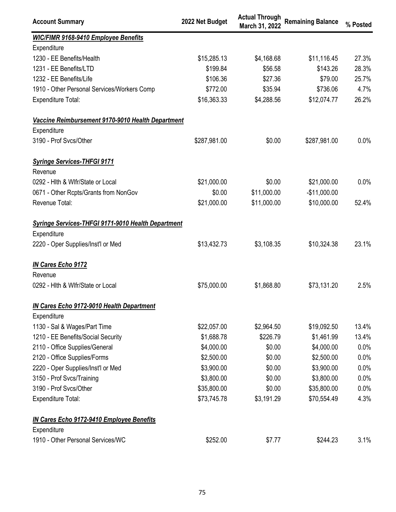| <b>Account Summary</b>                                    | 2022 Net Budget | <b>Actual Through</b><br>March 31, 2022 | <b>Remaining Balance</b> | % Posted |
|-----------------------------------------------------------|-----------------|-----------------------------------------|--------------------------|----------|
| WIC/FIMR 9168-9410 Employee Benefits                      |                 |                                         |                          |          |
| Expenditure                                               |                 |                                         |                          |          |
| 1230 - EE Benefits/Health                                 | \$15,285.13     | \$4,168.68                              | \$11,116.45              | 27.3%    |
| 1231 - EE Benefits/LTD                                    | \$199.84        | \$56.58                                 | \$143.26                 | 28.3%    |
| 1232 - EE Benefits/Life                                   | \$106.36        | \$27.36                                 | \$79.00                  | 25.7%    |
| 1910 - Other Personal Services/Workers Comp               | \$772.00        | \$35.94                                 | \$736.06                 | 4.7%     |
| Expenditure Total:                                        | \$16,363.33     | \$4,288.56                              | \$12,074.77              | 26.2%    |
| Vaccine Reimbursement 9170-9010 Health Department         |                 |                                         |                          |          |
| Expenditure                                               |                 |                                         |                          |          |
| 3190 - Prof Svcs/Other                                    | \$287,981.00    | \$0.00                                  | \$287,981.00             | 0.0%     |
| <b>Syringe Services-THFGI 9171</b>                        |                 |                                         |                          |          |
| Revenue                                                   |                 |                                         |                          |          |
| 0292 - Hith & Wifr/State or Local                         | \$21,000.00     | \$0.00                                  | \$21,000.00              | 0.0%     |
| 0671 - Other Rcpts/Grants from NonGov                     | \$0.00          | \$11,000.00                             | $-$11,000.00$            |          |
| Revenue Total:                                            | \$21,000.00     | \$11,000.00                             | \$10,000.00              | 52.4%    |
| <b>Syringe Services-THFGI 9171-9010 Health Department</b> |                 |                                         |                          |          |
| Expenditure                                               |                 |                                         |                          |          |
| 2220 - Oper Supplies/Inst'l or Med                        | \$13,432.73     | \$3,108.35                              | \$10,324.38              | 23.1%    |
| <b>IN Cares Echo 9172</b>                                 |                 |                                         |                          |          |
| Revenue                                                   |                 |                                         |                          |          |
| 0292 - Hith & Wifr/State or Local                         | \$75,000.00     | \$1,868.80                              | \$73,131.20              | 2.5%     |
| <b>IN Cares Echo 9172-9010 Health Department</b>          |                 |                                         |                          |          |
| Expenditure                                               |                 |                                         |                          |          |
| 1130 - Sal & Wages/Part Time                              | \$22,057.00     | \$2,964.50                              | \$19,092.50              | 13.4%    |
| 1210 - EE Benefits/Social Security                        | \$1,688.78      | \$226.79                                | \$1,461.99               | 13.4%    |
| 2110 - Office Supplies/General                            | \$4,000.00      | \$0.00                                  | \$4,000.00               | 0.0%     |
| 2120 - Office Supplies/Forms                              | \$2,500.00      | \$0.00                                  | \$2,500.00               | 0.0%     |
| 2220 - Oper Supplies/Inst'l or Med                        | \$3,900.00      | \$0.00                                  | \$3,900.00               | 0.0%     |
| 3150 - Prof Svcs/Training                                 | \$3,800.00      | \$0.00                                  | \$3,800.00               | 0.0%     |
| 3190 - Prof Svcs/Other                                    | \$35,800.00     | \$0.00                                  | \$35,800.00              | 0.0%     |
| Expenditure Total:                                        | \$73,745.78     | \$3,191.29                              | \$70,554.49              | 4.3%     |
| <b>IN Cares Echo 9172-9410 Employee Benefits</b>          |                 |                                         |                          |          |
| Expenditure                                               |                 |                                         |                          |          |
| 1910 - Other Personal Services/WC                         | \$252.00        | \$7.77                                  | \$244.23                 | 3.1%     |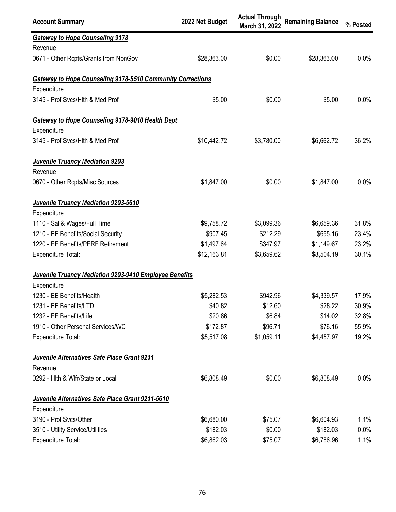| <b>Account Summary</b>                                            | 2022 Net Budget | <b>Actual Through</b><br>March 31, 2022 | <b>Remaining Balance</b> | % Posted |
|-------------------------------------------------------------------|-----------------|-----------------------------------------|--------------------------|----------|
| <b>Gateway to Hope Counseling 9178</b>                            |                 |                                         |                          |          |
| Revenue                                                           |                 |                                         |                          |          |
| 0671 - Other Rcpts/Grants from NonGov                             | \$28,363.00     | \$0.00                                  | \$28,363.00              | 0.0%     |
| <b>Gateway to Hope Counseling 9178-5510 Community Corrections</b> |                 |                                         |                          |          |
| Expenditure                                                       |                 |                                         |                          |          |
| 3145 - Prof Svcs/Hlth & Med Prof                                  | \$5.00          | \$0.00                                  | \$5.00                   | 0.0%     |
| Gateway to Hope Counseling 9178-9010 Health Dept                  |                 |                                         |                          |          |
| Expenditure                                                       |                 |                                         |                          |          |
| 3145 - Prof Svcs/Hlth & Med Prof                                  | \$10,442.72     | \$3,780.00                              | \$6,662.72               | 36.2%    |
| <b>Juvenile Truancy Mediation 9203</b>                            |                 |                                         |                          |          |
| Revenue                                                           |                 |                                         |                          |          |
| 0670 - Other Rcpts/Misc Sources                                   | \$1,847.00      | \$0.00                                  | \$1,847.00               | 0.0%     |
| Juvenile Truancy Mediation 9203-5610                              |                 |                                         |                          |          |
| Expenditure                                                       |                 |                                         |                          |          |
| 1110 - Sal & Wages/Full Time                                      | \$9,758.72      | \$3,099.36                              | \$6,659.36               | 31.8%    |
| 1210 - EE Benefits/Social Security                                | \$907.45        | \$212.29                                | \$695.16                 | 23.4%    |
| 1220 - EE Benefits/PERF Retirement                                | \$1,497.64      | \$347.97                                | \$1,149.67               | 23.2%    |
| <b>Expenditure Total:</b>                                         | \$12,163.81     | \$3,659.62                              | \$8,504.19               | 30.1%    |
| <b>Juvenile Truancy Mediation 9203-9410 Employee Benefits</b>     |                 |                                         |                          |          |
| Expenditure                                                       |                 |                                         |                          |          |
| 1230 - EE Benefits/Health                                         | \$5,282.53      | \$942.96                                | \$4,339.57               | 17.9%    |
| 1231 - EE Benefits/LTD                                            | \$40.82         | \$12.60                                 | \$28.22                  | 30.9%    |
| 1232 - EE Benefits/Life                                           | \$20.86         | \$6.84                                  | \$14.02                  | 32.8%    |
| 1910 - Other Personal Services/WC                                 | \$172.87        | \$96.71                                 | \$76.16                  | 55.9%    |
| <b>Expenditure Total:</b>                                         | \$5,517.08      | \$1,059.11                              | \$4,457.97               | 19.2%    |
| Juvenile Alternatives Safe Place Grant 9211                       |                 |                                         |                          |          |
| Revenue                                                           |                 |                                         |                          |          |
| 0292 - Hith & Wifr/State or Local                                 | \$6,808.49      | \$0.00                                  | \$6,808.49               | $0.0\%$  |
| Juvenile Alternatives Safe Place Grant 9211-5610                  |                 |                                         |                          |          |
| Expenditure                                                       |                 |                                         |                          |          |
| 3190 - Prof Svcs/Other                                            | \$6,680.00      | \$75.07                                 | \$6,604.93               | 1.1%     |
| 3510 - Utility Service/Utilities                                  | \$182.03        | \$0.00                                  | \$182.03                 | $0.0\%$  |
| Expenditure Total:                                                | \$6,862.03      | \$75.07                                 | \$6,786.96               | 1.1%     |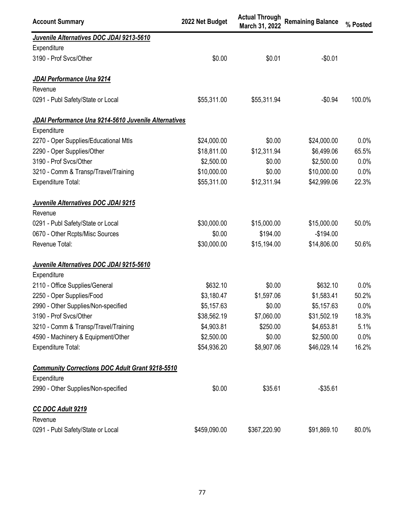| <b>Account Summary</b>                                 | 2022 Net Budget | <b>Actual Through</b><br>March 31, 2022 | <b>Remaining Balance</b> | % Posted |
|--------------------------------------------------------|-----------------|-----------------------------------------|--------------------------|----------|
| Juvenile Alternatives DOC JDAI 9213-5610               |                 |                                         |                          |          |
| Expenditure                                            |                 |                                         |                          |          |
| 3190 - Prof Svcs/Other                                 | \$0.00          | \$0.01                                  | $-$0.01$                 |          |
| JDAI Performance Una 9214                              |                 |                                         |                          |          |
| Revenue                                                |                 |                                         |                          |          |
| 0291 - Publ Safety/State or Local                      | \$55,311.00     | \$55,311.94                             | $-$0.94$                 | 100.0%   |
| JDAI Performance Una 9214-5610 Juvenile Alternatives   |                 |                                         |                          |          |
| Expenditure                                            |                 |                                         |                          |          |
| 2270 - Oper Supplies/Educational Mtls                  | \$24,000.00     | \$0.00                                  | \$24,000.00              | $0.0\%$  |
| 2290 - Oper Supplies/Other                             | \$18,811.00     | \$12,311.94                             | \$6,499.06               | 65.5%    |
| 3190 - Prof Svcs/Other                                 | \$2,500.00      | \$0.00                                  | \$2,500.00               | 0.0%     |
| 3210 - Comm & Transp/Travel/Training                   | \$10,000.00     | \$0.00                                  | \$10,000.00              | 0.0%     |
| <b>Expenditure Total:</b>                              | \$55,311.00     | \$12,311.94                             | \$42,999.06              | 22.3%    |
| Juvenile Alternatives DOC JDAI 9215                    |                 |                                         |                          |          |
| Revenue                                                |                 |                                         |                          |          |
| 0291 - Publ Safety/State or Local                      | \$30,000.00     | \$15,000.00                             | \$15,000.00              | 50.0%    |
| 0670 - Other Rcpts/Misc Sources                        | \$0.00          | \$194.00                                | $-$194.00$               |          |
| Revenue Total:                                         | \$30,000.00     | \$15,194.00                             | \$14,806.00              | 50.6%    |
| Juvenile Alternatives DOC JDAI 9215-5610               |                 |                                         |                          |          |
| Expenditure                                            |                 |                                         |                          |          |
| 2110 - Office Supplies/General                         | \$632.10        | \$0.00                                  | \$632.10                 | $0.0\%$  |
| 2250 - Oper Supplies/Food                              | \$3,180.47      | \$1,597.06                              | \$1,583.41               | 50.2%    |
| 2990 - Other Supplies/Non-specified                    | \$5,157.63      | \$0.00                                  | \$5,157.63               | 0.0%     |
| 3190 - Prof Svcs/Other                                 | \$38,562.19     | \$7,060.00                              | \$31,502.19              | 18.3%    |
| 3210 - Comm & Transp/Travel/Training                   | \$4,903.81      | \$250.00                                | \$4,653.81               | 5.1%     |
| 4590 - Machinery & Equipment/Other                     | \$2,500.00      | \$0.00                                  | \$2,500.00               | $0.0\%$  |
| <b>Expenditure Total:</b>                              | \$54,936.20     | \$8,907.06                              | \$46,029.14              | 16.2%    |
| <b>Community Corrections DOC Adult Grant 9218-5510</b> |                 |                                         |                          |          |
| Expenditure                                            |                 |                                         |                          |          |
| 2990 - Other Supplies/Non-specified                    | \$0.00          | \$35.61                                 | $-$35.61$                |          |
| CC DOC Adult 9219                                      |                 |                                         |                          |          |
| Revenue                                                |                 |                                         |                          |          |
| 0291 - Publ Safety/State or Local                      | \$459,090.00    | \$367,220.90                            | \$91,869.10              | 80.0%    |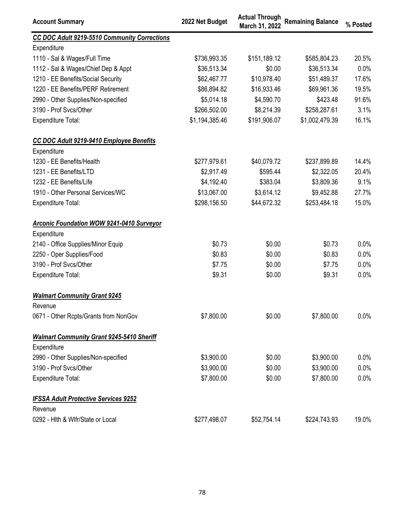| <b>Account Summary</b>                           | 2022 Net Budget | <b>Actual Through</b><br>March 31, 2022 | <b>Remaining Balance</b> | % Posted |
|--------------------------------------------------|-----------------|-----------------------------------------|--------------------------|----------|
| CC DOC Adult 9219-5510 Community Corrections     |                 |                                         |                          |          |
| Expenditure                                      |                 |                                         |                          |          |
| 1110 - Sal & Wages/Full Time                     | \$736,993.35    | \$151,189.12                            | \$585,804.23             | 20.5%    |
| 1112 - Sal & Wages/Chief Dep & Appt              | \$36,513.34     | \$0.00                                  | \$36,513.34              | 0.0%     |
| 1210 - EE Benefits/Social Security               | \$62,467.77     | \$10,978.40                             | \$51,489.37              | 17.6%    |
| 1220 - EE Benefits/PERF Retirement               | \$86,894.82     | \$16,933.46                             | \$69,961.36              | 19.5%    |
| 2990 - Other Supplies/Non-specified              | \$5,014.18      | \$4,590.70                              | \$423.48                 | 91.6%    |
| 3190 - Prof Svcs/Other                           | \$266,502.00    | \$8,214.39                              | \$258,287.61             | 3.1%     |
| Expenditure Total:                               | \$1,194,385.46  | \$191,906.07                            | \$1,002,479.39           | 16.1%    |
| CC DOC Adult 9219-9410 Employee Benefits         |                 |                                         |                          |          |
| Expenditure                                      |                 |                                         |                          |          |
| 1230 - EE Benefits/Health                        | \$277,979.61    | \$40,079.72                             | \$237,899.89             | 14.4%    |
| 1231 - EE Benefits/LTD                           | \$2,917.49      | \$595.44                                | \$2,322.05               | 20.4%    |
| 1232 - EE Benefits/Life                          | \$4,192.40      | \$383.04                                | \$3,809.36               | 9.1%     |
| 1910 - Other Personal Services/WC                | \$13,067.00     | \$3,614.12                              | \$9,452.88               | 27.7%    |
| Expenditure Total:                               | \$298,156.50    | \$44,672.32                             | \$253,484.18             | 15.0%    |
| <b>Arconic Foundation WOW 9241-0410 Surveyor</b> |                 |                                         |                          |          |
| Expenditure                                      |                 |                                         |                          |          |
| 2140 - Office Supplies/Minor Equip               | \$0.73          | \$0.00                                  | \$0.73                   | 0.0%     |
| 2250 - Oper Supplies/Food                        | \$0.83          | \$0.00                                  | \$0.83                   | 0.0%     |
| 3190 - Prof Svcs/Other                           | \$7.75          | \$0.00                                  | \$7.75                   | 0.0%     |
| Expenditure Total:                               | \$9.31          | \$0.00                                  | \$9.31                   | 0.0%     |
| <b>Walmart Community Grant 9245</b>              |                 |                                         |                          |          |
| Revenue<br>0671 - Other Rcpts/Grants from NonGov | \$7,800.00      | \$0.00                                  | \$7,800.00               | 0.0%     |
|                                                  |                 |                                         |                          |          |
| <b>Walmart Community Grant 9245-5410 Sheriff</b> |                 |                                         |                          |          |
| Expenditure                                      |                 |                                         |                          |          |
| 2990 - Other Supplies/Non-specified              | \$3,900.00      | \$0.00                                  | \$3,900.00               | 0.0%     |
| 3190 - Prof Svcs/Other                           | \$3,900.00      | \$0.00                                  | \$3,900.00               | 0.0%     |
| Expenditure Total:                               | \$7,800.00      | \$0.00                                  | \$7,800.00               | 0.0%     |
| <b>IFSSA Adult Protective Services 9252</b>      |                 |                                         |                          |          |
| Revenue                                          |                 |                                         |                          |          |
| 0292 - Hith & Wifr/State or Local                | \$277,498.07    | \$52,754.14                             | \$224,743.93             | 19.0%    |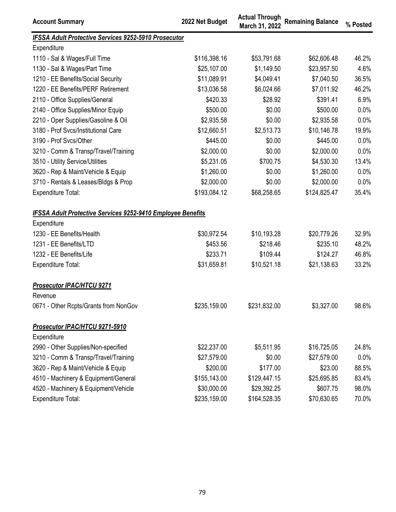| <b>Account Summary</b>                                             | 2022 Net Budget | <b>Actual Through</b><br>March 31, 2022 | <b>Remaining Balance</b> | % Posted |
|--------------------------------------------------------------------|-----------------|-----------------------------------------|--------------------------|----------|
| <b>IFSSA Adult Protective Services 9252-5910 Prosecutor</b>        |                 |                                         |                          |          |
| Expenditure                                                        |                 |                                         |                          |          |
| 1110 - Sal & Wages/Full Time                                       | \$116,398.16    | \$53,791.68                             | \$62,606.48              | 46.2%    |
| 1130 - Sal & Wages/Part Time                                       | \$25,107.00     | \$1,149.50                              | \$23,957.50              | 4.6%     |
| 1210 - EE Benefits/Social Security                                 | \$11,089.91     | \$4,049.41                              | \$7,040.50               | 36.5%    |
| 1220 - EE Benefits/PERF Retirement                                 | \$13,036.58     | \$6,024.66                              | \$7,011.92               | 46.2%    |
| 2110 - Office Supplies/General                                     | \$420.33        | \$28.92                                 | \$391.41                 | 6.9%     |
| 2140 - Office Supplies/Minor Equip                                 | \$500.00        | \$0.00                                  | \$500.00                 | 0.0%     |
| 2210 - Oper Supplies/Gasoline & Oil                                | \$2,935.58      | \$0.00                                  | \$2,935.58               | 0.0%     |
| 3180 - Prof Svcs/Institutional Care                                | \$12,660.51     | \$2,513.73                              | \$10,146.78              | 19.9%    |
| 3190 - Prof Svcs/Other                                             | \$445.00        | \$0.00                                  | \$445.00                 | 0.0%     |
| 3210 - Comm & Transp/Travel/Training                               | \$2,000.00      | \$0.00                                  | \$2,000.00               | 0.0%     |
| 3510 - Utility Service/Utilities                                   | \$5,231.05      | \$700.75                                | \$4,530.30               | 13.4%    |
| 3620 - Rep & Maint/Vehicle & Equip                                 | \$1,260.00      | \$0.00                                  | \$1,260.00               | 0.0%     |
| 3710 - Rentals & Leases/Bldgs & Prop                               | \$2,000.00      | \$0.00                                  | \$2,000.00               | 0.0%     |
| Expenditure Total:                                                 | \$193,084.12    | \$68,258.65                             | \$124,825.47             | 35.4%    |
| <b>IFSSA Adult Protective Services 9252-9410 Employee Benefits</b> |                 |                                         |                          |          |
| Expenditure                                                        |                 |                                         |                          |          |
| 1230 - EE Benefits/Health                                          | \$30,972.54     | \$10,193.28                             | \$20,779.26              | 32.9%    |
| 1231 - EE Benefits/LTD                                             | \$453.56        | \$218.46                                | \$235.10                 | 48.2%    |
| 1232 - EE Benefits/Life                                            | \$233.71        | \$109.44                                | \$124.27                 | 46.8%    |
| Expenditure Total:                                                 | \$31,659.81     | \$10,521.18                             | \$21,138.63              | 33.2%    |
| <b>Prosecutor IPAC/HTCU 9271</b>                                   |                 |                                         |                          |          |
| Revenue                                                            |                 |                                         |                          |          |
| 0671 - Other Rcpts/Grants from NonGov                              | \$235,159.00    | \$231,832.00                            | \$3,327.00               | 98.6%    |
| Prosecutor IPAC/HTCU 9271-5910                                     |                 |                                         |                          |          |
| Expenditure                                                        |                 |                                         |                          |          |
| 2990 - Other Supplies/Non-specified                                | \$22,237.00     | \$5,511.95                              | \$16,725.05              | 24.8%    |
| 3210 - Comm & Transp/Travel/Training                               | \$27,579.00     | \$0.00                                  | \$27,579.00              | 0.0%     |
| 3620 - Rep & Maint/Vehicle & Equip                                 | \$200.00        | \$177.00                                | \$23.00                  | 88.5%    |
| 4510 - Machinery & Equipment/General                               | \$155,143.00    | \$129,447.15                            | \$25,695.85              | 83.4%    |
| 4520 - Machinery & Equipment/Vehicle                               | \$30,000.00     | \$29,392.25                             | \$607.75                 | 98.0%    |
| <b>Expenditure Total:</b>                                          | \$235,159.00    | \$164,528.35                            | \$70,630.65              | 70.0%    |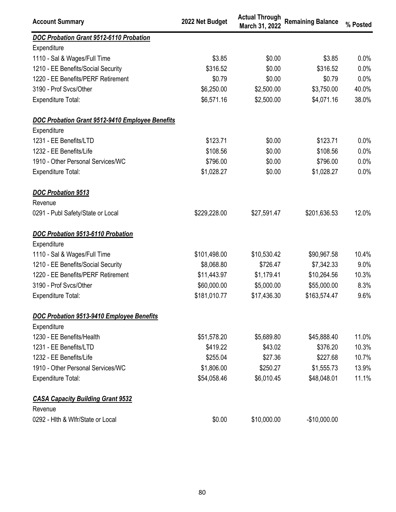| <b>Account Summary</b>                                 | 2022 Net Budget | <b>Actual Through</b><br>March 31, 2022 | <b>Remaining Balance</b> | % Posted |
|--------------------------------------------------------|-----------------|-----------------------------------------|--------------------------|----------|
| DOC Probation Grant 9512-6110 Probation                |                 |                                         |                          |          |
| Expenditure                                            |                 |                                         |                          |          |
| 1110 - Sal & Wages/Full Time                           | \$3.85          | \$0.00                                  | \$3.85                   | 0.0%     |
| 1210 - EE Benefits/Social Security                     | \$316.52        | \$0.00                                  | \$316.52                 | 0.0%     |
| 1220 - EE Benefits/PERF Retirement                     | \$0.79          | \$0.00                                  | \$0.79                   | 0.0%     |
| 3190 - Prof Svcs/Other                                 | \$6,250.00      | \$2,500.00                              | \$3,750.00               | 40.0%    |
| Expenditure Total:                                     | \$6,571.16      | \$2,500.00                              | \$4,071.16               | 38.0%    |
| <b>DOC Probation Grant 9512-9410 Employee Benefits</b> |                 |                                         |                          |          |
| Expenditure                                            |                 |                                         |                          |          |
| 1231 - EE Benefits/LTD                                 | \$123.71        | \$0.00                                  | \$123.71                 | 0.0%     |
| 1232 - EE Benefits/Life                                | \$108.56        | \$0.00                                  | \$108.56                 | 0.0%     |
| 1910 - Other Personal Services/WC                      | \$796.00        | \$0.00                                  | \$796.00                 | 0.0%     |
| Expenditure Total:                                     | \$1,028.27      | \$0.00                                  | \$1,028.27               | 0.0%     |
| <b>DOC Probation 9513</b>                              |                 |                                         |                          |          |
| Revenue                                                |                 |                                         |                          |          |
| 0291 - Publ Safety/State or Local                      | \$229,228.00    | \$27,591.47                             | \$201,636.53             | 12.0%    |
| DOC Probation 9513-6110 Probation                      |                 |                                         |                          |          |
| Expenditure                                            |                 |                                         |                          |          |
| 1110 - Sal & Wages/Full Time                           | \$101,498.00    | \$10,530.42                             | \$90,967.58              | 10.4%    |
| 1210 - EE Benefits/Social Security                     | \$8,068.80      | \$726.47                                | \$7,342.33               | 9.0%     |
| 1220 - EE Benefits/PERF Retirement                     | \$11,443.97     | \$1,179.41                              | \$10,264.56              | 10.3%    |
| 3190 - Prof Svcs/Other                                 | \$60,000.00     | \$5,000.00                              | \$55,000.00              | 8.3%     |
| Expenditure Total:                                     | \$181,010.77    | \$17,436.30                             | \$163,574.47             | 9.6%     |
| <b>DOC Probation 9513-9410 Employee Benefits</b>       |                 |                                         |                          |          |
| Expenditure                                            |                 |                                         |                          |          |
| 1230 - EE Benefits/Health                              | \$51,578.20     | \$5,689.80                              | \$45,888.40              | 11.0%    |
| 1231 - EE Benefits/LTD                                 | \$419.22        | \$43.02                                 | \$376.20                 | 10.3%    |
| 1232 - EE Benefits/Life                                | \$255.04        | \$27.36                                 | \$227.68                 | 10.7%    |
| 1910 - Other Personal Services/WC                      | \$1,806.00      | \$250.27                                | \$1,555.73               | 13.9%    |
| Expenditure Total:                                     | \$54,058.46     | \$6,010.45                              | \$48,048.01              | 11.1%    |
| <b>CASA Capacity Building Grant 9532</b>               |                 |                                         |                          |          |
| Revenue                                                |                 |                                         |                          |          |
| 0292 - Hith & Wifr/State or Local                      | \$0.00          | \$10,000.00                             | $-$10,000.00$            |          |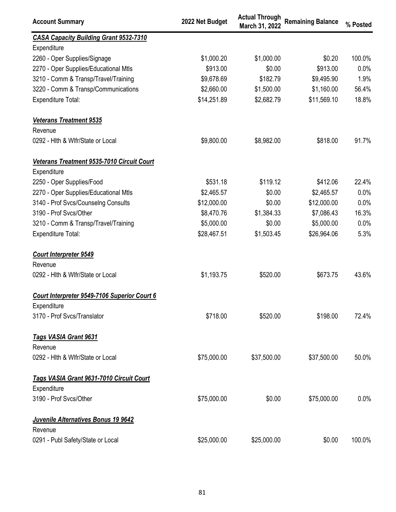| <b>Account Summary</b>                         | 2022 Net Budget | <b>Actual Through</b><br>March 31, 2022 | <b>Remaining Balance</b> | % Posted |
|------------------------------------------------|-----------------|-----------------------------------------|--------------------------|----------|
| <b>CASA Capacity Building Grant 9532-7310</b>  |                 |                                         |                          |          |
| Expenditure                                    |                 |                                         |                          |          |
| 2260 - Oper Supplies/Signage                   | \$1,000.20      | \$1,000.00                              | \$0.20                   | 100.0%   |
| 2270 - Oper Supplies/Educational Mtls          | \$913.00        | \$0.00                                  | \$913.00                 | 0.0%     |
| 3210 - Comm & Transp/Travel/Training           | \$9,678.69      | \$182.79                                | \$9,495.90               | 1.9%     |
| 3220 - Comm & Transp/Communications            | \$2,660.00      | \$1,500.00                              | \$1,160.00               | 56.4%    |
| <b>Expenditure Total:</b>                      | \$14,251.89     | \$2,682.79                              | \$11,569.10              | 18.8%    |
| <b>Veterans Treatment 9535</b>                 |                 |                                         |                          |          |
| Revenue                                        |                 |                                         |                          |          |
| 0292 - Hith & Wifr/State or Local              | \$9,800.00      | \$8,982.00                              | \$818.00                 | 91.7%    |
| Veterans Treatment 9535-7010 Circuit Court     |                 |                                         |                          |          |
| Expenditure                                    |                 |                                         |                          |          |
| 2250 - Oper Supplies/Food                      | \$531.18        | \$119.12                                | \$412.06                 | 22.4%    |
| 2270 - Oper Supplies/Educational Mtls          | \$2,465.57      | \$0.00                                  | \$2,465.57               | 0.0%     |
| 3140 - Prof Svcs/Counselng Consults            | \$12,000.00     | \$0.00                                  | \$12,000.00              | 0.0%     |
| 3190 - Prof Svcs/Other                         | \$8,470.76      | \$1,384.33                              | \$7,086.43               | 16.3%    |
| 3210 - Comm & Transp/Travel/Training           | \$5,000.00      | \$0.00                                  | \$5,000.00               | 0.0%     |
| Expenditure Total:                             | \$28,467.51     | \$1,503.45                              | \$26,964.06              | 5.3%     |
| <b>Court Interpreter 9549</b>                  |                 |                                         |                          |          |
| Revenue                                        |                 |                                         |                          |          |
| 0292 - Hith & Wifr/State or Local              | \$1,193.75      | \$520.00                                | \$673.75                 | 43.6%    |
| Court Interpreter 9549-7106 Superior Court 6   |                 |                                         |                          |          |
| Expenditure                                    |                 |                                         |                          |          |
| 3170 - Prof Svcs/Translator                    | \$718.00        | \$520.00                                | \$198.00                 | 72.4%    |
| Tags VASIA Grant 9631                          |                 |                                         |                          |          |
| Revenue                                        |                 |                                         |                          |          |
| 0292 - Hith & Wifr/State or Local              | \$75,000.00     | \$37,500.00                             | \$37,500.00              | 50.0%    |
| Tags VASIA Grant 9631-7010 Circuit Court       |                 |                                         |                          |          |
| Expenditure                                    |                 |                                         |                          |          |
| 3190 - Prof Svcs/Other                         | \$75,000.00     | \$0.00                                  | \$75,000.00              | $0.0\%$  |
| Juvenile Alternatives Bonus 19 9642<br>Revenue |                 |                                         |                          |          |
| 0291 - Publ Safety/State or Local              | \$25,000.00     | \$25,000.00                             | \$0.00                   | 100.0%   |
|                                                |                 |                                         |                          |          |